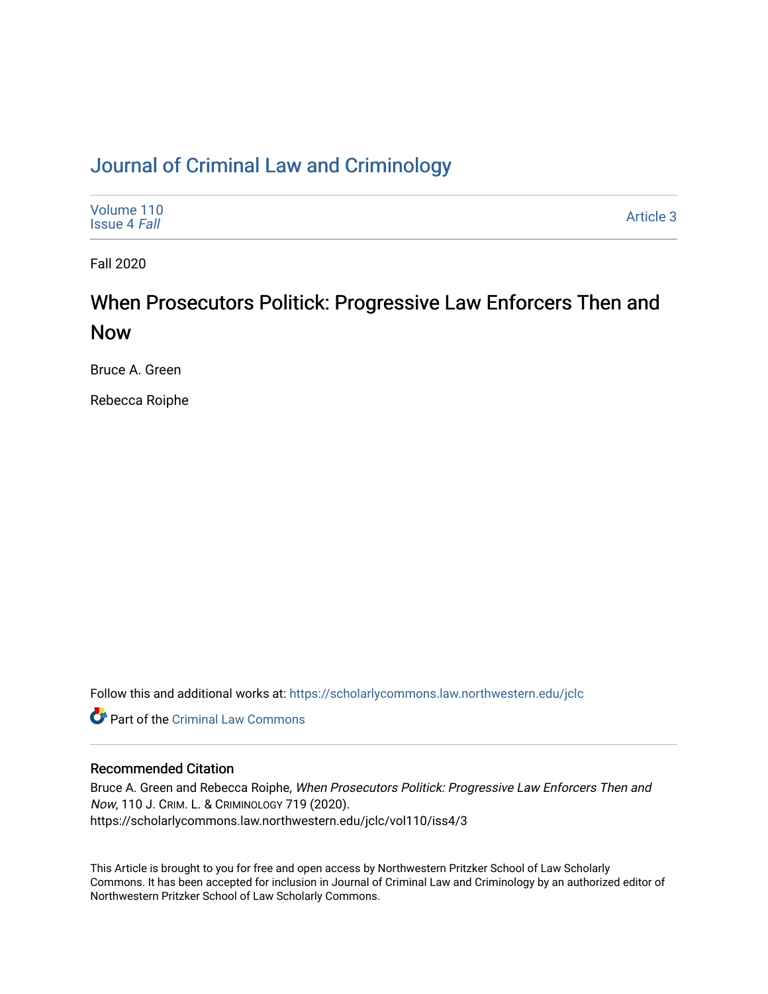## [Journal of Criminal Law and Criminology](https://scholarlycommons.law.northwestern.edu/jclc)

| Volume 110<br><b>Issue 4 Fall</b> | Article 3 |
|-----------------------------------|-----------|
|-----------------------------------|-----------|

Fall 2020

# When Prosecutors Politick: Progressive Law Enforcers Then and Now

Bruce A. Green

Rebecca Roiphe

Follow this and additional works at: [https://scholarlycommons.law.northwestern.edu/jclc](https://scholarlycommons.law.northwestern.edu/jclc?utm_source=scholarlycommons.law.northwestern.edu%2Fjclc%2Fvol110%2Fiss4%2F3&utm_medium=PDF&utm_campaign=PDFCoverPages) 

**C** Part of the Criminal Law Commons

## Recommended Citation

Bruce A. Green and Rebecca Roiphe, When Prosecutors Politick: Progressive Law Enforcers Then and Now, 110 J. CRIM. L. & CRIMINOLOGY 719 (2020). https://scholarlycommons.law.northwestern.edu/jclc/vol110/iss4/3

This Article is brought to you for free and open access by Northwestern Pritzker School of Law Scholarly Commons. It has been accepted for inclusion in Journal of Criminal Law and Criminology by an authorized editor of Northwestern Pritzker School of Law Scholarly Commons.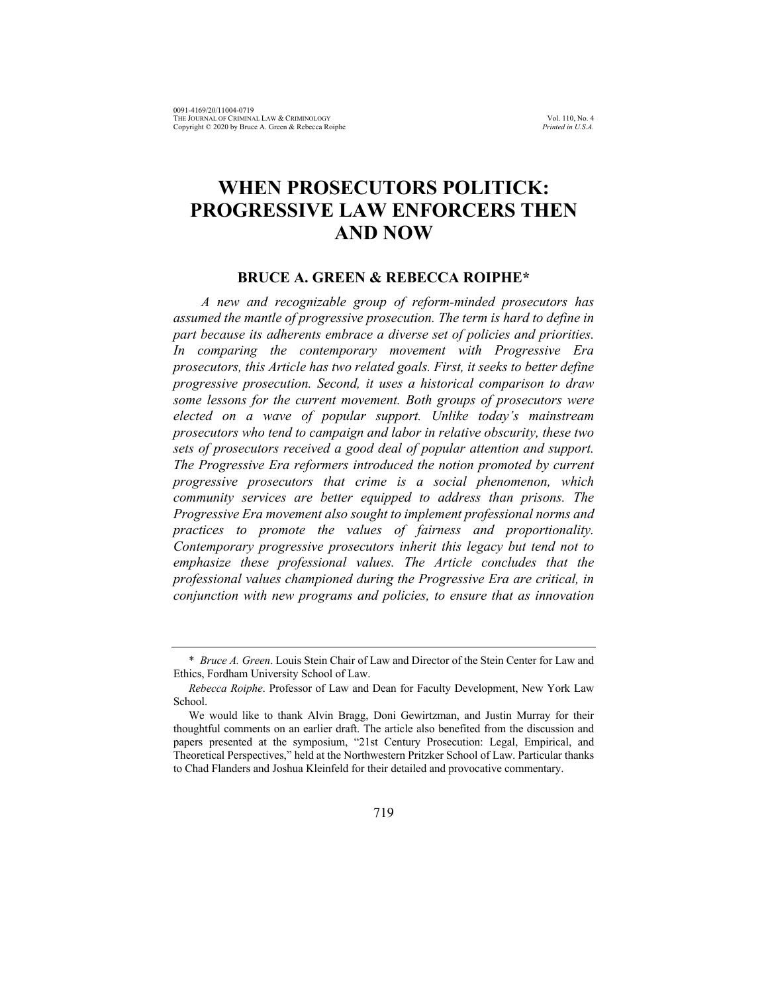## **WHEN PROSECUTORS POLITICK: PROGRESSIVE LAW ENFORCERS THEN AND NOW**

### **BRUCE A. GREEN & REBECCA ROIPHE\***

*A new and recognizable group of reform-minded prosecutors has assumed the mantle of progressive prosecution. The term is hard to define in part because its adherents embrace a diverse set of policies and priorities. In comparing the contemporary movement with Progressive Era prosecutors, this Article has two related goals. First, it seeks to better define progressive prosecution. Second, it uses a historical comparison to draw some lessons for the current movement. Both groups of prosecutors were elected on a wave of popular support. Unlike today's mainstream prosecutors who tend to campaign and labor in relative obscurity, these two sets of prosecutors received a good deal of popular attention and support. The Progressive Era reformers introduced the notion promoted by current progressive prosecutors that crime is a social phenomenon, which community services are better equipped to address than prisons. The Progressive Era movement also sought to implement professional norms and practices to promote the values of fairness and proportionality. Contemporary progressive prosecutors inherit this legacy but tend not to emphasize these professional values. The Article concludes that the professional values championed during the Progressive Era are critical, in conjunction with new programs and policies, to ensure that as innovation* 

<sup>\*</sup> *Bruce A. Green*. Louis Stein Chair of Law and Director of the Stein Center for Law and Ethics, Fordham University School of Law.

*Rebecca Roiphe*. Professor of Law and Dean for Faculty Development, New York Law School.

We would like to thank Alvin Bragg, Doni Gewirtzman, and Justin Murray for their thoughtful comments on an earlier draft. The article also benefited from the discussion and papers presented at the symposium, "21st Century Prosecution: Legal, Empirical, and Theoretical Perspectives," held at the Northwestern Pritzker School of Law. Particular thanks to Chad Flanders and Joshua Kleinfeld for their detailed and provocative commentary.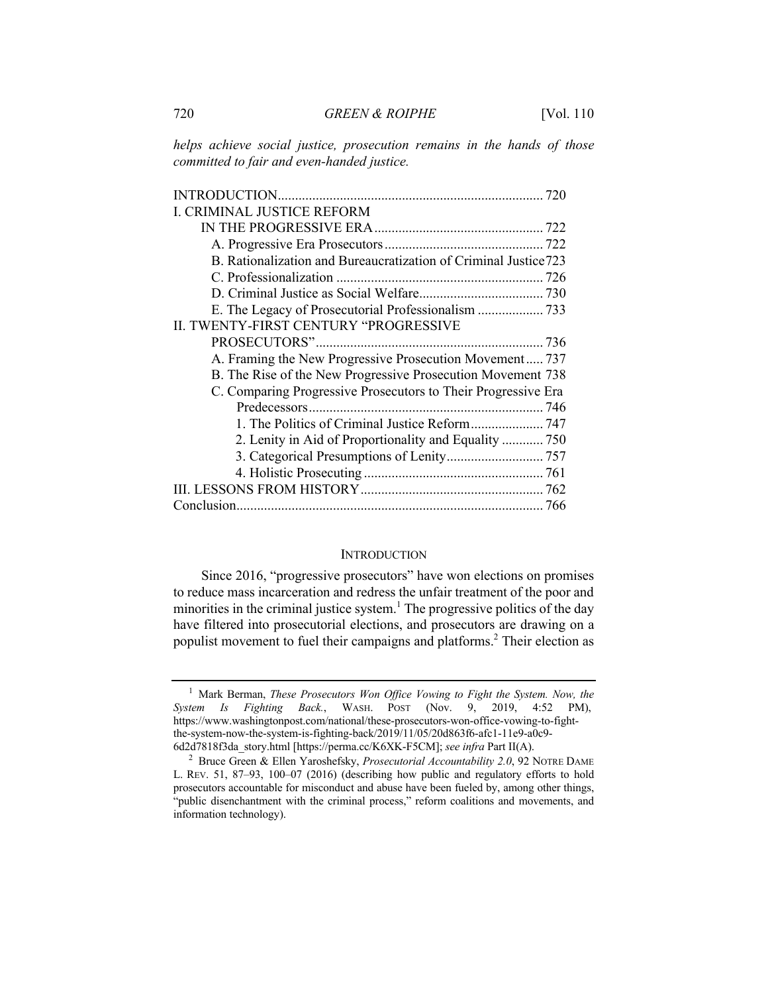*helps achieve social justice, prosecution remains in the hands of those committed to fair and even-handed justice.*

| I. CRIMINAL JUSTICE REFORM                                       |  |
|------------------------------------------------------------------|--|
|                                                                  |  |
|                                                                  |  |
| B. Rationalization and Bureaucratization of Criminal Justice 723 |  |
|                                                                  |  |
|                                                                  |  |
| E. The Legacy of Prosecutorial Professionalism  733              |  |
| II. TWENTY-FIRST CENTURY "PROGRESSIVE                            |  |
|                                                                  |  |
| A. Framing the New Progressive Prosecution Movement 737          |  |
| B. The Rise of the New Progressive Prosecution Movement 738      |  |
| C. Comparing Progressive Prosecutors to Their Progressive Era    |  |
|                                                                  |  |
|                                                                  |  |
| 2. Lenity in Aid of Proportionality and Equality  750            |  |
|                                                                  |  |
|                                                                  |  |
|                                                                  |  |
|                                                                  |  |

#### **INTRODUCTION**

Since 2016, "progressive prosecutors" have won elections on promises to reduce mass incarceration and redress the unfair treatment of the poor and minorities in the criminal justice system.<sup>1</sup> The progressive politics of the day have filtered into prosecutorial elections, and prosecutors are drawing on a populist movement to fuel their campaigns and platforms.<sup>2</sup> Their election as

<sup>1</sup> Mark Berman, *These Prosecutors Won Office Vowing to Fight the System. Now, the System Is Fighting Back.*, WASH. POST (Nov. 9, 2019, 4:52 PM), https://www.washingtonpost.com/national/these-prosecutors-won-office-vowing-to-fightthe-system-now-the-system-is-fighting-back/2019/11/05/20d863f6-afc1-11e9-a0c9- 6d2d7818f3da\_story.html [https://perma.cc/K6XK-F5CM]; *see infra* Part II(A).

<sup>2</sup> Bruce Green & Ellen Yaroshefsky, *Prosecutorial Accountability 2.0*, 92 NOTRE DAME L. REV. 51, 87–93, 100–07 (2016) (describing how public and regulatory efforts to hold prosecutors accountable for misconduct and abuse have been fueled by, among other things, "public disenchantment with the criminal process," reform coalitions and movements, and information technology).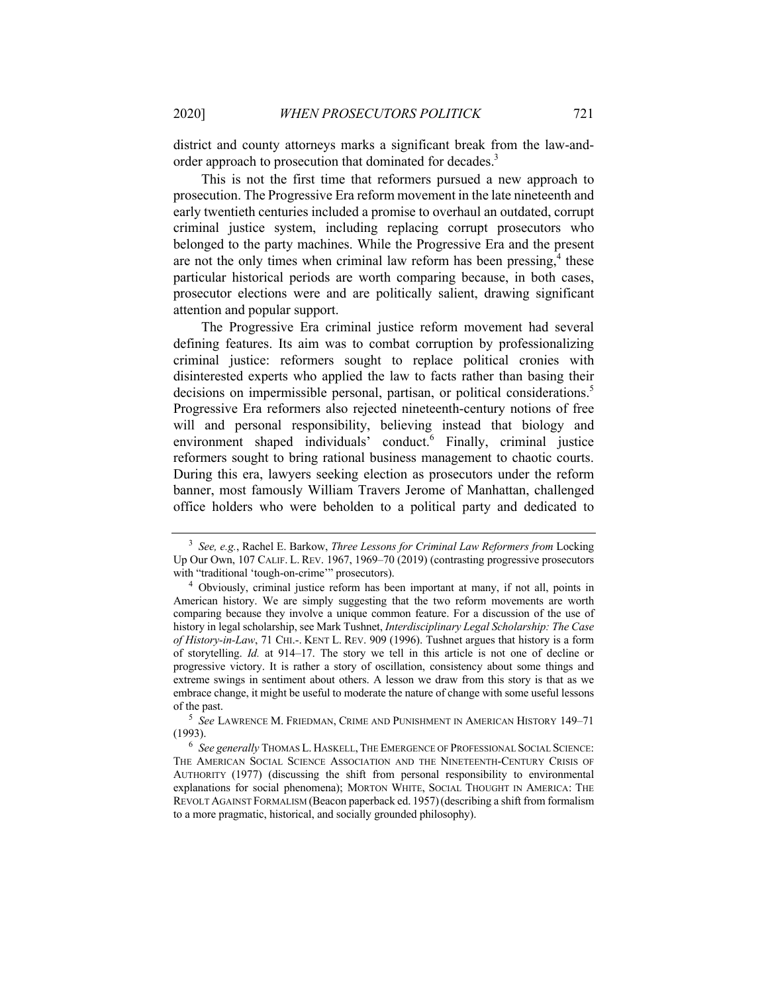district and county attorneys marks a significant break from the law-andorder approach to prosecution that dominated for decades.<sup>3</sup>

This is not the first time that reformers pursued a new approach to prosecution. The Progressive Era reform movement in the late nineteenth and early twentieth centuries included a promise to overhaul an outdated, corrupt criminal justice system, including replacing corrupt prosecutors who belonged to the party machines. While the Progressive Era and the present are not the only times when criminal law reform has been pressing, $4$  these particular historical periods are worth comparing because, in both cases, prosecutor elections were and are politically salient, drawing significant attention and popular support.

The Progressive Era criminal justice reform movement had several defining features. Its aim was to combat corruption by professionalizing criminal justice: reformers sought to replace political cronies with disinterested experts who applied the law to facts rather than basing their decisions on impermissible personal, partisan, or political considerations.<sup>5</sup> Progressive Era reformers also rejected nineteenth-century notions of free will and personal responsibility, believing instead that biology and environment shaped individuals' conduct.<sup>6</sup> Finally, criminal justice reformers sought to bring rational business management to chaotic courts. During this era, lawyers seeking election as prosecutors under the reform banner, most famously William Travers Jerome of Manhattan, challenged office holders who were beholden to a political party and dedicated to

<sup>5</sup> *See* LAWRENCE M. FRIEDMAN, CRIME AND PUNISHMENT IN AMERICAN HISTORY 149–71 (1993).

<sup>3</sup> *See, e.g.*, Rachel E. Barkow, *Three Lessons for Criminal Law Reformers from* Locking Up Our Own, 107 CALIF. L. REV. 1967, 1969–70 (2019) (contrasting progressive prosecutors with "traditional 'tough-on-crime'" prosecutors).

<sup>4</sup> Obviously, criminal justice reform has been important at many, if not all, points in American history. We are simply suggesting that the two reform movements are worth comparing because they involve a unique common feature. For a discussion of the use of history in legal scholarship, see Mark Tushnet, *Interdisciplinary Legal Scholarship: The Case of History-in-Law*, 71 CHI.-. KENT L. REV. 909 (1996). Tushnet argues that history is a form of storytelling. *Id.* at 914–17. The story we tell in this article is not one of decline or progressive victory. It is rather a story of oscillation, consistency about some things and extreme swings in sentiment about others. A lesson we draw from this story is that as we embrace change, it might be useful to moderate the nature of change with some useful lessons of the past.

<sup>6</sup> *See generally* THOMAS L. HASKELL, THE EMERGENCE OF PROFESSIONAL SOCIAL SCIENCE: THE AMERICAN SOCIAL SCIENCE ASSOCIATION AND THE NINETEENTH-CENTURY CRISIS OF AUTHORITY (1977) (discussing the shift from personal responsibility to environmental explanations for social phenomena); MORTON WHITE, SOCIAL THOUGHT IN AMERICA: THE REVOLT AGAINST FORMALISM (Beacon paperback ed. 1957)(describing a shift from formalism to a more pragmatic, historical, and socially grounded philosophy).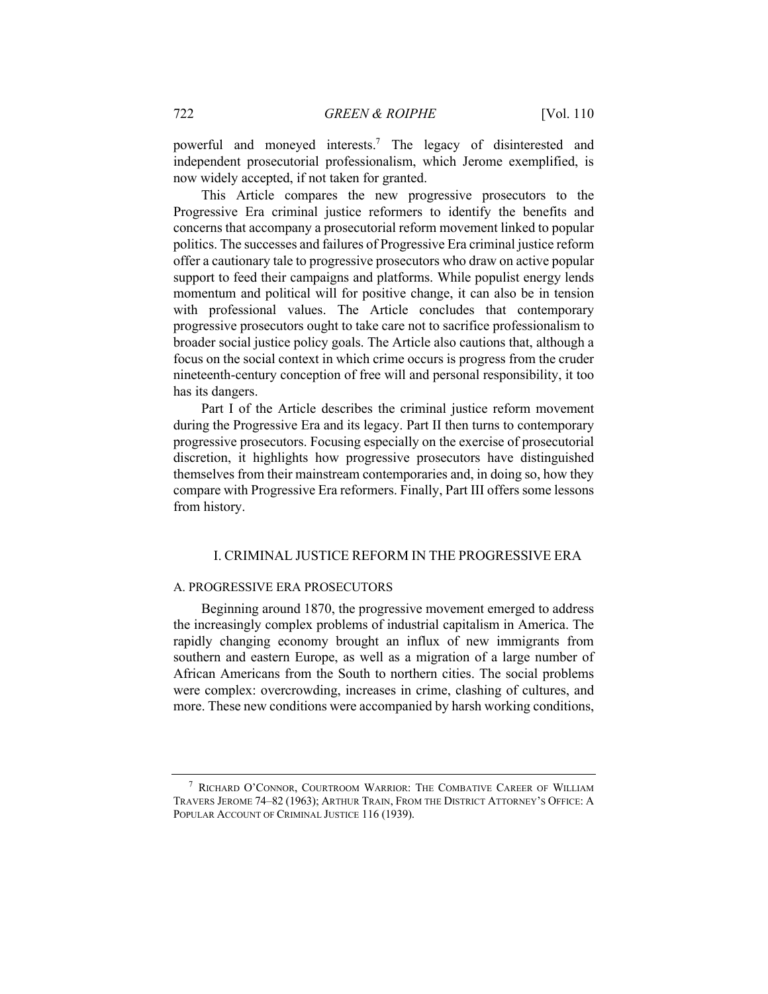powerful and moneyed interests.7 The legacy of disinterested and independent prosecutorial professionalism, which Jerome exemplified, is now widely accepted, if not taken for granted.

This Article compares the new progressive prosecutors to the Progressive Era criminal justice reformers to identify the benefits and concerns that accompany a prosecutorial reform movement linked to popular politics. The successes and failures of Progressive Era criminal justice reform offer a cautionary tale to progressive prosecutors who draw on active popular support to feed their campaigns and platforms. While populist energy lends momentum and political will for positive change, it can also be in tension with professional values. The Article concludes that contemporary progressive prosecutors ought to take care not to sacrifice professionalism to broader social justice policy goals. The Article also cautions that, although a focus on the social context in which crime occurs is progress from the cruder nineteenth-century conception of free will and personal responsibility, it too has its dangers.

Part I of the Article describes the criminal justice reform movement during the Progressive Era and its legacy. Part II then turns to contemporary progressive prosecutors. Focusing especially on the exercise of prosecutorial discretion, it highlights how progressive prosecutors have distinguished themselves from their mainstream contemporaries and, in doing so, how they compare with Progressive Era reformers. Finally, Part III offers some lessons from history.

## I. CRIMINAL JUSTICE REFORM IN THE PROGRESSIVE ERA

#### A. PROGRESSIVE ERA PROSECUTORS

Beginning around 1870, the progressive movement emerged to address the increasingly complex problems of industrial capitalism in America. The rapidly changing economy brought an influx of new immigrants from southern and eastern Europe, as well as a migration of a large number of African Americans from the South to northern cities. The social problems were complex: overcrowding, increases in crime, clashing of cultures, and more. These new conditions were accompanied by harsh working conditions,

<sup>7</sup> RICHARD O'CONNOR, COURTROOM WARRIOR: THE COMBATIVE CAREER OF WILLIAM TRAVERS JEROME 74–82 (1963); ARTHUR TRAIN, FROM THE DISTRICT ATTORNEY'S OFFICE: A POPULAR ACCOUNT OF CRIMINAL JUSTICE 116 (1939).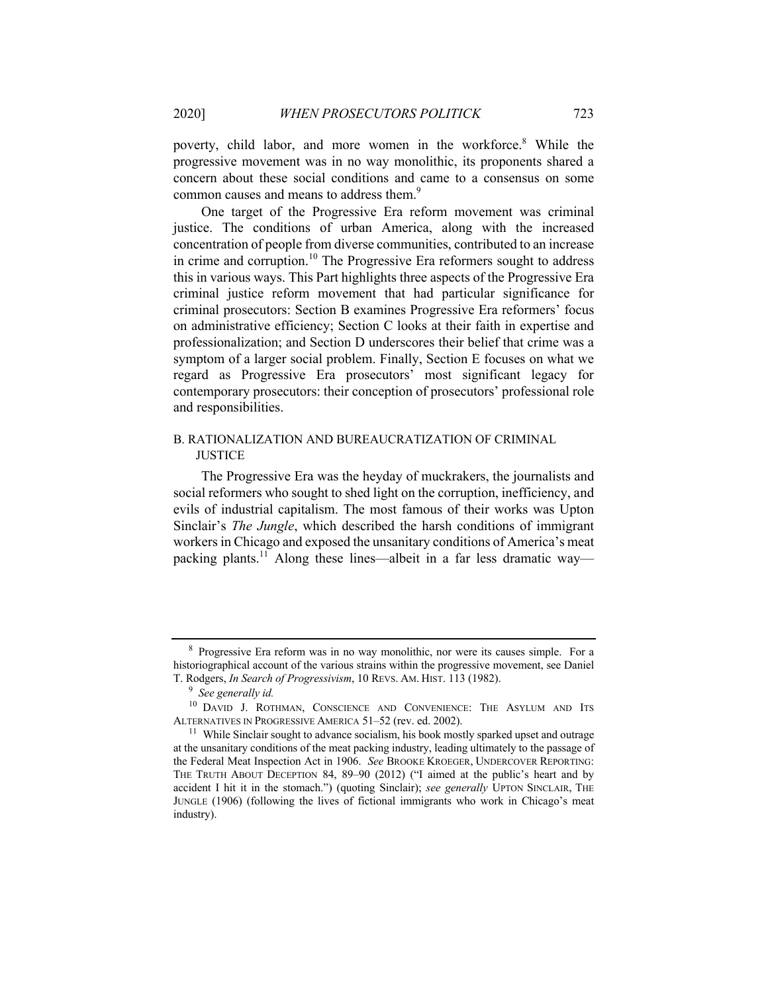poverty, child labor, and more women in the workforce.<sup>8</sup> While the progressive movement was in no way monolithic, its proponents shared a concern about these social conditions and came to a consensus on some common causes and means to address them.<sup>9</sup>

One target of the Progressive Era reform movement was criminal justice. The conditions of urban America, along with the increased concentration of people from diverse communities, contributed to an increase in crime and corruption.<sup>10</sup> The Progressive Era reformers sought to address this in various ways. This Part highlights three aspects of the Progressive Era criminal justice reform movement that had particular significance for criminal prosecutors: Section B examines Progressive Era reformers' focus on administrative efficiency; Section C looks at their faith in expertise and professionalization; and Section D underscores their belief that crime was a symptom of a larger social problem. Finally, Section E focuses on what we regard as Progressive Era prosecutors' most significant legacy for contemporary prosecutors: their conception of prosecutors' professional role and responsibilities.

## B. RATIONALIZATION AND BUREAUCRATIZATION OF CRIMINAL **JUSTICE**

The Progressive Era was the heyday of muckrakers, the journalists and social reformers who sought to shed light on the corruption, inefficiency, and evils of industrial capitalism. The most famous of their works was Upton Sinclair's *The Jungle*, which described the harsh conditions of immigrant workers in Chicago and exposed the unsanitary conditions of America's meat packing plants.<sup>11</sup> Along these lines—albeit in a far less dramatic way—

<sup>8</sup> Progressive Era reform was in no way monolithic, nor were its causes simple. For a historiographical account of the various strains within the progressive movement, see Daniel T. Rodgers, *In Search of Progressivism*, 10 REVS. AM. HIST. 113 (1982).

<sup>9</sup> *See generally id.*

<sup>&</sup>lt;sup>10</sup> DAVID J. ROTHMAN, CONSCIENCE AND CONVENIENCE: THE ASYLUM AND ITS ALTERNATIVES IN PROGRESSIVE AMERICA 51–52 (rev. ed. 2002).

<sup>&</sup>lt;sup>11</sup> While Sinclair sought to advance socialism, his book mostly sparked upset and outrage at the unsanitary conditions of the meat packing industry, leading ultimately to the passage of the Federal Meat Inspection Act in 1906. *See* BROOKE KROEGER, UNDERCOVER REPORTING: THE TRUTH ABOUT DECEPTION 84, 89–90 (2012) ("I aimed at the public's heart and by accident I hit it in the stomach.") (quoting Sinclair); *see generally* UPTON SINCLAIR, THE JUNGLE (1906) (following the lives of fictional immigrants who work in Chicago's meat industry).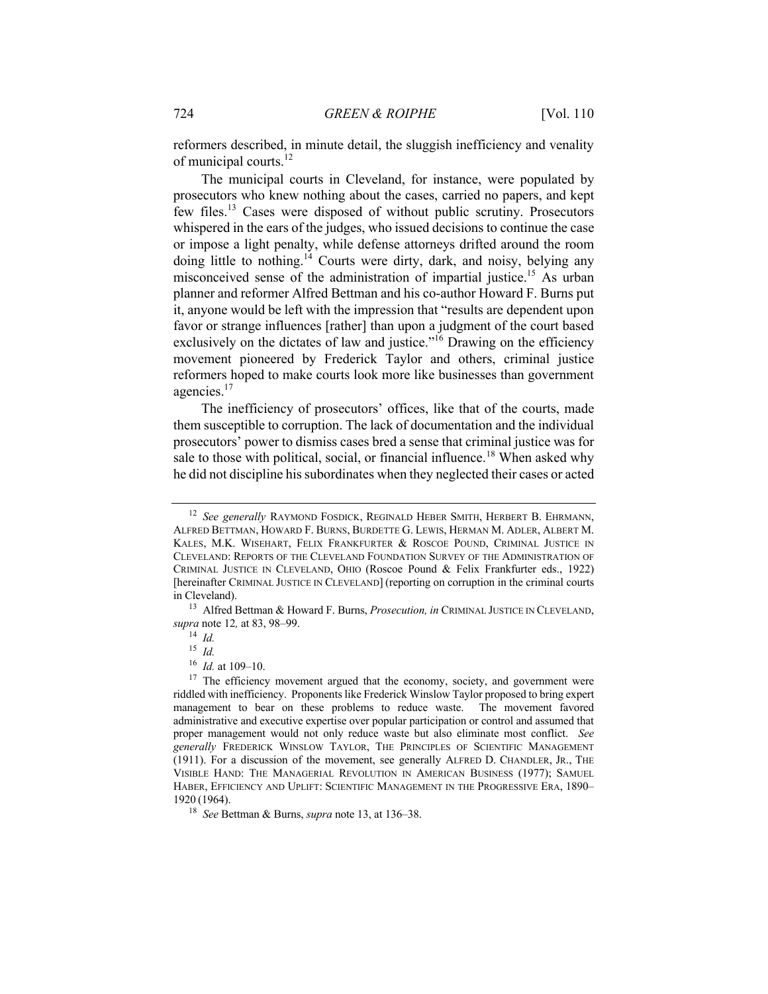reformers described, in minute detail, the sluggish inefficiency and venality of municipal courts.<sup>12</sup>

The municipal courts in Cleveland, for instance, were populated by prosecutors who knew nothing about the cases, carried no papers, and kept few files.<sup>13</sup> Cases were disposed of without public scrutiny. Prosecutors whispered in the ears of the judges, who issued decisions to continue the case or impose a light penalty, while defense attorneys drifted around the room doing little to nothing.<sup>14</sup> Courts were dirty, dark, and noisy, belying any misconceived sense of the administration of impartial justice.<sup>15</sup> As urban planner and reformer Alfred Bettman and his co-author Howard F. Burns put it, anyone would be left with the impression that "results are dependent upon favor or strange influences [rather] than upon a judgment of the court based exclusively on the dictates of law and justice."<sup>16</sup> Drawing on the efficiency movement pioneered by Frederick Taylor and others, criminal justice reformers hoped to make courts look more like businesses than government agencies.17

The inefficiency of prosecutors' offices, like that of the courts, made them susceptible to corruption. The lack of documentation and the individual prosecutors' power to dismiss cases bred a sense that criminal justice was for sale to those with political, social, or financial influence.<sup>18</sup> When asked why he did not discipline his subordinates when they neglected their cases or acted

<sup>12</sup> *See generally* RAYMOND FOSDICK, REGINALD HEBER SMITH, HERBERT B. EHRMANN, ALFRED BETTMAN, HOWARD F. BURNS, BURDETTE G. LEWIS, HERMAN M. ADLER, ALBERT M. KALES, M.K. WISEHART, FELIX FRANKFURTER & ROSCOE POUND, CRIMINAL JUSTICE IN CLEVELAND: REPORTS OF THE CLEVELAND FOUNDATION SURVEY OF THE ADMINISTRATION OF CRIMINAL JUSTICE IN CLEVELAND, OHIO (Roscoe Pound & Felix Frankfurter eds., 1922) [hereinafter CRIMINAL JUSTICE IN CLEVELAND] (reporting on corruption in the criminal courts in Cleveland).

<sup>13</sup> Alfred Bettman & Howard F. Burns, *Prosecution, in* CRIMINAL JUSTICE IN CLEVELAND, *supra* note 12*,* at 83, 98–99.

<sup>14</sup> *Id.*

<sup>15</sup> *Id.*

<sup>16</sup> *Id.* at 109–10.

 $17$  The efficiency movement argued that the economy, society, and government were riddled with inefficiency. Proponents like Frederick Winslow Taylor proposed to bring expert management to bear on these problems to reduce waste. The movement favored administrative and executive expertise over popular participation or control and assumed that proper management would not only reduce waste but also eliminate most conflict. *See generally* FREDERICK WINSLOW TAYLOR, THE PRINCIPLES OF SCIENTIFIC MANAGEMENT (1911). For a discussion of the movement, see generally ALFRED D. CHANDLER, JR., THE VISIBLE HAND: THE MANAGERIAL REVOLUTION IN AMERICAN BUSINESS (1977); SAMUEL HABER, EFFICIENCY AND UPLIFT: SCIENTIFIC MANAGEMENT IN THE PROGRESSIVE ERA, 1890– 1920 (1964).

<sup>18</sup> *See* Bettman & Burns, *supra* note 13, at 136–38.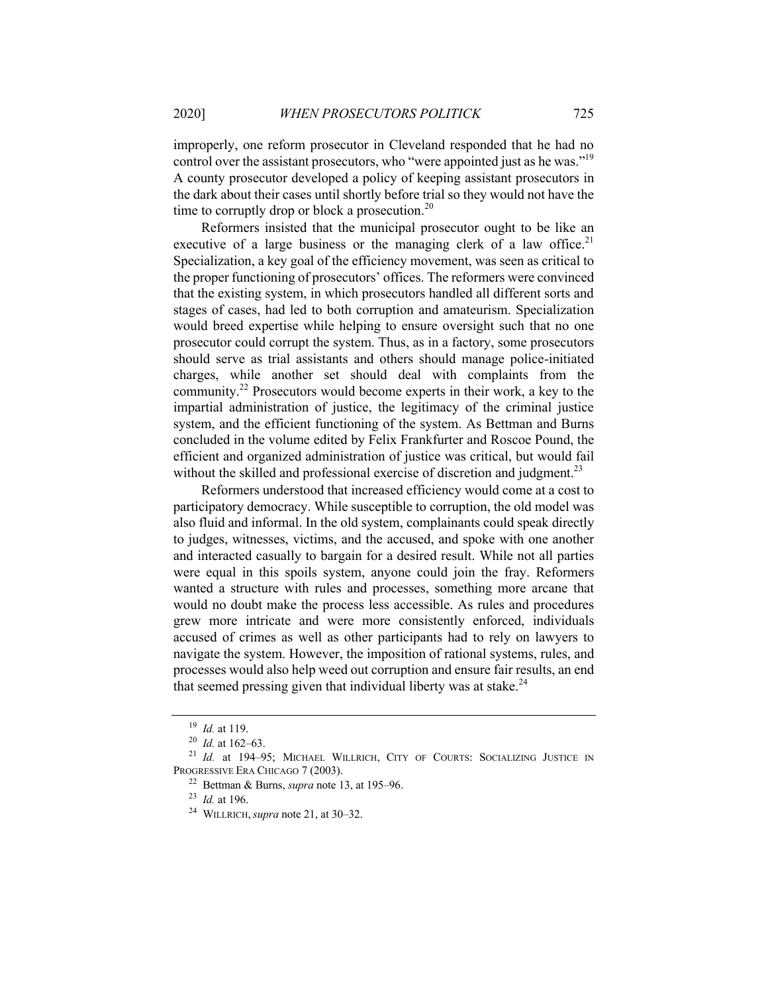improperly, one reform prosecutor in Cleveland responded that he had no control over the assistant prosecutors, who "were appointed just as he was."<sup>19</sup> A county prosecutor developed a policy of keeping assistant prosecutors in the dark about their cases until shortly before trial so they would not have the time to corruptly drop or block a prosecution.<sup>20</sup>

Reformers insisted that the municipal prosecutor ought to be like an executive of a large business or the managing clerk of a law office.<sup>21</sup> Specialization, a key goal of the efficiency movement, was seen as critical to the proper functioning of prosecutors' offices. The reformers were convinced that the existing system, in which prosecutors handled all different sorts and stages of cases, had led to both corruption and amateurism. Specialization would breed expertise while helping to ensure oversight such that no one prosecutor could corrupt the system. Thus, as in a factory, some prosecutors should serve as trial assistants and others should manage police-initiated charges, while another set should deal with complaints from the community.<sup>22</sup> Prosecutors would become experts in their work, a key to the impartial administration of justice, the legitimacy of the criminal justice system, and the efficient functioning of the system. As Bettman and Burns concluded in the volume edited by Felix Frankfurter and Roscoe Pound, the efficient and organized administration of justice was critical, but would fail without the skilled and professional exercise of discretion and judgment.<sup>23</sup>

Reformers understood that increased efficiency would come at a cost to participatory democracy. While susceptible to corruption, the old model was also fluid and informal. In the old system, complainants could speak directly to judges, witnesses, victims, and the accused, and spoke with one another and interacted casually to bargain for a desired result. While not all parties were equal in this spoils system, anyone could join the fray. Reformers wanted a structure with rules and processes, something more arcane that would no doubt make the process less accessible. As rules and procedures grew more intricate and were more consistently enforced, individuals accused of crimes as well as other participants had to rely on lawyers to navigate the system. However, the imposition of rational systems, rules, and processes would also help weed out corruption and ensure fair results, an end that seemed pressing given that individual liberty was at stake.<sup>24</sup>

<sup>19</sup> *Id.* at 119.

<sup>20</sup> *Id.* at 162–63.

<sup>21</sup> *Id.* at 194–95; MICHAEL WILLRICH, CITY OF COURTS: SOCIALIZING JUSTICE IN PROGRESSIVE ERA CHICAGO 7 (2003).

<sup>22</sup> Bettman & Burns, *supra* note 13, at 195–96.

<sup>23</sup> *Id.* at 196.

<sup>24</sup> WILLRICH,*supra* note 21, at 30–32.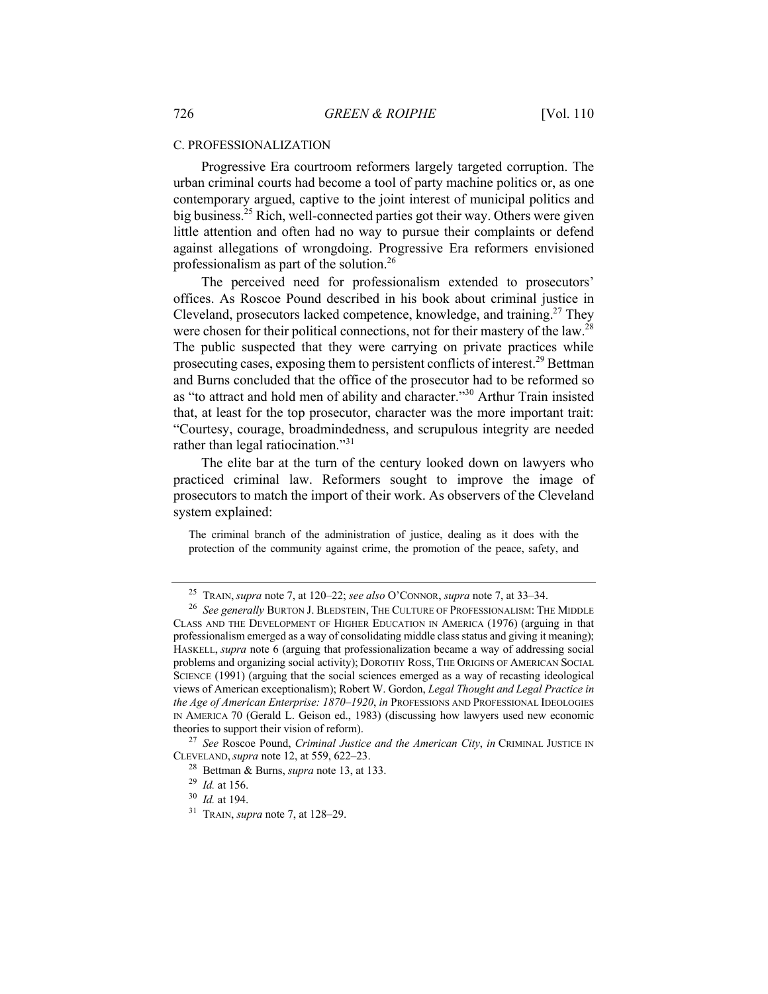#### C. PROFESSIONALIZATION

Progressive Era courtroom reformers largely targeted corruption. The urban criminal courts had become a tool of party machine politics or, as one contemporary argued, captive to the joint interest of municipal politics and big business.<sup>25</sup> Rich, well-connected parties got their way. Others were given little attention and often had no way to pursue their complaints or defend against allegations of wrongdoing. Progressive Era reformers envisioned professionalism as part of the solution.26

The perceived need for professionalism extended to prosecutors' offices. As Roscoe Pound described in his book about criminal justice in Cleveland, prosecutors lacked competence, knowledge, and training.<sup>27</sup> They were chosen for their political connections, not for their mastery of the law.<sup>28</sup> The public suspected that they were carrying on private practices while prosecuting cases, exposing them to persistent conflicts of interest.<sup>29</sup> Bettman and Burns concluded that the office of the prosecutor had to be reformed so as "to attract and hold men of ability and character."30 Arthur Train insisted that, at least for the top prosecutor, character was the more important trait: "Courtesy, courage, broadmindedness, and scrupulous integrity are needed rather than legal ratiocination."<sup>31</sup>

The elite bar at the turn of the century looked down on lawyers who practiced criminal law. Reformers sought to improve the image of prosecutors to match the import of their work. As observers of the Cleveland system explained:

The criminal branch of the administration of justice, dealing as it does with the protection of the community against crime, the promotion of the peace, safety, and

<sup>25</sup> TRAIN,*supra* note 7, at 120–22; *see also* O'CONNOR, *supra* note 7, at 33–34.

<sup>26</sup> *See generally* BURTON J. BLEDSTEIN, THE CULTURE OF PROFESSIONALISM: THE MIDDLE CLASS AND THE DEVELOPMENT OF HIGHER EDUCATION IN AMERICA (1976) (arguing in that professionalism emerged as a way of consolidating middle class status and giving it meaning); HASKELL, *supra* note 6 (arguing that professionalization became a way of addressing social problems and organizing social activity); DOROTHY ROSS, THE ORIGINS OF AMERICAN SOCIAL SCIENCE (1991) (arguing that the social sciences emerged as a way of recasting ideological views of American exceptionalism); Robert W. Gordon, *Legal Thought and Legal Practice in the Age of American Enterprise: 1870–1920*, *in* PROFESSIONS AND PROFESSIONAL IDEOLOGIES IN AMERICA 70 (Gerald L. Geison ed., 1983) (discussing how lawyers used new economic theories to support their vision of reform).

<sup>27</sup> *See* Roscoe Pound, *Criminal Justice and the American City*, *in* CRIMINAL JUSTICE IN CLEVELAND,*supra* note 12, at 559, 622–23.

<sup>28</sup> Bettman & Burns, *supra* note 13, at 133.

<sup>29</sup> *Id.* at 156.

<sup>30</sup> *Id.* at 194.

<sup>31</sup> TRAIN, *supra* note 7, at 128–29.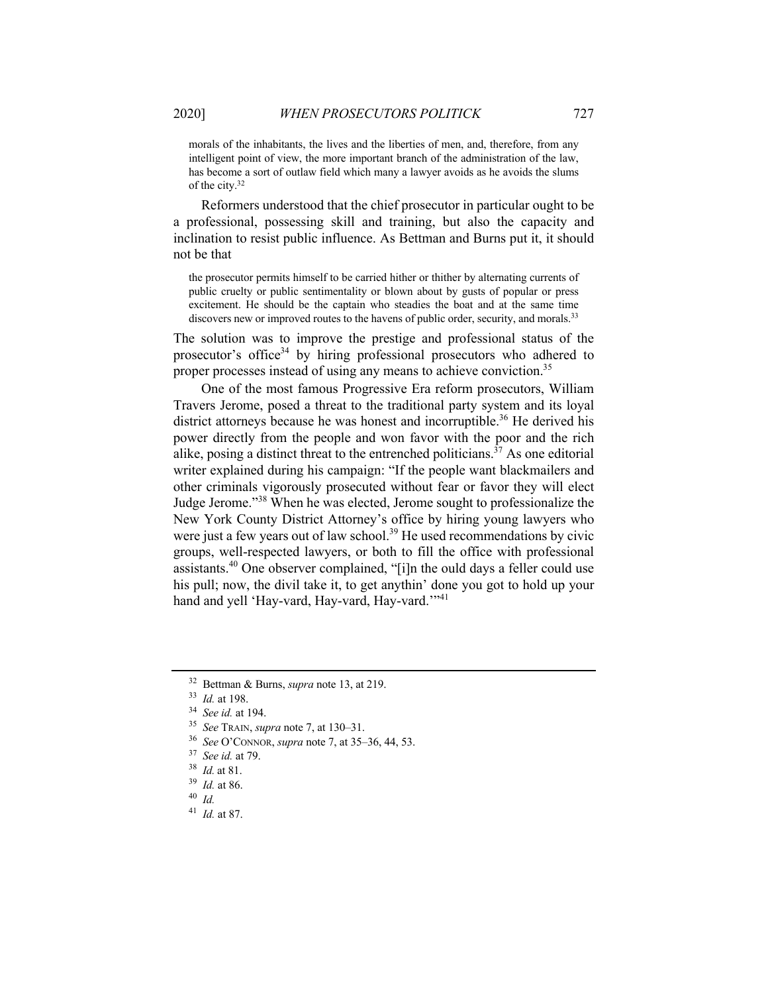morals of the inhabitants, the lives and the liberties of men, and, therefore, from any intelligent point of view, the more important branch of the administration of the law, has become a sort of outlaw field which many a lawyer avoids as he avoids the slums of the city.32

Reformers understood that the chief prosecutor in particular ought to be a professional, possessing skill and training, but also the capacity and inclination to resist public influence. As Bettman and Burns put it, it should not be that

the prosecutor permits himself to be carried hither or thither by alternating currents of public cruelty or public sentimentality or blown about by gusts of popular or press excitement. He should be the captain who steadies the boat and at the same time discovers new or improved routes to the havens of public order, security, and morals.<sup>33</sup>

The solution was to improve the prestige and professional status of the prosecutor's office<sup>34</sup> by hiring professional prosecutors who adhered to proper processes instead of using any means to achieve conviction.<sup>35</sup>

One of the most famous Progressive Era reform prosecutors, William Travers Jerome, posed a threat to the traditional party system and its loyal district attorneys because he was honest and incorruptible.<sup>36</sup> He derived his power directly from the people and won favor with the poor and the rich alike, posing a distinct threat to the entrenched politicians.<sup>37</sup> As one editorial writer explained during his campaign: "If the people want blackmailers and other criminals vigorously prosecuted without fear or favor they will elect Judge Jerome."<sup>38</sup> When he was elected, Jerome sought to professionalize the New York County District Attorney's office by hiring young lawyers who were just a few years out of law school.<sup>39</sup> He used recommendations by civic groups, well-respected lawyers, or both to fill the office with professional assistants.<sup>40</sup> One observer complained, "[i]n the ould days a feller could use his pull; now, the divil take it, to get anythin' done you got to hold up your hand and yell 'Hay-vard, Hay-vard, Hay-vard.'"<sup>41</sup>

- <sup>36</sup> *See* O'CONNOR, *supra* note 7, at 35–36, 44, 53.
- <sup>37</sup> *See id.* at 79.
- <sup>38</sup> *Id.* at 81.
- <sup>39</sup> *Id.* at 86.
- <sup>40</sup> *Id.*
- <sup>41</sup> *Id.* at 87.

<sup>32</sup> Bettman & Burns, *supra* note 13, at 219.

<sup>33</sup> *Id.* at 198.

<sup>34</sup> *See id.* at 194.

<sup>35</sup> *See* TRAIN, *supra* note 7, at 130–31.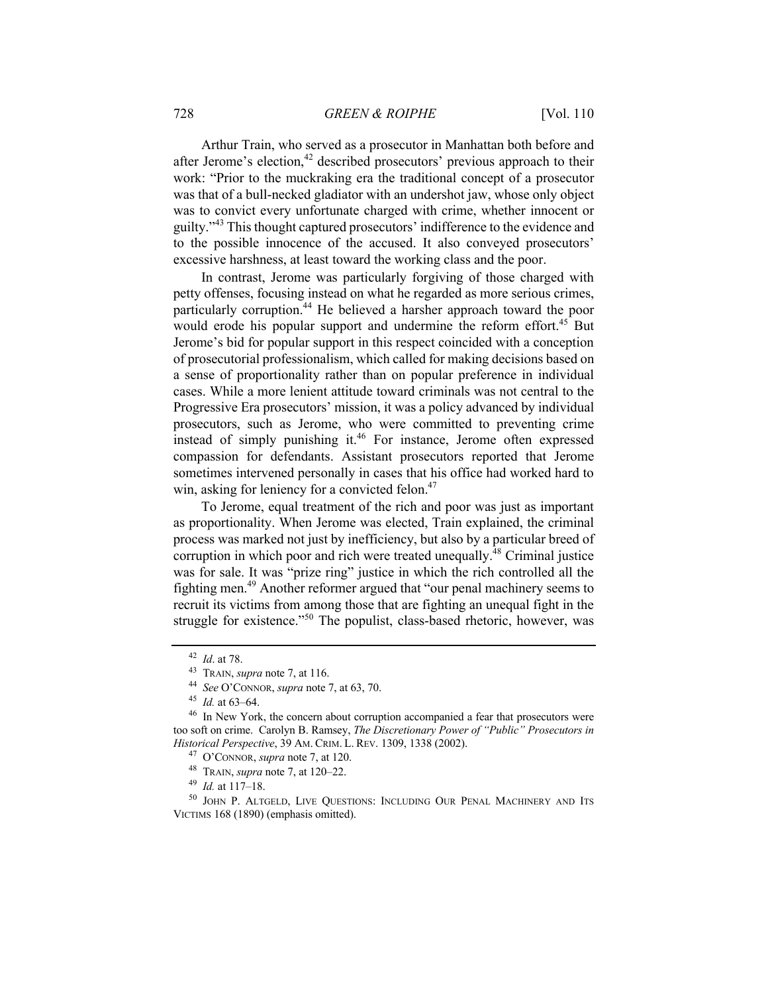Arthur Train, who served as a prosecutor in Manhattan both before and after Jerome's election, $42$  described prosecutors' previous approach to their work: "Prior to the muckraking era the traditional concept of a prosecutor was that of a bull-necked gladiator with an undershot jaw, whose only object was to convict every unfortunate charged with crime, whether innocent or guilty."<sup>43</sup> This thought captured prosecutors' indifference to the evidence and to the possible innocence of the accused. It also conveyed prosecutors' excessive harshness, at least toward the working class and the poor.

In contrast, Jerome was particularly forgiving of those charged with petty offenses, focusing instead on what he regarded as more serious crimes, particularly corruption.44 He believed a harsher approach toward the poor would erode his popular support and undermine the reform effort.<sup>45</sup> But Jerome's bid for popular support in this respect coincided with a conception of prosecutorial professionalism, which called for making decisions based on a sense of proportionality rather than on popular preference in individual cases. While a more lenient attitude toward criminals was not central to the Progressive Era prosecutors' mission, it was a policy advanced by individual prosecutors, such as Jerome, who were committed to preventing crime instead of simply punishing it.<sup>46</sup> For instance, Jerome often expressed compassion for defendants. Assistant prosecutors reported that Jerome sometimes intervened personally in cases that his office had worked hard to win, asking for leniency for a convicted felon.<sup>47</sup>

To Jerome, equal treatment of the rich and poor was just as important as proportionality. When Jerome was elected, Train explained, the criminal process was marked not just by inefficiency, but also by a particular breed of corruption in which poor and rich were treated unequally. $^{48}$  Criminal justice was for sale. It was "prize ring" justice in which the rich controlled all the fighting men.<sup>49</sup> Another reformer argued that "our penal machinery seems to recruit its victims from among those that are fighting an unequal fight in the struggle for existence."<sup>50</sup> The populist, class-based rhetoric, however, was

<sup>42</sup> *Id*. at 78.

<sup>43</sup> TRAIN, *supra* note 7, at 116.

<sup>44</sup> *See* O'CONNOR, *supra* note 7, at 63, 70.

<sup>45</sup> *Id.* at 63–64.

<sup>&</sup>lt;sup>46</sup> In New York, the concern about corruption accompanied a fear that prosecutors were too soft on crime. Carolyn B. Ramsey, *The Discretionary Power of "Public" Prosecutors in Historical Perspective*, 39 AM. CRIM. L. REV. 1309, 1338 (2002).

<sup>47</sup> O'CONNOR, *supra* note 7, at 120.

<sup>48</sup> TRAIN, *supra* note 7, at 120–22.

<sup>49</sup> *Id.* at 117–18.

<sup>&</sup>lt;sup>50</sup> JOHN P. ALTGELD, LIVE QUESTIONS: INCLUDING OUR PENAL MACHINERY AND ITS VICTIMS 168 (1890) (emphasis omitted).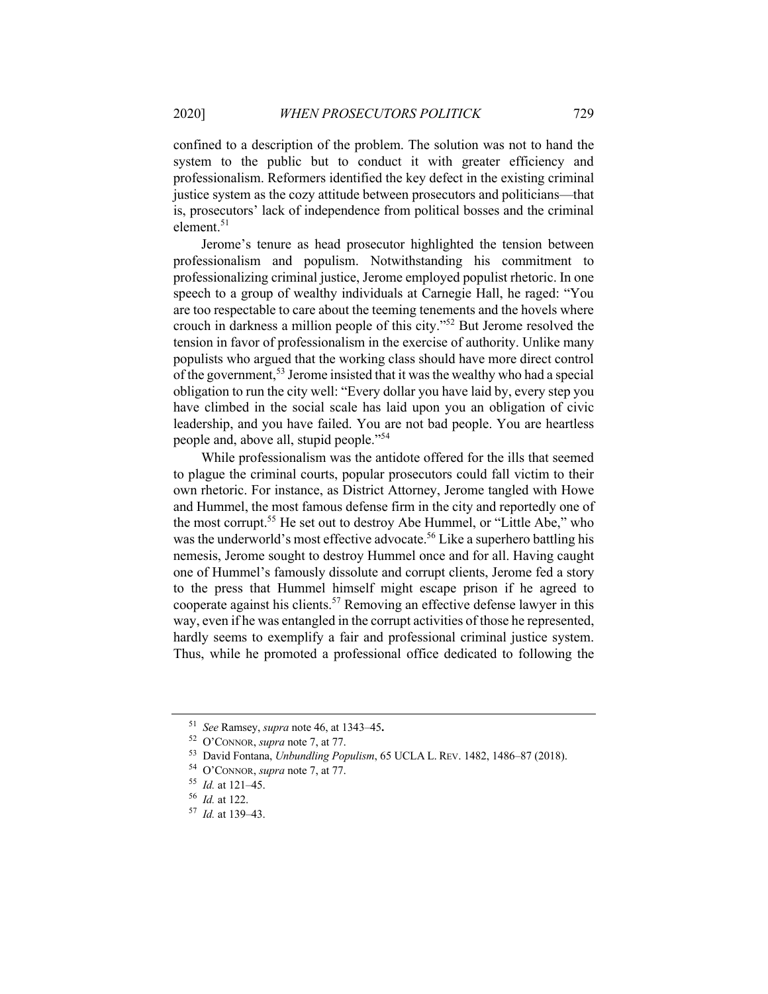confined to a description of the problem. The solution was not to hand the system to the public but to conduct it with greater efficiency and professionalism. Reformers identified the key defect in the existing criminal justice system as the cozy attitude between prosecutors and politicians—that is, prosecutors' lack of independence from political bosses and the criminal element. $51$ 

Jerome's tenure as head prosecutor highlighted the tension between professionalism and populism. Notwithstanding his commitment to professionalizing criminal justice, Jerome employed populist rhetoric. In one speech to a group of wealthy individuals at Carnegie Hall, he raged: "You are too respectable to care about the teeming tenements and the hovels where crouch in darkness a million people of this city."<sup>52</sup> But Jerome resolved the tension in favor of professionalism in the exercise of authority. Unlike many populists who argued that the working class should have more direct control of the government,<sup>53</sup> Jerome insisted that it was the wealthy who had a special obligation to run the city well: "Every dollar you have laid by, every step you have climbed in the social scale has laid upon you an obligation of civic leadership, and you have failed. You are not bad people. You are heartless people and, above all, stupid people."<sup>54</sup>

While professionalism was the antidote offered for the ills that seemed to plague the criminal courts, popular prosecutors could fall victim to their own rhetoric. For instance, as District Attorney, Jerome tangled with Howe and Hummel, the most famous defense firm in the city and reportedly one of the most corrupt.<sup>55</sup> He set out to destroy Abe Hummel, or "Little Abe," who was the underworld's most effective advocate.<sup>56</sup> Like a superhero battling his nemesis, Jerome sought to destroy Hummel once and for all. Having caught one of Hummel's famously dissolute and corrupt clients, Jerome fed a story to the press that Hummel himself might escape prison if he agreed to cooperate against his clients.57 Removing an effective defense lawyer in this way, even if he was entangled in the corrupt activities of those he represented, hardly seems to exemplify a fair and professional criminal justice system. Thus, while he promoted a professional office dedicated to following the

<sup>51</sup> *See* Ramsey, *supra* note 46, at 1343–45**.**

<sup>52</sup> O'CONNOR, *supra* note 7, at 77.

<sup>53</sup> David Fontana, *Unbundling Populism*, 65 UCLA L. REV. 1482, 1486–87 (2018).

<sup>54</sup> O'CONNOR, *supra* note 7, at 77.

<sup>55</sup> *Id.* at 121–45.

<sup>56</sup> *Id.* at 122.

<sup>57</sup> *Id.* at 139–43.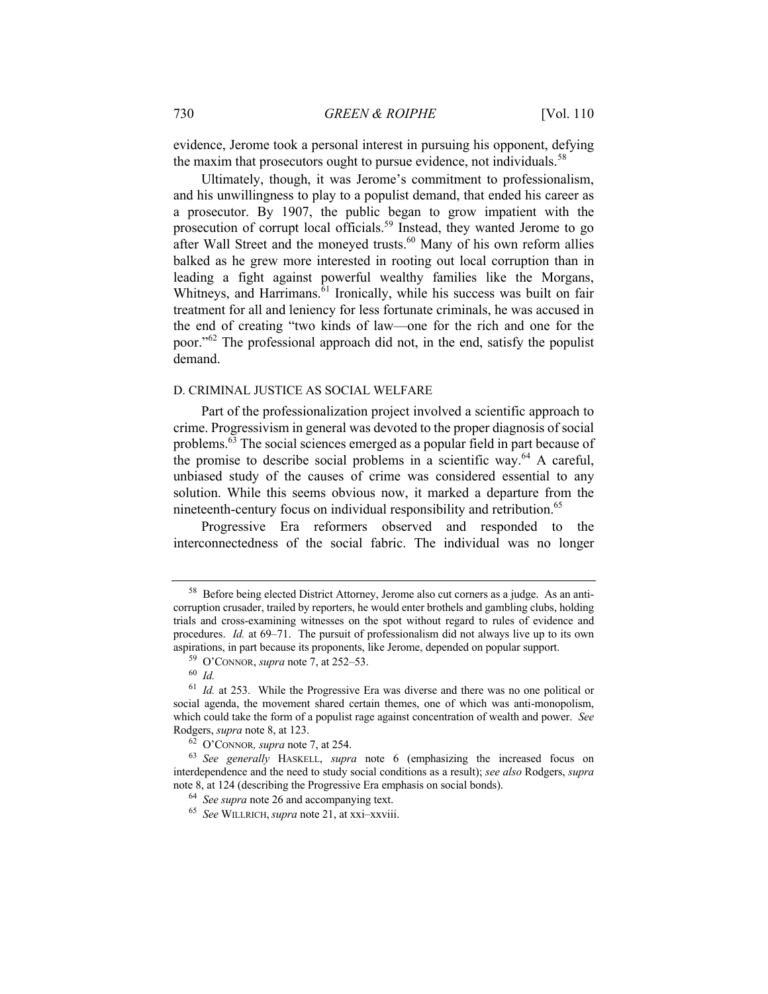evidence, Jerome took a personal interest in pursuing his opponent, defying the maxim that prosecutors ought to pursue evidence, not individuals.<sup>58</sup>

Ultimately, though, it was Jerome's commitment to professionalism, and his unwillingness to play to a populist demand, that ended his career as a prosecutor. By 1907, the public began to grow impatient with the prosecution of corrupt local officials.<sup>59</sup> Instead, they wanted Jerome to go after Wall Street and the moneyed trusts.<sup>60</sup> Many of his own reform allies balked as he grew more interested in rooting out local corruption than in leading a fight against powerful wealthy families like the Morgans, Whitneys, and Harrimans.<sup>61</sup> Ironically, while his success was built on fair treatment for all and leniency for less fortunate criminals, he was accused in the end of creating "two kinds of law—one for the rich and one for the poor."<sup>62</sup> The professional approach did not, in the end, satisfy the populist demand.

#### D. CRIMINAL JUSTICE AS SOCIAL WELFARE

Part of the professionalization project involved a scientific approach to crime. Progressivism in general was devoted to the proper diagnosis of social problems.63 The social sciences emerged as a popular field in part because of the promise to describe social problems in a scientific way.<sup>64</sup> A careful, unbiased study of the causes of crime was considered essential to any solution. While this seems obvious now, it marked a departure from the nineteenth-century focus on individual responsibility and retribution.<sup>65</sup>

Progressive Era reformers observed and responded to the interconnectedness of the social fabric. The individual was no longer

<sup>58</sup> Before being elected District Attorney, Jerome also cut corners as a judge. As an anticorruption crusader, trailed by reporters, he would enter brothels and gambling clubs, holding trials and cross-examining witnesses on the spot without regard to rules of evidence and procedures. *Id.* at 69–71. The pursuit of professionalism did not always live up to its own aspirations, in part because its proponents, like Jerome, depended on popular support.

<sup>59</sup> O'CONNOR, *supra* note 7, at 252–53.

<sup>60</sup> *Id.*

<sup>61</sup> *Id.* at 253. While the Progressive Era was diverse and there was no one political or social agenda, the movement shared certain themes, one of which was anti-monopolism, which could take the form of a populist rage against concentration of wealth and power. *See* Rodgers, *supra* note 8, at 123.

<sup>62</sup> O'CONNOR*, supra* note 7, at 254.

<sup>63</sup> *See generally* HASKELL, *supra* note 6 (emphasizing the increased focus on interdependence and the need to study social conditions as a result); *see also* Rodgers, *supra*  note 8, at 124 (describing the Progressive Era emphasis on social bonds).

<sup>64</sup> *See supra* note 26 and accompanying text.

<sup>65</sup> *See* WILLRICH,*supra* note 21, at xxi–xxviii.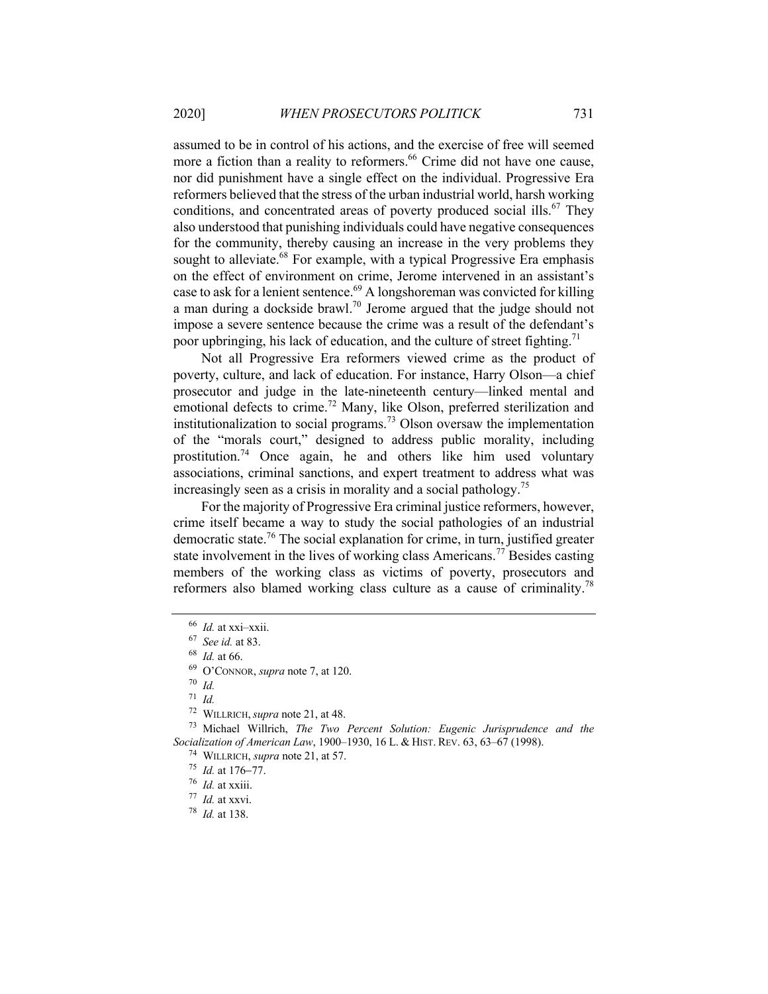assumed to be in control of his actions, and the exercise of free will seemed more a fiction than a reality to reformers.<sup>66</sup> Crime did not have one cause, nor did punishment have a single effect on the individual. Progressive Era reformers believed that the stress of the urban industrial world, harsh working conditions, and concentrated areas of poverty produced social ills.<sup>67</sup> They also understood that punishing individuals could have negative consequences for the community, thereby causing an increase in the very problems they sought to alleviate.<sup>68</sup> For example, with a typical Progressive Era emphasis on the effect of environment on crime, Jerome intervened in an assistant's case to ask for a lenient sentence. $69$  A longshoreman was convicted for killing a man during a dockside brawl.<sup>70</sup> Jerome argued that the judge should not impose a severe sentence because the crime was a result of the defendant's poor upbringing, his lack of education, and the culture of street fighting.<sup>71</sup>

Not all Progressive Era reformers viewed crime as the product of poverty, culture, and lack of education. For instance, Harry Olson—a chief prosecutor and judge in the late-nineteenth century—linked mental and emotional defects to crime.<sup>72</sup> Many, like Olson, preferred sterilization and institutionalization to social programs.<sup>73</sup> Olson oversaw the implementation of the "morals court," designed to address public morality, including prostitution.<sup>74</sup> Once again, he and others like him used voluntary associations, criminal sanctions, and expert treatment to address what was increasingly seen as a crisis in morality and a social pathology.<sup>75</sup>

For the majority of Progressive Era criminal justice reformers, however, crime itself became a way to study the social pathologies of an industrial democratic state.<sup>76</sup> The social explanation for crime, in turn, justified greater state involvement in the lives of working class Americans.<sup>77</sup> Besides casting members of the working class as victims of poverty, prosecutors and reformers also blamed working class culture as a cause of criminality.<sup>78</sup>

<sup>71</sup> *Id.*

<sup>74</sup> WILLRICH, *supra* note 21, at 57.

<sup>75</sup> *Id.* at 176-77.

 $76$  *Id.* at xxiii.

<sup>77</sup> *Id.* at xxvi.

<sup>78</sup> *Id.* at 138.

<sup>66</sup> *Id.* at xxi–xxii.

<sup>67</sup> *See id.* at 83.

<sup>68</sup> *Id.* at 66.

<sup>69</sup> O'CONNOR, *supra* note 7, at 120.

<sup>70</sup> *Id.*

<sup>72</sup> WILLRICH,*supra* note 21, at 48.

<sup>73</sup> Michael Willrich, *The Two Percent Solution: Eugenic Jurisprudence and the Socialization of American Law*, 1900–1930, 16 L. & HIST. REV. 63, 63–67 (1998).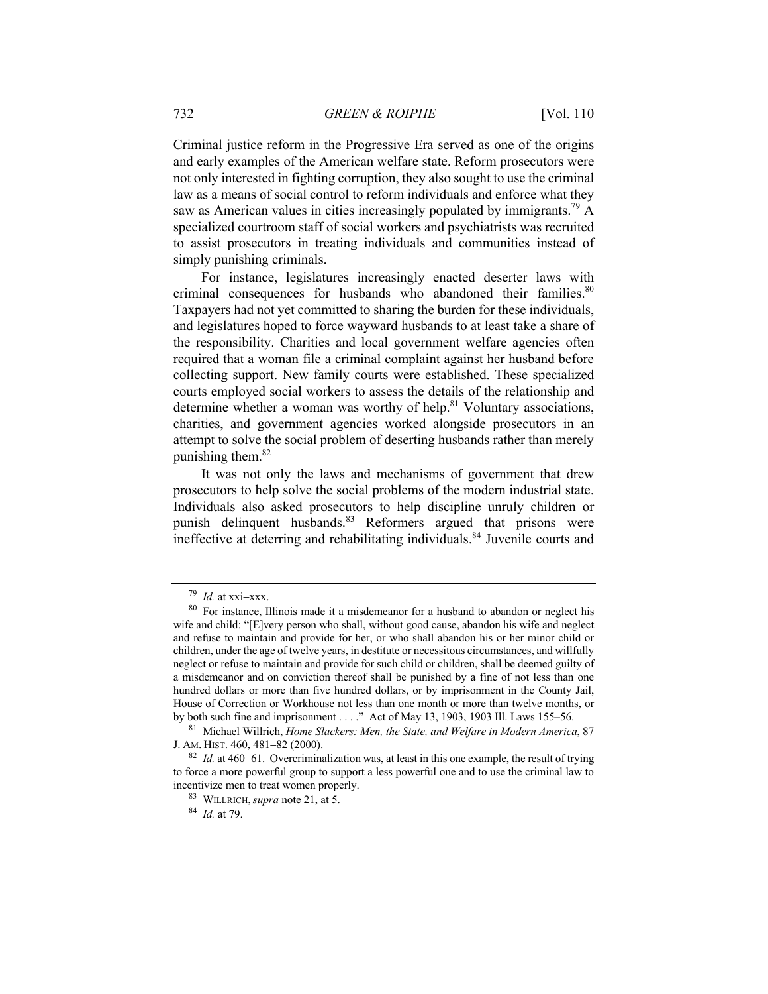Criminal justice reform in the Progressive Era served as one of the origins and early examples of the American welfare state. Reform prosecutors were not only interested in fighting corruption, they also sought to use the criminal law as a means of social control to reform individuals and enforce what they saw as American values in cities increasingly populated by immigrants.<sup>79</sup> A specialized courtroom staff of social workers and psychiatrists was recruited to assist prosecutors in treating individuals and communities instead of simply punishing criminals.

For instance, legislatures increasingly enacted deserter laws with criminal consequences for husbands who abandoned their families.<sup>80</sup> Taxpayers had not yet committed to sharing the burden for these individuals, and legislatures hoped to force wayward husbands to at least take a share of the responsibility. Charities and local government welfare agencies often required that a woman file a criminal complaint against her husband before collecting support. New family courts were established. These specialized courts employed social workers to assess the details of the relationship and determine whether a woman was worthy of help.<sup>81</sup> Voluntary associations, charities, and government agencies worked alongside prosecutors in an attempt to solve the social problem of deserting husbands rather than merely punishing them. $82$ 

It was not only the laws and mechanisms of government that drew prosecutors to help solve the social problems of the modern industrial state. Individuals also asked prosecutors to help discipline unruly children or punish delinquent husbands.<sup>83</sup> Reformers argued that prisons were ineffective at deterring and rehabilitating individuals.<sup>84</sup> Juvenile courts and

 $79$  *Id.* at xxi-xxx.

<sup>&</sup>lt;sup>80</sup> For instance, Illinois made it a misdemeanor for a husband to abandon or neglect his wife and child: "[E]very person who shall, without good cause, abandon his wife and neglect and refuse to maintain and provide for her, or who shall abandon his or her minor child or children, under the age of twelve years, in destitute or necessitous circumstances, and willfully neglect or refuse to maintain and provide for such child or children, shall be deemed guilty of a misdemeanor and on conviction thereof shall be punished by a fine of not less than one hundred dollars or more than five hundred dollars, or by imprisonment in the County Jail, House of Correction or Workhouse not less than one month or more than twelve months, or by both such fine and imprisonment . . . ." Act of May 13, 1903, 1903 Ill. Laws 155–56.

<sup>81</sup> Michael Willrich, *Home Slackers: Men, the State, and Welfare in Modern America*, 87 J. AM. HIST. 460, 481-82 (2000).

<sup>82</sup> *Id.* at 460-61. Overcriminalization was, at least in this one example, the result of trying to force a more powerful group to support a less powerful one and to use the criminal law to incentivize men to treat women properly.

<sup>83</sup> WILLRICH,*supra* note 21, at 5.

<sup>84</sup> *Id.* at 79.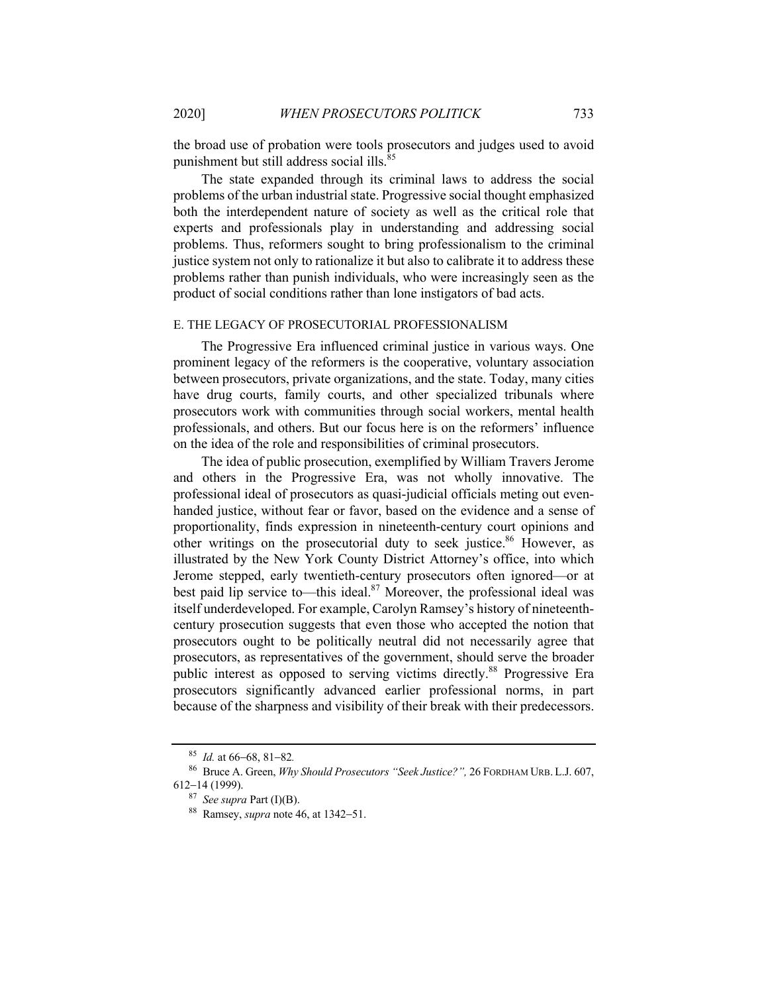the broad use of probation were tools prosecutors and judges used to avoid punishment but still address social ills.<sup>85</sup>

The state expanded through its criminal laws to address the social problems of the urban industrial state. Progressive social thought emphasized both the interdependent nature of society as well as the critical role that experts and professionals play in understanding and addressing social problems. Thus, reformers sought to bring professionalism to the criminal justice system not only to rationalize it but also to calibrate it to address these problems rather than punish individuals, who were increasingly seen as the product of social conditions rather than lone instigators of bad acts.

#### E. THE LEGACY OF PROSECUTORIAL PROFESSIONALISM

The Progressive Era influenced criminal justice in various ways. One prominent legacy of the reformers is the cooperative, voluntary association between prosecutors, private organizations, and the state. Today, many cities have drug courts, family courts, and other specialized tribunals where prosecutors work with communities through social workers, mental health professionals, and others. But our focus here is on the reformers' influence on the idea of the role and responsibilities of criminal prosecutors.

The idea of public prosecution, exemplified by William Travers Jerome and others in the Progressive Era, was not wholly innovative. The professional ideal of prosecutors as quasi-judicial officials meting out evenhanded justice, without fear or favor, based on the evidence and a sense of proportionality, finds expression in nineteenth-century court opinions and other writings on the prosecutorial duty to seek justice.<sup>86</sup> However, as illustrated by the New York County District Attorney's office, into which Jerome stepped, early twentieth-century prosecutors often ignored—or at best paid lip service to—this ideal.<sup>87</sup> Moreover, the professional ideal was itself underdeveloped. For example, Carolyn Ramsey's history of nineteenthcentury prosecution suggests that even those who accepted the notion that prosecutors ought to be politically neutral did not necessarily agree that prosecutors, as representatives of the government, should serve the broader public interest as opposed to serving victims directly.<sup>88</sup> Progressive Era prosecutors significantly advanced earlier professional norms, in part because of the sharpness and visibility of their break with their predecessors.

<sup>85</sup> *Id.* at 66-68, 81-82*.*

<sup>86</sup> Bruce A. Green, *Why Should Prosecutors "Seek Justice?",* 26 FORDHAM URB. L.J. 607, 612-14 (1999).

<sup>87</sup> *See supra* Part (I)(B).

<sup>88</sup> Ramsey, *supra* note 46, at 1342-51.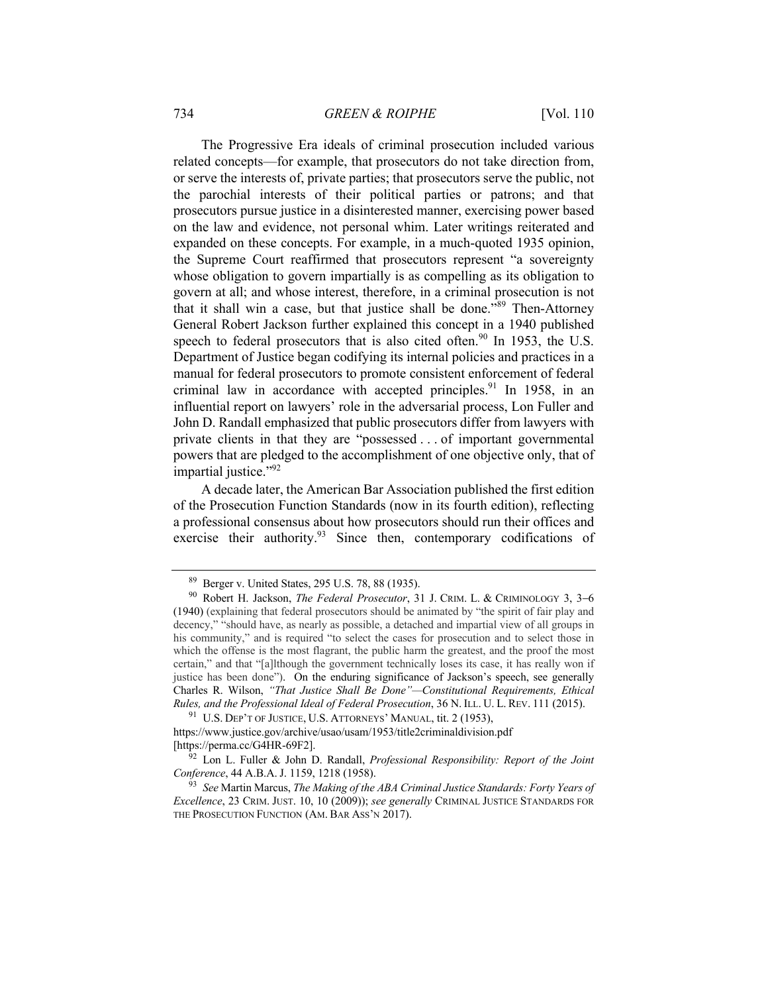The Progressive Era ideals of criminal prosecution included various related concepts—for example, that prosecutors do not take direction from, or serve the interests of, private parties; that prosecutors serve the public, not the parochial interests of their political parties or patrons; and that prosecutors pursue justice in a disinterested manner, exercising power based on the law and evidence, not personal whim. Later writings reiterated and expanded on these concepts. For example, in a much-quoted 1935 opinion, the Supreme Court reaffirmed that prosecutors represent "a sovereignty whose obligation to govern impartially is as compelling as its obligation to govern at all; and whose interest, therefore, in a criminal prosecution is not that it shall win a case, but that justice shall be done."<sup>89</sup> Then-Attorney General Robert Jackson further explained this concept in a 1940 published speech to federal prosecutors that is also cited often.<sup>90</sup> In 1953, the U.S. Department of Justice began codifying its internal policies and practices in a manual for federal prosecutors to promote consistent enforcement of federal criminal law in accordance with accepted principles.<sup>91</sup> In 1958, in an influential report on lawyers' role in the adversarial process, Lon Fuller and John D. Randall emphasized that public prosecutors differ from lawyers with private clients in that they are "possessed . . . of important governmental powers that are pledged to the accomplishment of one objective only, that of impartial justice."<sup>92</sup>

A decade later, the American Bar Association published the first edition of the Prosecution Function Standards (now in its fourth edition), reflecting a professional consensus about how prosecutors should run their offices and exercise their authority.<sup>93</sup> Since then, contemporary codifications of

 $91$  U.S. Dep't of Justice, U.S. Attorneys' Manual, tit. 2 (1953),

<sup>89</sup> Berger v. United States, 295 U.S. 78, 88 (1935).

<sup>90</sup> Robert H. Jackson, *The Federal Prosecutor*, 31 J. CRIM. L. & CRIMINOLOGY 3, 3-6 (1940) (explaining that federal prosecutors should be animated by "the spirit of fair play and decency," "should have, as nearly as possible, a detached and impartial view of all groups in his community," and is required "to select the cases for prosecution and to select those in which the offense is the most flagrant, the public harm the greatest, and the proof the most certain," and that "[a]lthough the government technically loses its case, it has really won if justice has been done"). On the enduring significance of Jackson's speech, see generally Charles R. Wilson, *"That Justice Shall Be Done"—Constitutional Requirements, Ethical Rules, and the Professional Ideal of Federal Prosecution*, 36 N. ILL. U. L. REV. 111 (2015).

https://www.justice.gov/archive/usao/usam/1953/title2criminaldivision.pdf [https://perma.cc/G4HR-69F2].

<sup>92</sup> Lon L. Fuller & John D. Randall, *Professional Responsibility: Report of the Joint Conference*, 44 A.B.A.J. 1159, 1218 (1958).

<sup>93</sup> *See* Martin Marcus, *The Making of the ABA Criminal Justice Standards: Forty Years of Excellence*, 23 CRIM. JUST. 10, 10 (2009)); *see generally* CRIMINAL JUSTICE STANDARDS FOR THE PROSECUTION FUNCTION (AM. BAR ASS'N 2017).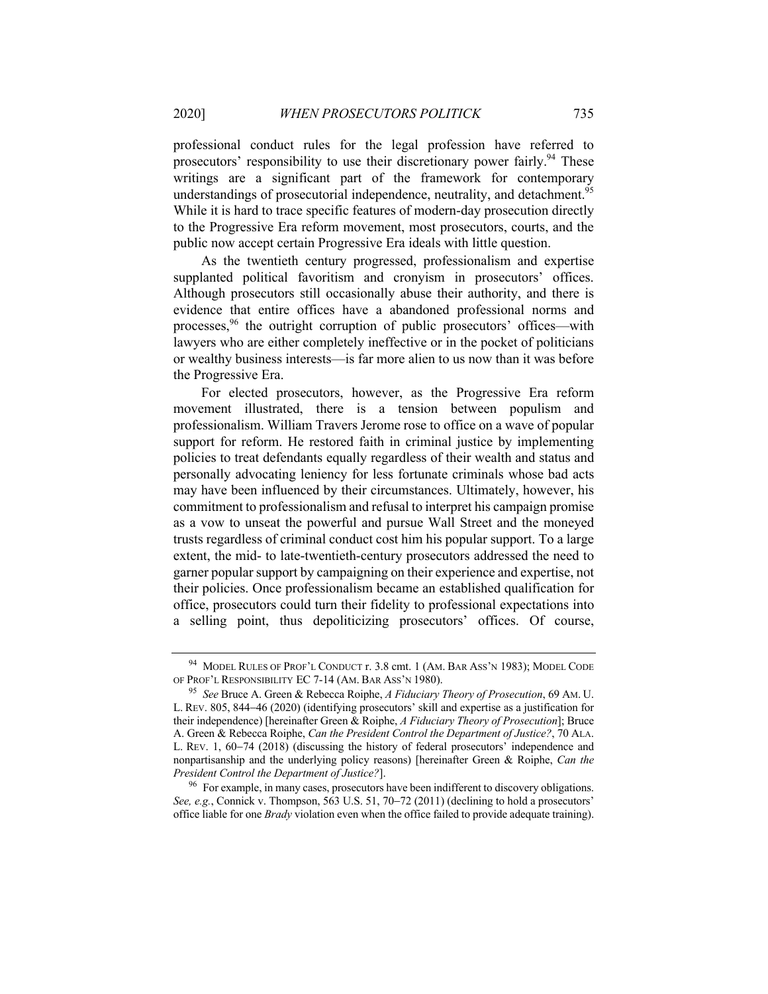professional conduct rules for the legal profession have referred to prosecutors' responsibility to use their discretionary power fairly.<sup>94</sup> These writings are a significant part of the framework for contemporary understandings of prosecutorial independence, neutrality, and detachment.<sup>95</sup> While it is hard to trace specific features of modern-day prosecution directly to the Progressive Era reform movement, most prosecutors, courts, and the public now accept certain Progressive Era ideals with little question.

As the twentieth century progressed, professionalism and expertise supplanted political favoritism and cronyism in prosecutors' offices. Although prosecutors still occasionally abuse their authority, and there is evidence that entire offices have a abandoned professional norms and processes,<sup>96</sup> the outright corruption of public prosecutors' offices—with lawyers who are either completely ineffective or in the pocket of politicians or wealthy business interests—is far more alien to us now than it was before the Progressive Era.

For elected prosecutors, however, as the Progressive Era reform movement illustrated, there is a tension between populism and professionalism. William Travers Jerome rose to office on a wave of popular support for reform. He restored faith in criminal justice by implementing policies to treat defendants equally regardless of their wealth and status and personally advocating leniency for less fortunate criminals whose bad acts may have been influenced by their circumstances. Ultimately, however, his commitment to professionalism and refusal to interpret his campaign promise as a vow to unseat the powerful and pursue Wall Street and the moneyed trusts regardless of criminal conduct cost him his popular support. To a large extent, the mid- to late-twentieth-century prosecutors addressed the need to garner popular support by campaigning on their experience and expertise, not their policies. Once professionalism became an established qualification for office, prosecutors could turn their fidelity to professional expectations into a selling point, thus depoliticizing prosecutors' offices. Of course,

<sup>94</sup> MODEL RULES OF PROF'L CONDUCT r. 3.8 cmt. 1 (AM. BAR ASS'N 1983); MODEL CODE OF PROF'L RESPONSIBILITY EC 7-14 (AM. BAR ASS'N 1980).

<sup>95</sup> *See* Bruce A. Green & Rebecca Roiphe, *A Fiduciary Theory of Prosecution*, 69 AM. U. L. REV. 805, 844-46 (2020) (identifying prosecutors' skill and expertise as a justification for their independence) [hereinafter Green & Roiphe, *A Fiduciary Theory of Prosecution*]; Bruce A. Green & Rebecca Roiphe, *Can the President Control the Department of Justice?*, 70 ALA. L. REV. 1, 60-74 (2018) (discussing the history of federal prosecutors' independence and nonpartisanship and the underlying policy reasons) [hereinafter Green & Roiphe, *Can the President Control the Department of Justice?*].

 $96$  For example, in many cases, prosecutors have been indifferent to discovery obligations. *See, e.g.*, Connick v. Thompson, 563 U.S. 51, 70-72 (2011) (declining to hold a prosecutors' office liable for one *Brady* violation even when the office failed to provide adequate training).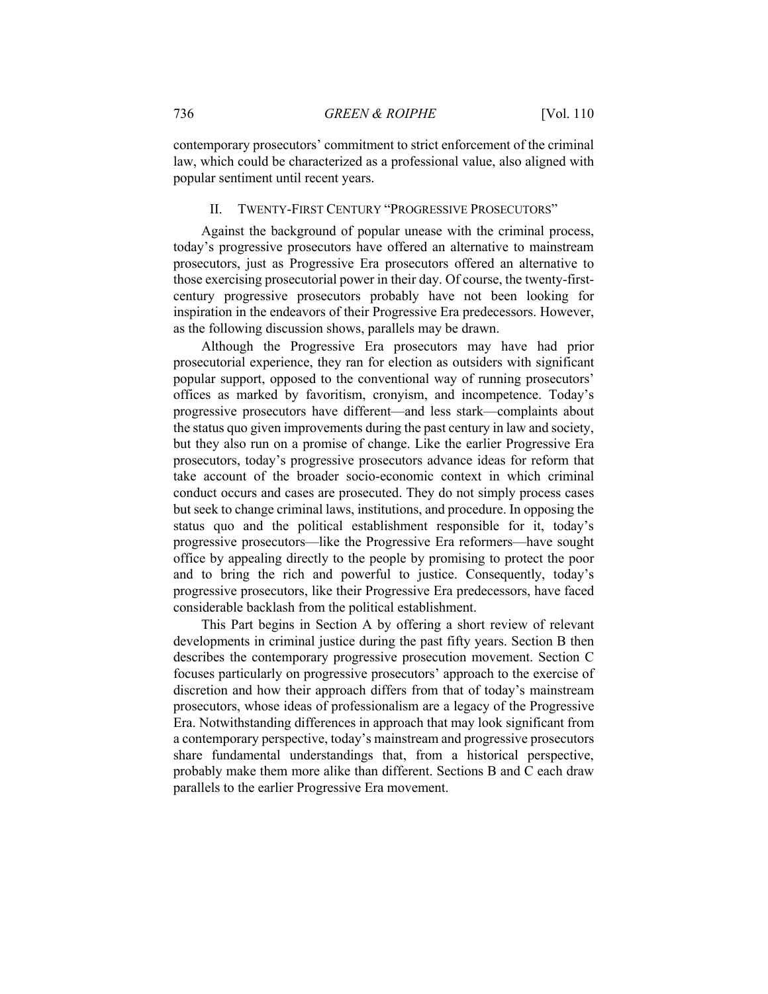contemporary prosecutors' commitment to strict enforcement of the criminal law, which could be characterized as a professional value, also aligned with popular sentiment until recent years.

## II. TWENTY-FIRST CENTURY "PROGRESSIVE PROSECUTORS"

Against the background of popular unease with the criminal process, today's progressive prosecutors have offered an alternative to mainstream prosecutors, just as Progressive Era prosecutors offered an alternative to those exercising prosecutorial power in their day. Of course, the twenty-firstcentury progressive prosecutors probably have not been looking for inspiration in the endeavors of their Progressive Era predecessors. However, as the following discussion shows, parallels may be drawn.

Although the Progressive Era prosecutors may have had prior prosecutorial experience, they ran for election as outsiders with significant popular support, opposed to the conventional way of running prosecutors' offices as marked by favoritism, cronyism, and incompetence. Today's progressive prosecutors have different—and less stark—complaints about the status quo given improvements during the past century in law and society, but they also run on a promise of change. Like the earlier Progressive Era prosecutors, today's progressive prosecutors advance ideas for reform that take account of the broader socio-economic context in which criminal conduct occurs and cases are prosecuted. They do not simply process cases but seek to change criminal laws, institutions, and procedure. In opposing the status quo and the political establishment responsible for it, today's progressive prosecutors—like the Progressive Era reformers—have sought office by appealing directly to the people by promising to protect the poor and to bring the rich and powerful to justice. Consequently, today's progressive prosecutors, like their Progressive Era predecessors, have faced considerable backlash from the political establishment.

This Part begins in Section A by offering a short review of relevant developments in criminal justice during the past fifty years. Section B then describes the contemporary progressive prosecution movement. Section C focuses particularly on progressive prosecutors' approach to the exercise of discretion and how their approach differs from that of today's mainstream prosecutors, whose ideas of professionalism are a legacy of the Progressive Era. Notwithstanding differences in approach that may look significant from a contemporary perspective, today's mainstream and progressive prosecutors share fundamental understandings that, from a historical perspective, probably make them more alike than different. Sections B and C each draw parallels to the earlier Progressive Era movement.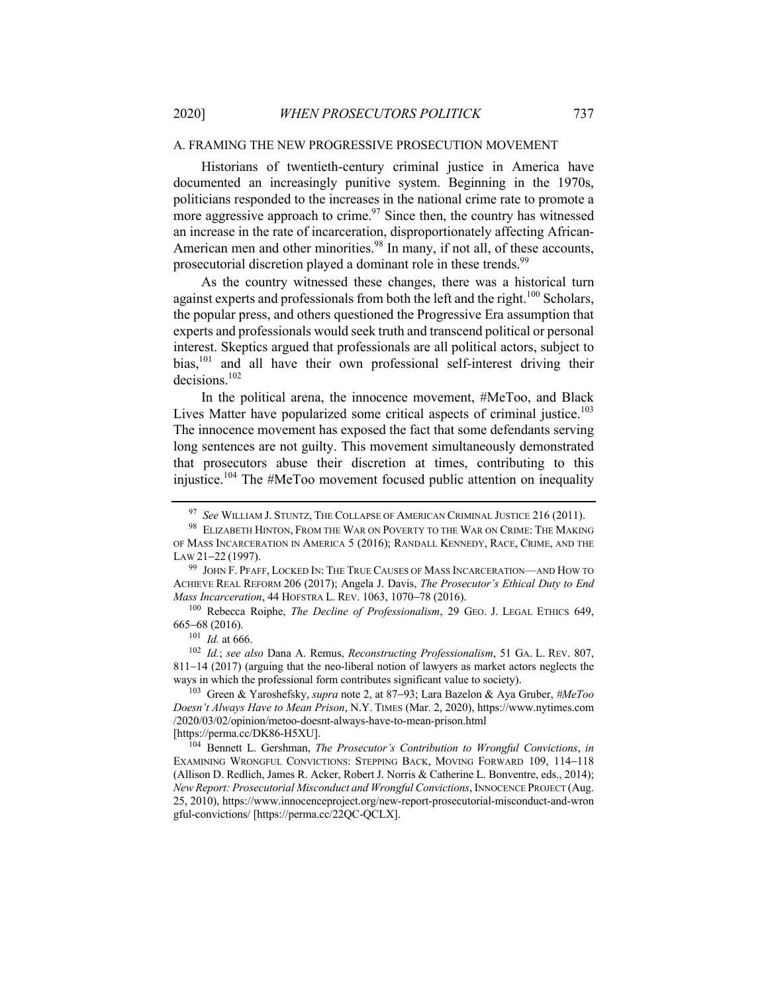#### A. FRAMING THE NEW PROGRESSIVE PROSECUTION MOVEMENT

Historians of twentieth-century criminal justice in America have documented an increasingly punitive system. Beginning in the 1970s, politicians responded to the increases in the national crime rate to promote a more aggressive approach to crime.<sup>97</sup> Since then, the country has witnessed an increase in the rate of incarceration, disproportionately affecting African-American men and other minorities. $98$  In many, if not all, of these accounts, prosecutorial discretion played a dominant role in these trends.<sup>99</sup>

As the country witnessed these changes, there was a historical turn against experts and professionals from both the left and the right.<sup>100</sup> Scholars, the popular press, and others questioned the Progressive Era assumption that experts and professionals would seek truth and transcend political or personal interest. Skeptics argued that professionals are all political actors, subject to bias,<sup>101</sup> and all have their own professional self-interest driving their decisions.<sup>102</sup>

In the political arena, the innocence movement, #MeToo, and Black Lives Matter have popularized some critical aspects of criminal justice.<sup>103</sup> The innocence movement has exposed the fact that some defendants serving long sentences are not guilty. This movement simultaneously demonstrated that prosecutors abuse their discretion at times, contributing to this injustice.<sup>104</sup> The #MeToo movement focused public attention on inequality

<sup>100</sup> Rebecca Roiphe, *The Decline of Professionalism*, 29 GEO. J. LEGAL ETHICS 649, 665-68 (2016).

 $101$  *Id.* at 666.

<sup>102</sup> *Id.*; *see also* Dana A. Remus, *Reconstructing Professionalism*, 51 GA. L. REV. 807, 811-14 (2017) (arguing that the neo-liberal notion of lawyers as market actors neglects the ways in which the professional form contributes significant value to society).

<sup>103</sup> Green & Yaroshefsky, *supra* note 2, at 87-93; Lara Bazelon & Aya Gruber, *#MeToo Doesn't Always Have to Mean Prison*, N.Y. TIMES (Mar. 2, 2020), https://www.nytimes.com /2020/03/02/opinion/metoo-doesnt-always-have-to-mean-prison.html [https://perma.cc/DK86-H5XU].

<sup>104</sup> Bennett L. Gershman, *The Prosecutor's Contribution to Wrongful Convictions*, *in* EXAMINING WRONGFUL CONVICTIONS: STEPPING BACK, MOVING FORWARD 109, 114-118 (Allison D. Redlich, James R. Acker, Robert J. Norris & Catherine L. Bonventre, eds., 2014); *New Report: Prosecutorial Misconduct and Wrongful Convictions*, INNOCENCE PROJECT (Aug. 25, 2010), https://www.innocenceproject.org/new-report-prosecutorial-misconduct-and-wron gful-convictions/ [https://perma.cc/22QC-QCLX].

<sup>97</sup> *See* WILLIAM J. STUNTZ, THE COLLAPSE OF AMERICAN CRIMINAL JUSTICE 216 (2011).

 $^{98}\,$  ELIZABETH HINTON, FROM THE WAR ON POVERTY TO THE WAR ON CRIME: THE MAKING OF MASS INCARCERATION IN AMERICA 5 (2016); RANDALL KENNEDY, RACE, CRIME, AND THE LAW 21-22 (1997).

<sup>&</sup>lt;sup>99</sup> JOHN F. PFAFF, LOCKED IN: THE TRUE CAUSES OF MASS INCARCERATION—AND HOW TO ACHIEVE REAL REFORM 206 (2017); Angela J. Davis, *The Prosecutor's Ethical Duty to End Mass Incarceration*, 44 HOFSTRA L. REV. 1063, 1070-78 (2016).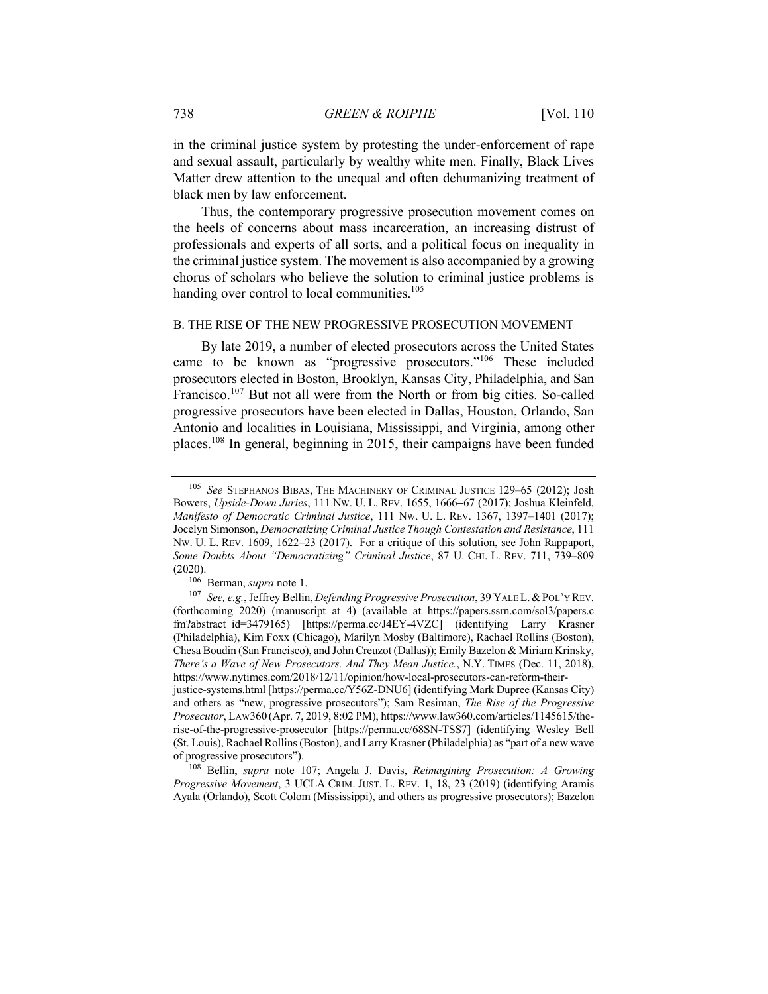in the criminal justice system by protesting the under-enforcement of rape and sexual assault, particularly by wealthy white men. Finally, Black Lives Matter drew attention to the unequal and often dehumanizing treatment of black men by law enforcement.

Thus, the contemporary progressive prosecution movement comes on the heels of concerns about mass incarceration, an increasing distrust of professionals and experts of all sorts, and a political focus on inequality in the criminal justice system. The movement is also accompanied by a growing chorus of scholars who believe the solution to criminal justice problems is handing over control to local communities.<sup>105</sup>

#### B. THE RISE OF THE NEW PROGRESSIVE PROSECUTION MOVEMENT

By late 2019, a number of elected prosecutors across the United States came to be known as "progressive prosecutors."<sup>106</sup> These included prosecutors elected in Boston, Brooklyn, Kansas City, Philadelphia, and San Francisco.<sup>107</sup> But not all were from the North or from big cities. So-called progressive prosecutors have been elected in Dallas, Houston, Orlando, San Antonio and localities in Louisiana, Mississippi, and Virginia, among other places.108 In general, beginning in 2015, their campaigns have been funded

<sup>105</sup> *See* STEPHANOS BIBAS, THE MACHINERY OF CRIMINAL JUSTICE 129–65 (2012); Josh Bowers, *Upside-Down Juries*, 111 NW. U. L. REV. 1655, 1666-67 (2017); Joshua Kleinfeld, *Manifesto of Democratic Criminal Justice*, 111 NW. U. L. REV. 1367, 1397–1401 (2017); Jocelyn Simonson, *Democratizing Criminal Justice Though Contestation and Resistance*, 111 NW. U. L. REV. 1609, 1622–23 (2017). For a critique of this solution, see John Rappaport, *Some Doubts About "Democratizing" Criminal Justice*, 87 U. CHI. L. REV. 711, 739–809 (2020).

<sup>106</sup> Berman, *supra* note 1.

<sup>107</sup> *See, e.g.*, Jeffrey Bellin, *Defending Progressive Prosecution*, 39 YALE L.&POL'Y REV. (forthcoming 2020) (manuscript at 4) (available at https://papers.ssrn.com/sol3/papers.c fm?abstract\_id=3479165) [https://perma.cc/J4EY-4VZC] (identifying Larry Krasner (Philadelphia), Kim Foxx (Chicago), Marilyn Mosby (Baltimore), Rachael Rollins (Boston), Chesa Boudin (San Francisco), and John Creuzot (Dallas)); Emily Bazelon & Miriam Krinsky, *There's a Wave of New Prosecutors. And They Mean Justice.*, N.Y. TIMES (Dec. 11, 2018), https://www.nytimes.com/2018/12/11/opinion/how-local-prosecutors-can-reform-theirjustice-systems.html [https://perma.cc/Y56Z-DNU6] (identifying Mark Dupree (Kansas City) and others as "new, progressive prosecutors"); Sam Resiman, *The Rise of the Progressive Prosecutor*, LAW360 (Apr. 7, 2019, 8:02 PM), https://www.law360.com/articles/1145615/therise-of-the-progressive-prosecutor [https://perma.cc/68SN-TSS7] (identifying Wesley Bell (St. Louis), Rachael Rollins (Boston), and Larry Krasner (Philadelphia) as "part of a new wave of progressive prosecutors").

<sup>108</sup> Bellin, *supra* note 107; Angela J. Davis, *Reimagining Prosecution: A Growing Progressive Movement*, 3 UCLA CRIM. JUST. L. REV. 1, 18, 23 (2019) (identifying Aramis Ayala (Orlando), Scott Colom (Mississippi), and others as progressive prosecutors); Bazelon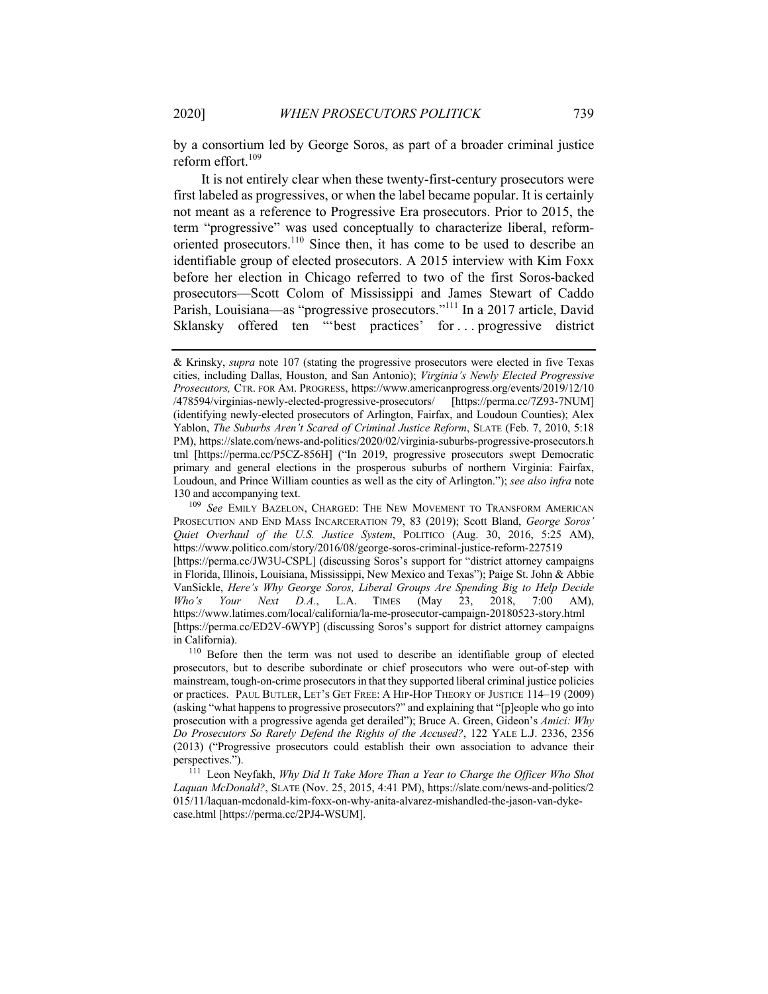by a consortium led by George Soros, as part of a broader criminal justice reform effort. $109$ 

It is not entirely clear when these twenty-first-century prosecutors were first labeled as progressives, or when the label became popular. It is certainly not meant as a reference to Progressive Era prosecutors. Prior to 2015, the term "progressive" was used conceptually to characterize liberal, reformoriented prosecutors.<sup>110</sup> Since then, it has come to be used to describe an identifiable group of elected prosecutors. A 2015 interview with Kim Foxx before her election in Chicago referred to two of the first Soros-backed prosecutors—Scott Colom of Mississippi and James Stewart of Caddo Parish, Louisiana—as "progressive prosecutors."111 In a 2017 article, David Sklansky offered ten "best practices' for ... progressive district

<sup>109</sup> *See* EMILY BAZELON, CHARGED: THE NEW MOVEMENT TO TRANSFORM AMERICAN PROSECUTION AND END MASS INCARCERATION 79, 83 (2019); Scott Bland, *George Soros' Quiet Overhaul of the U.S. Justice System*, POLITICO (Aug. 30, 2016, 5:25 AM), https://www.politico.com/story/2016/08/george-soros-criminal-justice-reform-227519 [https://perma.cc/JW3U-CSPL] (discussing Soros's support for "district attorney campaigns in Florida, Illinois, Louisiana, Mississippi, New Mexico and Texas"); Paige St. John & Abbie VanSickle, *Here's Why George Soros, Liberal Groups Are Spending Big to Help Decide Who's Your Next D.A.*, L.A. TIMES (May 23, 2018, 7:00 AM), https://www.latimes.com/local/california/la-me-prosecutor-campaign-20180523-story.html [https://perma.cc/ED2V-6WYP] (discussing Soros's support for district attorney campaigns in California).

<sup>110</sup> Before then the term was not used to describe an identifiable group of elected prosecutors, but to describe subordinate or chief prosecutors who were out-of-step with mainstream, tough-on-crime prosecutors in that they supported liberal criminal justice policies or practices. PAUL BUTLER, LET'S GET FREE: A HIP-HOP THEORY OF JUSTICE 114–19 (2009) (asking "what happens to progressive prosecutors?" and explaining that "[p]eople who go into prosecution with a progressive agenda get derailed"); Bruce A. Green, Gideon's *Amici: Why Do Prosecutors So Rarely Defend the Rights of the Accused?*, 122 YALE L.J. 2336, 2356 (2013) ("Progressive prosecutors could establish their own association to advance their perspectives.").

<sup>111</sup> Leon Neyfakh, *Why Did It Take More Than a Year to Charge the Officer Who Shot Laquan McDonald?*, SLATE (Nov. 25, 2015, 4:41 PM), https://slate.com/news-and-politics/2 015/11/laquan-mcdonald-kim-foxx-on-why-anita-alvarez-mishandled-the-jason-van-dykecase.html [https://perma.cc/2PJ4-WSUM].

<sup>&</sup>amp; Krinsky, *supra* note 107 (stating the progressive prosecutors were elected in five Texas cities, including Dallas, Houston, and San Antonio); *Virginia's Newly Elected Progressive Prosecutors,* CTR. FOR AM. PROGRESS, https://www.americanprogress.org/events/2019/12/10 /478594/virginias-newly-elected-progressive-prosecutors/ [https://perma.cc/7Z93-7NUM] (identifying newly-elected prosecutors of Arlington, Fairfax, and Loudoun Counties); Alex Yablon, *The Suburbs Aren't Scared of Criminal Justice Reform*, SLATE (Feb. 7, 2010, 5:18 PM), https://slate.com/news-and-politics/2020/02/virginia-suburbs-progressive-prosecutors.h tml [https://perma.cc/P5CZ-856H] ("In 2019, progressive prosecutors swept Democratic primary and general elections in the prosperous suburbs of northern Virginia: Fairfax, Loudoun, and Prince William counties as well as the city of Arlington."); *see also infra* note 130 and accompanying text.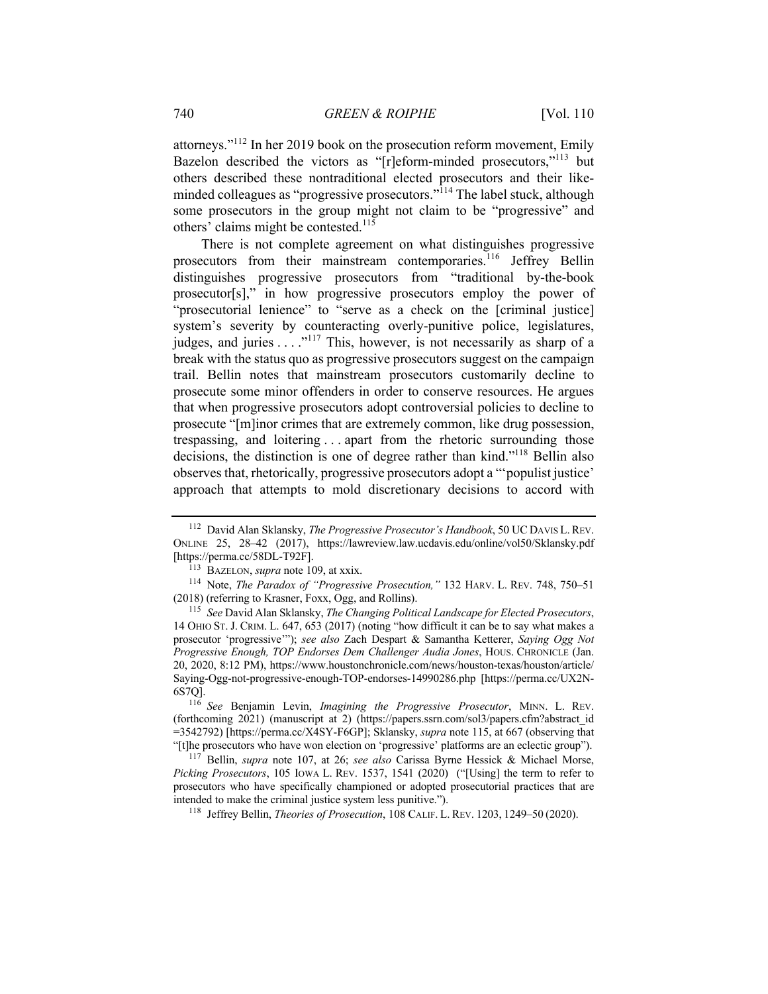attorneys."<sup>112</sup> In her 2019 book on the prosecution reform movement, Emily Bazelon described the victors as "[r]eform-minded prosecutors,"<sup>113</sup> but others described these nontraditional elected prosecutors and their likeminded colleagues as "progressive prosecutors."<sup>114</sup> The label stuck, although some prosecutors in the group might not claim to be "progressive" and others' claims might be contested.<sup>115</sup>

There is not complete agreement on what distinguishes progressive prosecutors from their mainstream contemporaries.<sup>116</sup> Jeffrey Bellin distinguishes progressive prosecutors from "traditional by-the-book prosecutor[s]," in how progressive prosecutors employ the power of "prosecutorial lenience" to "serve as a check on the [criminal justice] system's severity by counteracting overly-punitive police, legislatures, judges, and juries  $\dots$ <sup>117</sup> This, however, is not necessarily as sharp of a break with the status quo as progressive prosecutors suggest on the campaign trail. Bellin notes that mainstream prosecutors customarily decline to prosecute some minor offenders in order to conserve resources. He argues that when progressive prosecutors adopt controversial policies to decline to prosecute "[m]inor crimes that are extremely common, like drug possession, trespassing, and loitering . . . apart from the rhetoric surrounding those decisions, the distinction is one of degree rather than kind."118 Bellin also observes that, rhetorically, progressive prosecutors adopt a "'populist justice' approach that attempts to mold discretionary decisions to accord with

<sup>116</sup> *See* Benjamin Levin, *Imagining the Progressive Prosecutor*, MINN. L. REV. (forthcoming 2021) (manuscript at 2) (https://papers.ssrn.com/sol3/papers.cfm?abstract\_id =3542792) [https://perma.cc/X4SY-F6GP]; Sklansky, *supra* note 115, at 667 (observing that "[t]he prosecutors who have won election on 'progressive' platforms are an eclectic group").

<sup>117</sup> Bellin, *supra* note 107, at 26; *see also* Carissa Byrne Hessick & Michael Morse, *Picking Prosecutors*, 105 IOWA L. REV. 1537, 1541 (2020) ("[Using] the term to refer to prosecutors who have specifically championed or adopted prosecutorial practices that are intended to make the criminal justice system less punitive.").

<sup>118</sup> Jeffrey Bellin, *Theories of Prosecution*, 108 CALIF. L. REV. 1203, 1249–50 (2020).

<sup>112</sup> David Alan Sklansky, *The Progressive Prosecutor's Handbook*, 50 UC DAVIS L. REV. ONLINE 25, 28–42 (2017), https://lawreview.law.ucdavis.edu/online/vol50/Sklansky.pdf [https://perma.cc/58DL-T92F].

<sup>113</sup> BAZELON, *supra* note 109, at xxix.

<sup>114</sup> Note, *The Paradox of "Progressive Prosecution,"* 132 HARV. L. REV. 748, 750–51 (2018) (referring to Krasner, Foxx, Ogg, and Rollins).

<sup>115</sup> *See* David Alan Sklansky, *The Changing Political Landscape for Elected Prosecutors*, 14 OHIO ST. J. CRIM. L. 647, 653 (2017) (noting "how difficult it can be to say what makes a prosecutor 'progressive'"); *see also* Zach Despart & Samantha Ketterer, *Saying Ogg Not Progressive Enough, TOP Endorses Dem Challenger Audia Jones*, HOUS. CHRONICLE (Jan. 20, 2020, 8:12 PM), https://www.houstonchronicle.com/news/houston-texas/houston/article/ Saying-Ogg-not-progressive-enough-TOP-endorses-14990286.php [https://perma.cc/UX2N-6S7Q].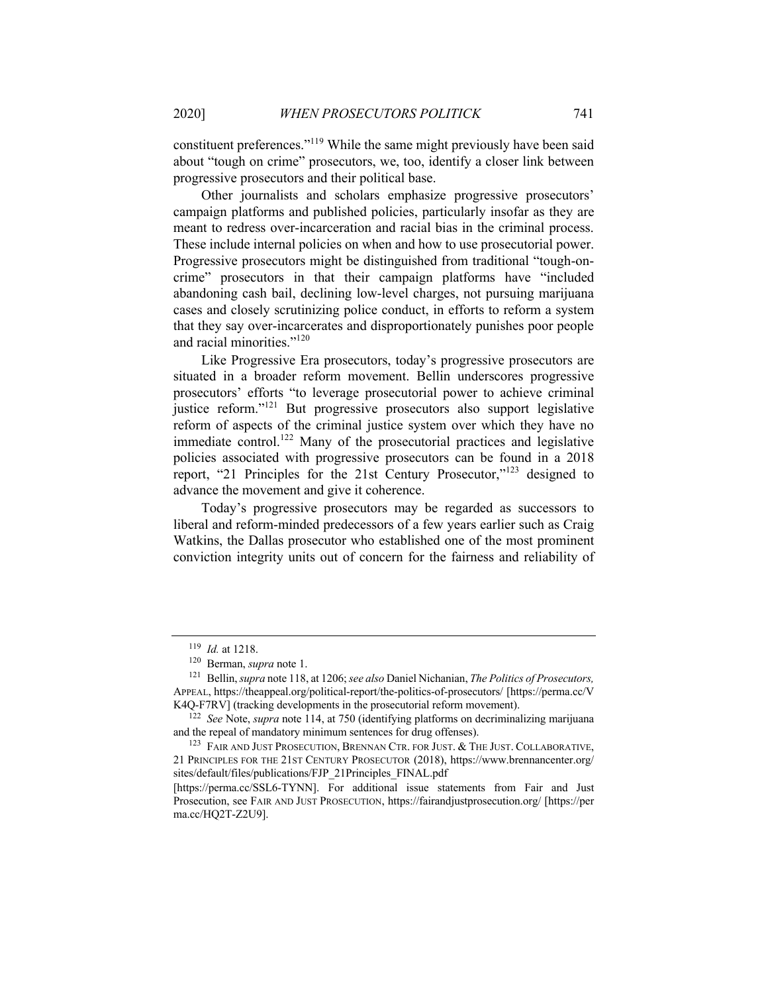constituent preferences."119 While the same might previously have been said about "tough on crime" prosecutors, we, too, identify a closer link between progressive prosecutors and their political base.

Other journalists and scholars emphasize progressive prosecutors' campaign platforms and published policies, particularly insofar as they are meant to redress over-incarceration and racial bias in the criminal process. These include internal policies on when and how to use prosecutorial power. Progressive prosecutors might be distinguished from traditional "tough-oncrime" prosecutors in that their campaign platforms have "included abandoning cash bail, declining low-level charges, not pursuing marijuana cases and closely scrutinizing police conduct, in efforts to reform a system that they say over-incarcerates and disproportionately punishes poor people and racial minorities."<sup>120</sup>

Like Progressive Era prosecutors, today's progressive prosecutors are situated in a broader reform movement. Bellin underscores progressive prosecutors' efforts "to leverage prosecutorial power to achieve criminal justice reform."121 But progressive prosecutors also support legislative reform of aspects of the criminal justice system over which they have no immediate control.<sup>122</sup> Many of the prosecutorial practices and legislative policies associated with progressive prosecutors can be found in a 2018 report, "21 Principles for the 21st Century Prosecutor,"<sup>123</sup> designed to advance the movement and give it coherence.

Today's progressive prosecutors may be regarded as successors to liberal and reform-minded predecessors of a few years earlier such as Craig Watkins, the Dallas prosecutor who established one of the most prominent conviction integrity units out of concern for the fairness and reliability of

<sup>119</sup> *Id.* at 1218.

<sup>120</sup> Berman, *supra* note 1.

<sup>121</sup> Bellin, *supra* note 118, at 1206; *see also* Daniel Nichanian, *The Politics of Prosecutors,* APPEAL, https://theappeal.org/political-report/the-politics-of-prosecutors/ [https://perma.cc/V K4Q-F7RV] (tracking developments in the prosecutorial reform movement).

<sup>122</sup> *See* Note, *supra* note 114, at 750 (identifying platforms on decriminalizing marijuana and the repeal of mandatory minimum sentences for drug offenses).

<sup>&</sup>lt;sup>123</sup> FAIR AND JUST PROSECUTION, BRENNAN CTR. FOR JUST.  $&$  THE JUST. COLLABORATIVE, 21 PRINCIPLES FOR THE 21ST CENTURY PROSECUTOR (2018), https://www.brennancenter.org/ sites/default/files/publications/FJP\_21Principles\_FINAL.pdf

<sup>[</sup>https://perma.cc/SSL6-TYNN]. For additional issue statements from Fair and Just Prosecution, see FAIR AND JUST PROSECUTION, https://fairandjustprosecution.org/ [https://per ma.cc/HQ2T-Z2U9].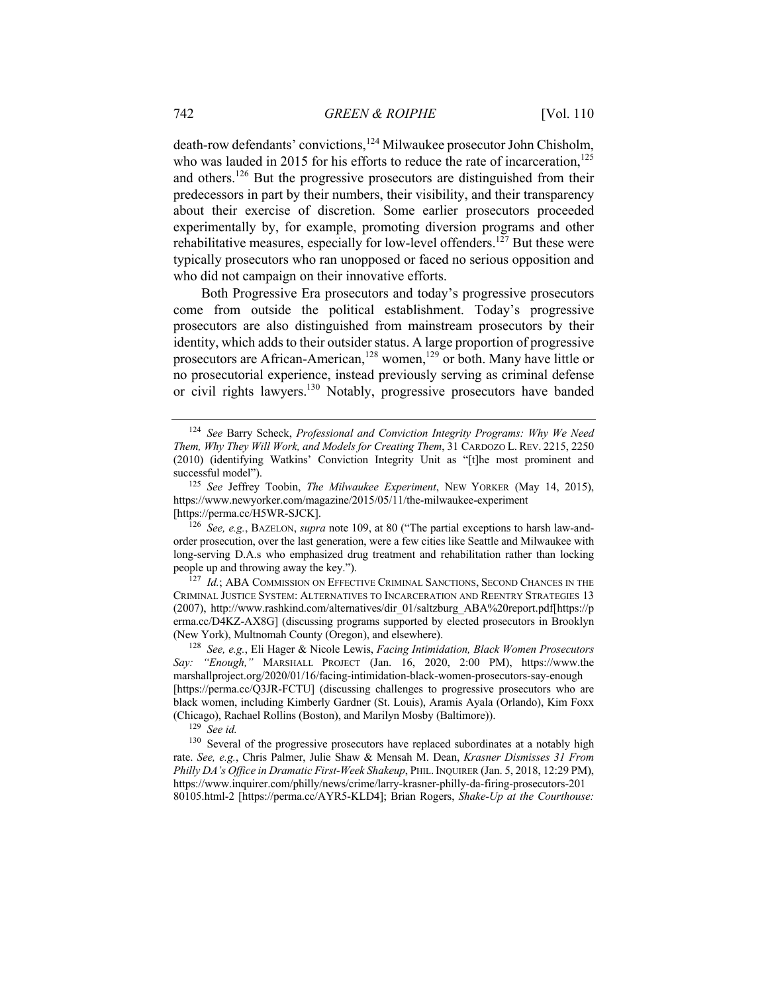death-row defendants' convictions,<sup>124</sup> Milwaukee prosecutor John Chisholm, who was lauded in 2015 for his efforts to reduce the rate of incarceration, $125$ and others.<sup>126</sup> But the progressive prosecutors are distinguished from their predecessors in part by their numbers, their visibility, and their transparency about their exercise of discretion. Some earlier prosecutors proceeded experimentally by, for example, promoting diversion programs and other rehabilitative measures, especially for low-level offenders.<sup>127</sup> But these were typically prosecutors who ran unopposed or faced no serious opposition and who did not campaign on their innovative efforts.

Both Progressive Era prosecutors and today's progressive prosecutors come from outside the political establishment. Today's progressive prosecutors are also distinguished from mainstream prosecutors by their identity, which adds to their outsider status. A large proportion of progressive prosecutors are African-American,<sup>128</sup> women,<sup>129</sup> or both. Many have little or no prosecutorial experience, instead previously serving as criminal defense or civil rights lawyers.<sup>130</sup> Notably, progressive prosecutors have banded

<sup>126</sup> *See, e.g.*, BAZELON, *supra* note 109, at 80 ("The partial exceptions to harsh law-andorder prosecution, over the last generation, were a few cities like Seattle and Milwaukee with long-serving D.A.s who emphasized drug treatment and rehabilitation rather than locking people up and throwing away the key.").

<sup>127</sup> *Id.*; ABA COMMISSION ON EFFECTIVE CRIMINAL SANCTIONS, SECOND CHANCES IN THE CRIMINAL JUSTICE SYSTEM: ALTERNATIVES TO INCARCERATION AND REENTRY STRATEGIES 13 (2007), http://www.rashkind.com/alternatives/dir\_01/saltzburg\_ABA%20report.pdf[https://p erma.cc/D4KZ-AX8G] (discussing programs supported by elected prosecutors in Brooklyn (New York), Multnomah County (Oregon), and elsewhere).

<sup>124</sup> *See* Barry Scheck, *Professional and Conviction Integrity Programs: Why We Need Them, Why They Will Work, and Models for Creating Them*, 31 CARDOZO L. REV. 2215, 2250 (2010) (identifying Watkins' Conviction Integrity Unit as "[t]he most prominent and successful model").

<sup>125</sup> *See* Jeffrey Toobin, *The Milwaukee Experiment*, NEW YORKER (May 14, 2015), https://www.newyorker.com/magazine/2015/05/11/the-milwaukee-experiment [https://perma.cc/H5WR-SJCK].

<sup>128</sup> *See, e.g.*, Eli Hager & Nicole Lewis, *Facing Intimidation, Black Women Prosecutors Say: "Enough,"* MARSHALL PROJECT (Jan. 16, 2020, 2:00 PM), https://www.the marshallproject.org/2020/01/16/facing-intimidation-black-women-prosecutors-say-enough [https://perma.cc/Q3JR-FCTU] (discussing challenges to progressive prosecutors who are black women, including Kimberly Gardner (St. Louis), Aramis Ayala (Orlando), Kim Foxx (Chicago), Rachael Rollins (Boston), and Marilyn Mosby (Baltimore)).

<sup>129</sup> *See id.*

<sup>&</sup>lt;sup>130</sup> Several of the progressive prosecutors have replaced subordinates at a notably high rate. *See, e.g.*, Chris Palmer, Julie Shaw & Mensah M. Dean, *Krasner Dismisses 31 From Philly DA's Office in Dramatic First-Week Shakeup*, PHIL.INQUIRER (Jan. 5, 2018, 12:29 PM), https://www.inquirer.com/philly/news/crime/larry-krasner-philly-da-firing-prosecutors-201 80105.html-2 [https://perma.cc/AYR5-KLD4]; Brian Rogers, *Shake-Up at the Courthouse:*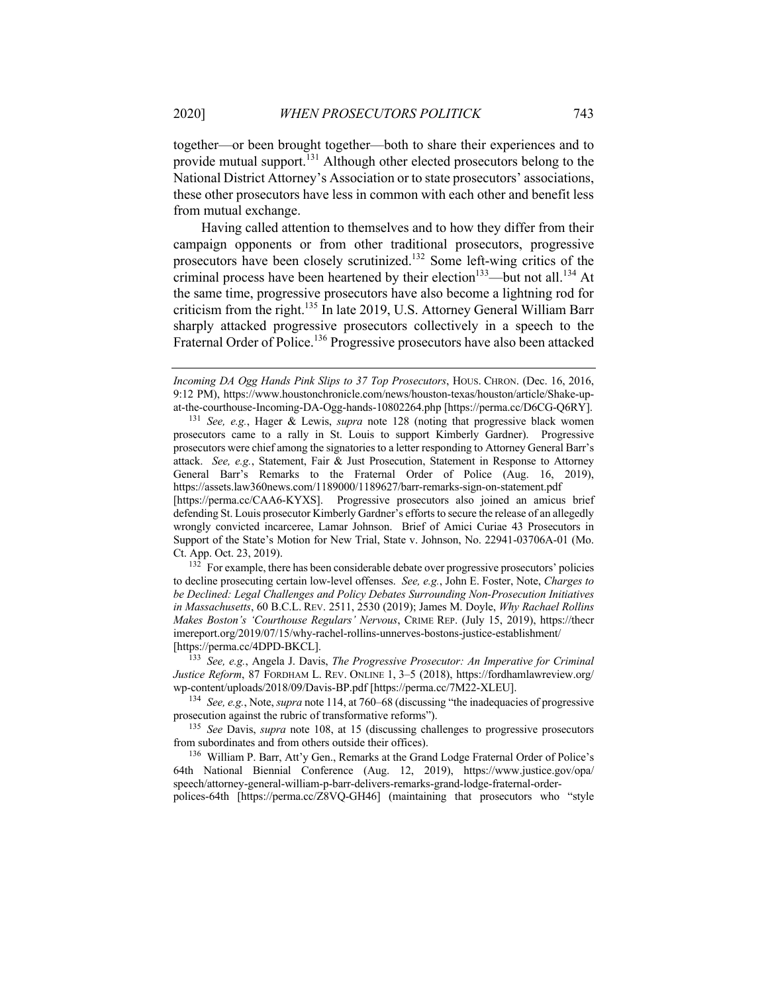together—or been brought together—both to share their experiences and to provide mutual support.<sup>131</sup> Although other elected prosecutors belong to the National District Attorney's Association or to state prosecutors' associations, these other prosecutors have less in common with each other and benefit less from mutual exchange.

Having called attention to themselves and to how they differ from their campaign opponents or from other traditional prosecutors, progressive prosecutors have been closely scrutinized.132 Some left-wing critics of the criminal process have been heartened by their election<sup>133</sup>—but not all.<sup>134</sup> At the same time, progressive prosecutors have also become a lightning rod for criticism from the right.135 In late 2019, U.S. Attorney General William Barr sharply attacked progressive prosecutors collectively in a speech to the Fraternal Order of Police.<sup>136</sup> Progressive prosecutors have also been attacked

<sup>131</sup> *See, e.g.*, Hager & Lewis, *supra* note 128 (noting that progressive black women prosecutors came to a rally in St. Louis to support Kimberly Gardner). Progressive prosecutors were chief among the signatories to a letter responding to Attorney General Barr's attack. *See, e.g.*, Statement, Fair & Just Prosecution, Statement in Response to Attorney General Barr's Remarks to the Fraternal Order of Police (Aug. 16, 2019), https://assets.law360news.com/1189000/1189627/barr-remarks-sign-on-statement.pdf [https://perma.cc/CAA6-KYXS]. Progressive prosecutors also joined an amicus brief defending St. Louis prosecutor Kimberly Gardner's efforts to secure the release of an allegedly wrongly convicted incarceree, Lamar Johnson. Brief of Amici Curiae 43 Prosecutors in Support of the State's Motion for New Trial, State v. Johnson, No. 22941-03706A-01 (Mo. Ct. App. Oct. 23, 2019).

<sup>132</sup> For example, there has been considerable debate over progressive prosecutors' policies to decline prosecuting certain low-level offenses. *See, e.g.*, John E. Foster, Note, *Charges to be Declined: Legal Challenges and Policy Debates Surrounding Non-Prosecution Initiatives in Massachusetts*, 60 B.C.L. REV. 2511, 2530 (2019); James M. Doyle, *Why Rachael Rollins Makes Boston's 'Courthouse Regulars' Nervous*, CRIME REP. (July 15, 2019), https://thecr imereport.org/2019/07/15/why-rachel-rollins-unnerves-bostons-justice-establishment/ [https://perma.cc/4DPD-BKCL].

<sup>133</sup> *See, e.g.*, Angela J. Davis, *The Progressive Prosecutor: An Imperative for Criminal Justice Reform*, 87 FORDHAM L. REV. ONLINE 1, 3–5 (2018), https://fordhamlawreview.org/ wp-content/uploads/2018/09/Davis-BP.pdf [https://perma.cc/7M22-XLEU].

<sup>134</sup> *See, e.g.*, Note, *supra* note 114, at 760–68 (discussing "the inadequacies of progressive prosecution against the rubric of transformative reforms").

<sup>135</sup> *See* Davis, *supra* note 108, at 15 (discussing challenges to progressive prosecutors from subordinates and from others outside their offices).

<sup>136</sup> William P. Barr, Att'y Gen., Remarks at the Grand Lodge Fraternal Order of Police's 64th National Biennial Conference (Aug. 12, 2019), https://www.justice.gov/opa/ speech/attorney-general-william-p-barr-delivers-remarks-grand-lodge-fraternal-orderpolices-64th [https://perma.cc/Z8VQ-GH46] (maintaining that prosecutors who "style

*Incoming DA Ogg Hands Pink Slips to 37 Top Prosecutors*, HOUS. CHRON. (Dec. 16, 2016, 9:12 PM), https://www.houstonchronicle.com/news/houston-texas/houston/article/Shake-upat-the-courthouse-Incoming-DA-Ogg-hands-10802264.php [https://perma.cc/D6CG-Q6RY].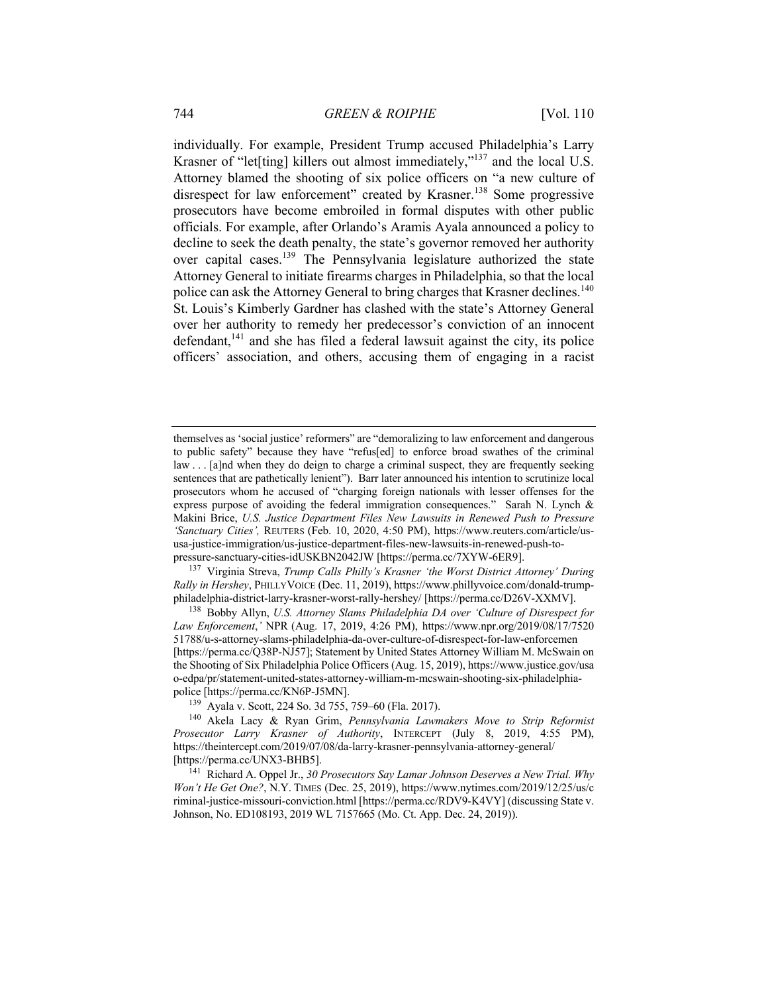individually. For example, President Trump accused Philadelphia's Larry Krasner of "let[ting] killers out almost immediately,"<sup>137</sup> and the local U.S. Attorney blamed the shooting of six police officers on "a new culture of disrespect for law enforcement" created by Krasner.<sup>138</sup> Some progressive prosecutors have become embroiled in formal disputes with other public officials. For example, after Orlando's Aramis Ayala announced a policy to decline to seek the death penalty, the state's governor removed her authority over capital cases.139 The Pennsylvania legislature authorized the state Attorney General to initiate firearms charges in Philadelphia, so that the local police can ask the Attorney General to bring charges that Krasner declines.<sup>140</sup> St. Louis's Kimberly Gardner has clashed with the state's Attorney General over her authority to remedy her predecessor's conviction of an innocent  $defendant<sub>1</sub><sup>141</sup>$  and she has filed a federal lawsuit against the city, its police officers' association, and others, accusing them of engaging in a racist

<sup>137</sup> Virginia Streva, *Trump Calls Philly's Krasner 'the Worst District Attorney' During Rally in Hershey*, PHILLYVOICE (Dec. 11, 2019), https://www.phillyvoice.com/donald-trumpphiladelphia-district-larry-krasner-worst-rally-hershey/ [https://perma.cc/D26V-XXMV].

<sup>138</sup> Bobby Allyn, *U.S. Attorney Slams Philadelphia DA over 'Culture of Disrespect for Law Enforcement*,*'* NPR (Aug. 17, 2019, 4:26 PM), https://www.npr.org/2019/08/17/7520 51788/u-s-attorney-slams-philadelphia-da-over-culture-of-disrespect-for-law-enforcemen [https://perma.cc/Q38P-NJ57]; Statement by United States Attorney William M. McSwain on the Shooting of Six Philadelphia Police Officers (Aug. 15, 2019), https://www.justice.gov/usa o-edpa/pr/statement-united-states-attorney-william-m-mcswain-shooting-six-philadelphiapolice [https://perma.cc/KN6P-J5MN].

<sup>139</sup> Ayala v. Scott, 224 So. 3d 755, 759–60 (Fla. 2017).

<sup>140</sup> Akela Lacy & Ryan Grim, *Pennsylvania Lawmakers Move to Strip Reformist Prosecutor Larry Krasner of Authority*, INTERCEPT (July 8, 2019, 4:55 PM), https://theintercept.com/2019/07/08/da-larry-krasner-pennsylvania-attorney-general/ [https://perma.cc/UNX3-BHB5].

<sup>141</sup> Richard A. Oppel Jr., *30 Prosecutors Say Lamar Johnson Deserves a New Trial. Why Won't He Get One?*, N.Y. TIMES (Dec. 25, 2019), https://www.nytimes.com/2019/12/25/us/c riminal-justice-missouri-conviction.html [https://perma.cc/RDV9-K4VY] (discussing State v. Johnson, No. ED108193, 2019 WL 7157665 (Mo. Ct. App. Dec. 24, 2019)).

themselves as 'social justice' reformers" are "demoralizing to law enforcement and dangerous to public safety" because they have "refus[ed] to enforce broad swathes of the criminal law . . . [a]nd when they do deign to charge a criminal suspect, they are frequently seeking sentences that are pathetically lenient"). Barr later announced his intention to scrutinize local prosecutors whom he accused of "charging foreign nationals with lesser offenses for the express purpose of avoiding the federal immigration consequences." Sarah N. Lynch & Makini Brice, *U.S. Justice Department Files New Lawsuits in Renewed Push to Pressure 'Sanctuary Cities',* REUTERS (Feb. 10, 2020, 4:50 PM), https://www.reuters.com/article/ususa-justice-immigration/us-justice-department-files-new-lawsuits-in-renewed-push-topressure-sanctuary-cities-idUSKBN2042JW [https://perma.cc/7XYW-6ER9].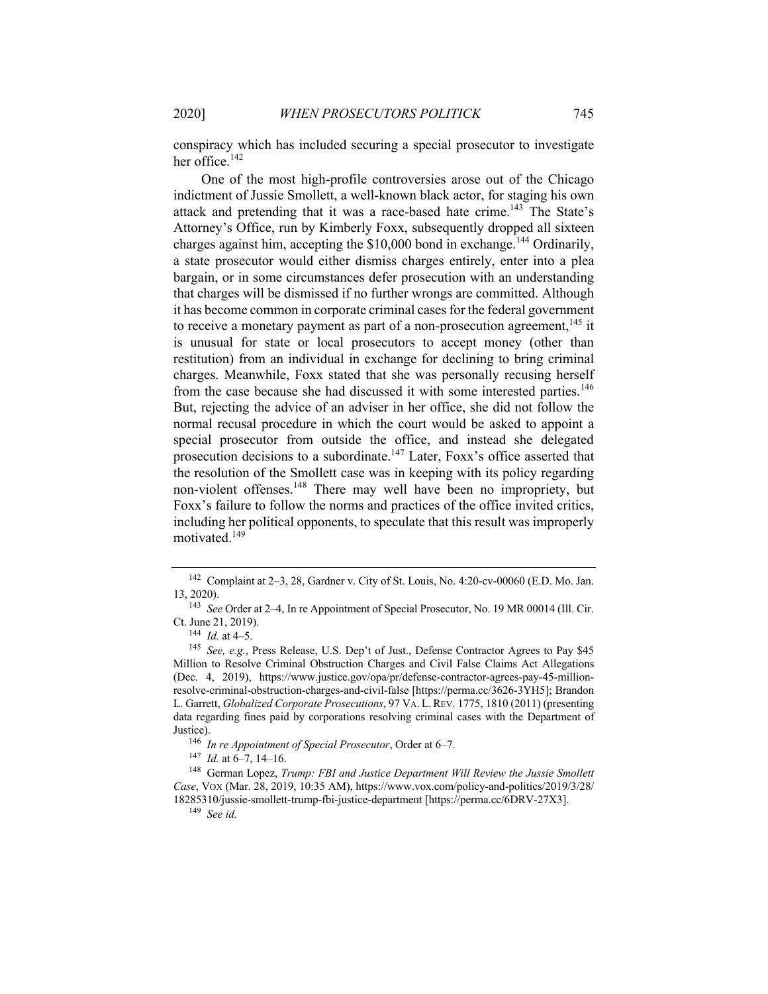conspiracy which has included securing a special prosecutor to investigate her office. $142$ 

One of the most high-profile controversies arose out of the Chicago indictment of Jussie Smollett, a well-known black actor, for staging his own attack and pretending that it was a race-based hate crime.<sup>143</sup> The State's Attorney's Office, run by Kimberly Foxx, subsequently dropped all sixteen charges against him, accepting the  $$10,000$  bond in exchange.<sup>144</sup> Ordinarily, a state prosecutor would either dismiss charges entirely, enter into a plea bargain, or in some circumstances defer prosecution with an understanding that charges will be dismissed if no further wrongs are committed. Although it has become common in corporate criminal cases for the federal government to receive a monetary payment as part of a non-prosecution agreement,  $145$  it is unusual for state or local prosecutors to accept money (other than restitution) from an individual in exchange for declining to bring criminal charges. Meanwhile, Foxx stated that she was personally recusing herself from the case because she had discussed it with some interested parties.<sup>146</sup> But, rejecting the advice of an adviser in her office, she did not follow the normal recusal procedure in which the court would be asked to appoint a special prosecutor from outside the office, and instead she delegated prosecution decisions to a subordinate.<sup>147</sup> Later, Foxx's office asserted that the resolution of the Smollett case was in keeping with its policy regarding non-violent offenses.<sup>148</sup> There may well have been no impropriety, but Foxx's failure to follow the norms and practices of the office invited critics, including her political opponents, to speculate that this result was improperly motivated.<sup>149</sup>

<sup>142</sup> Complaint at 2–3, 28, Gardner v. City of St. Louis, No. 4:20-cv-00060 (E.D. Mo. Jan. 13, 2020).

<sup>143</sup> *See* Order at 2–4, In re Appointment of Special Prosecutor, No. 19 MR 00014 (Ill. Cir. Ct. June 21, 2019).

 $^{144}$  *Id.* at 4–5.

<sup>145</sup> *See, e.g.*, Press Release, U.S. Dep't of Just., Defense Contractor Agrees to Pay \$45 Million to Resolve Criminal Obstruction Charges and Civil False Claims Act Allegations (Dec. 4, 2019), https://www.justice.gov/opa/pr/defense-contractor-agrees-pay-45-millionresolve-criminal-obstruction-charges-and-civil-false [https://perma.cc/3626-3YH5]; Brandon L. Garrett, *Globalized Corporate Prosecutions*, 97 VA. L.REV. 1775, 1810 (2011) (presenting data regarding fines paid by corporations resolving criminal cases with the Department of Justice).

<sup>146</sup> *In re Appointment of Special Prosecutor*, Order at 6–7.

<sup>147</sup> *Id.* at 6–7, 14–16.

<sup>148</sup> German Lopez, *Trump: FBI and Justice Department Will Review the Jussie Smollett Case*, VOX (Mar. 28, 2019, 10:35 AM), https://www.vox.com/policy-and-politics/2019/3/28/ 18285310/jussie-smollett-trump-fbi-justice-department [https://perma.cc/6DRV-27X3].

<sup>149</sup> *See id.*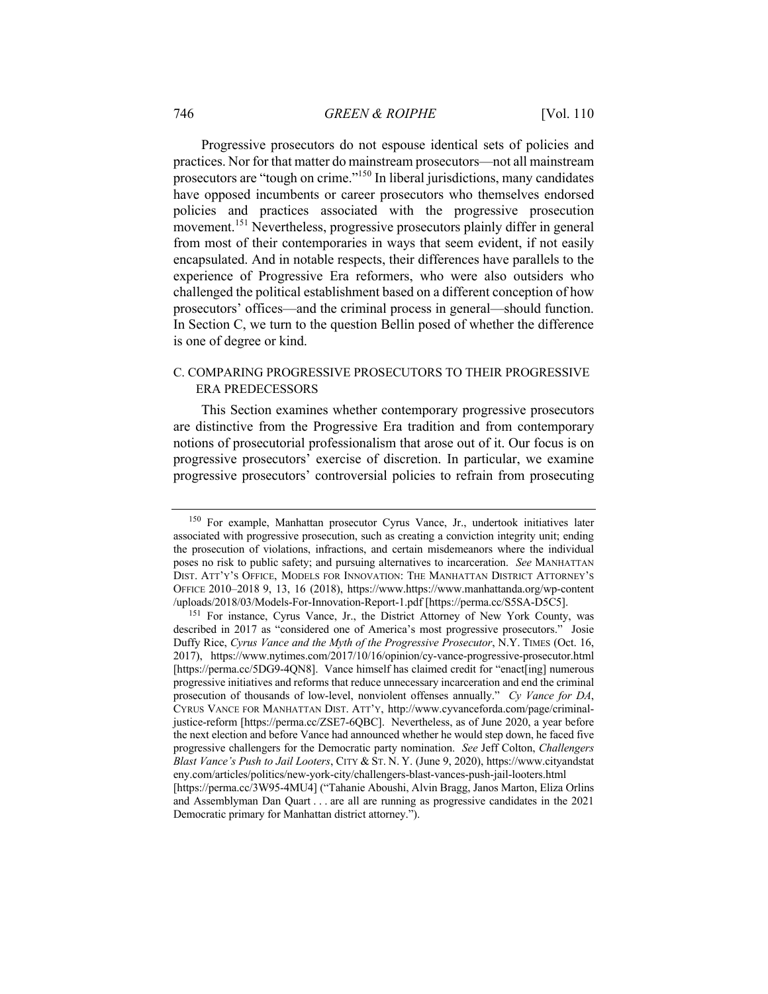Progressive prosecutors do not espouse identical sets of policies and practices. Nor for that matter do mainstream prosecutors—not all mainstream prosecutors are "tough on crime."150 In liberal jurisdictions, many candidates have opposed incumbents or career prosecutors who themselves endorsed policies and practices associated with the progressive prosecution movement.<sup>151</sup> Nevertheless, progressive prosecutors plainly differ in general from most of their contemporaries in ways that seem evident, if not easily encapsulated. And in notable respects, their differences have parallels to the experience of Progressive Era reformers, who were also outsiders who challenged the political establishment based on a different conception of how prosecutors' offices—and the criminal process in general—should function. In Section C, we turn to the question Bellin posed of whether the difference is one of degree or kind.

## C. COMPARING PROGRESSIVE PROSECUTORS TO THEIR PROGRESSIVE ERA PREDECESSORS

This Section examines whether contemporary progressive prosecutors are distinctive from the Progressive Era tradition and from contemporary notions of prosecutorial professionalism that arose out of it. Our focus is on progressive prosecutors' exercise of discretion. In particular, we examine progressive prosecutors' controversial policies to refrain from prosecuting

<sup>150</sup> For example, Manhattan prosecutor Cyrus Vance, Jr., undertook initiatives later associated with progressive prosecution, such as creating a conviction integrity unit; ending the prosecution of violations, infractions, and certain misdemeanors where the individual poses no risk to public safety; and pursuing alternatives to incarceration. *See* MANHATTAN DIST. ATT'Y'S OFFICE, MODELS FOR INNOVATION: THE MANHATTAN DISTRICT ATTORNEY'S OFFICE 2010–2018 9, 13, 16 (2018), https://www.https://www.manhattanda.org/wp-content /uploads/2018/03/Models-For-Innovation-Report-1.pdf [https://perma.cc/S5SA-D5C5].

<sup>151</sup> For instance, Cyrus Vance, Jr., the District Attorney of New York County, was described in 2017 as "considered one of America's most progressive prosecutors." Josie Duffy Rice, *Cyrus Vance and the Myth of the Progressive Prosecutor*, N.Y. TIMES (Oct. 16, 2017), https://www.nytimes.com/2017/10/16/opinion/cy-vance-progressive-prosecutor.html [https://perma.cc/5DG9-4ON8]. Vance himself has claimed credit for "enact[ing] numerous progressive initiatives and reforms that reduce unnecessary incarceration and end the criminal prosecution of thousands of low-level, nonviolent offenses annually." *Cy Vance for DA*, CYRUS VANCE FOR MANHATTAN DIST. ATT'Y, http://www.cyvanceforda.com/page/criminaljustice-reform [https://perma.cc/ZSE7-6QBC]. Nevertheless, as of June 2020, a year before the next election and before Vance had announced whether he would step down, he faced five progressive challengers for the Democratic party nomination. *See* Jeff Colton, *Challengers Blast Vance's Push to Jail Looters*, CITY & ST. N. Y. (June 9, 2020), https://www.cityandstat eny.com/articles/politics/new-york-city/challengers-blast-vances-push-jail-looters.html [https://perma.cc/3W95-4MU4] ("Tahanie Aboushi, Alvin Bragg, Janos Marton, Eliza Orlins and Assemblyman Dan Quart . . . are all are running as progressive candidates in the 2021 Democratic primary for Manhattan district attorney.").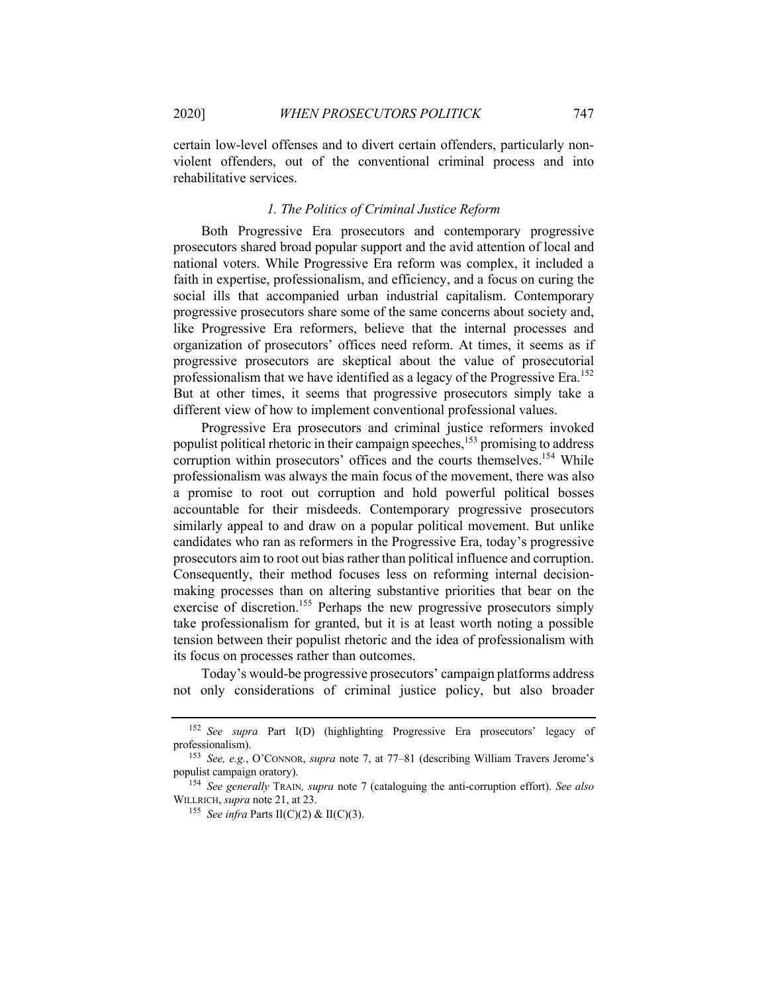certain low-level offenses and to divert certain offenders, particularly nonviolent offenders, out of the conventional criminal process and into rehabilitative services.

## *1. The Politics of Criminal Justice Reform*

Both Progressive Era prosecutors and contemporary progressive prosecutors shared broad popular support and the avid attention of local and national voters. While Progressive Era reform was complex, it included a faith in expertise, professionalism, and efficiency, and a focus on curing the social ills that accompanied urban industrial capitalism. Contemporary progressive prosecutors share some of the same concerns about society and, like Progressive Era reformers, believe that the internal processes and organization of prosecutors' offices need reform. At times, it seems as if progressive prosecutors are skeptical about the value of prosecutorial professionalism that we have identified as a legacy of the Progressive Era.<sup>152</sup> But at other times, it seems that progressive prosecutors simply take a different view of how to implement conventional professional values.

Progressive Era prosecutors and criminal justice reformers invoked populist political rhetoric in their campaign speeches,<sup>153</sup> promising to address corruption within prosecutors' offices and the courts themselves.<sup>154</sup> While professionalism was always the main focus of the movement, there was also a promise to root out corruption and hold powerful political bosses accountable for their misdeeds. Contemporary progressive prosecutors similarly appeal to and draw on a popular political movement. But unlike candidates who ran as reformers in the Progressive Era, today's progressive prosecutors aim to root out bias rather than political influence and corruption. Consequently, their method focuses less on reforming internal decisionmaking processes than on altering substantive priorities that bear on the exercise of discretion.<sup>155</sup> Perhaps the new progressive prosecutors simply take professionalism for granted, but it is at least worth noting a possible tension between their populist rhetoric and the idea of professionalism with its focus on processes rather than outcomes.

Today's would-be progressive prosecutors' campaign platforms address not only considerations of criminal justice policy, but also broader

<sup>152</sup> *See supra* Part I(D) (highlighting Progressive Era prosecutors' legacy of professionalism).

<sup>153</sup> *See, e.g.*, O'CONNOR, *supra* note 7, at 77–81 (describing William Travers Jerome's populist campaign oratory).

<sup>154</sup> *See generally* TRAIN*, supra* note 7 (cataloguing the anti-corruption effort). *See also* WILLRICH, *supra* note 21, at 23.

<sup>155</sup> *See infra* Parts II(C)(2) & II(C)(3).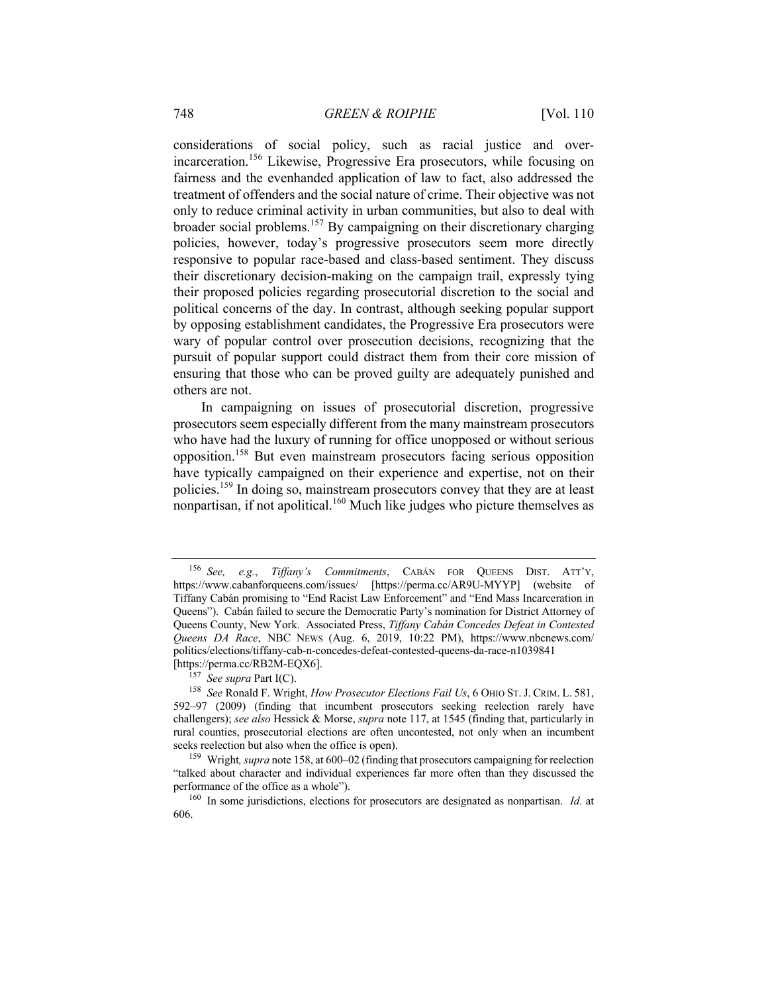considerations of social policy, such as racial justice and overincarceration.<sup>156</sup> Likewise, Progressive Era prosecutors, while focusing on fairness and the evenhanded application of law to fact, also addressed the treatment of offenders and the social nature of crime. Their objective was not only to reduce criminal activity in urban communities, but also to deal with broader social problems.<sup>157</sup> By campaigning on their discretionary charging policies, however, today's progressive prosecutors seem more directly responsive to popular race-based and class-based sentiment. They discuss their discretionary decision-making on the campaign trail, expressly tying their proposed policies regarding prosecutorial discretion to the social and political concerns of the day. In contrast, although seeking popular support by opposing establishment candidates, the Progressive Era prosecutors were wary of popular control over prosecution decisions, recognizing that the pursuit of popular support could distract them from their core mission of ensuring that those who can be proved guilty are adequately punished and others are not.

In campaigning on issues of prosecutorial discretion, progressive prosecutors seem especially different from the many mainstream prosecutors who have had the luxury of running for office unopposed or without serious opposition.158 But even mainstream prosecutors facing serious opposition have typically campaigned on their experience and expertise, not on their policies.159 In doing so, mainstream prosecutors convey that they are at least nonpartisan, if not apolitical.<sup>160</sup> Much like judges who picture themselves as

<sup>156</sup> *See, e.g.*, *Tiffany's Commitments*, CABÁN FOR QUEENS DIST. ATT'Y, https://www.cabanforqueens.com/issues/ [https://perma.cc/AR9U-MYYP] (website of Tiffany Cabán promising to "End Racist Law Enforcement" and "End Mass Incarceration in Queens"). Cabán failed to secure the Democratic Party's nomination for District Attorney of Queens County, New York. Associated Press, *Tiffany Cabán Concedes Defeat in Contested Queens DA Race*, NBC NEWS (Aug. 6, 2019, 10:22 PM), https://www.nbcnews.com/ politics/elections/tiffany-cab-n-concedes-defeat-contested-queens-da-race-n1039841 [https://perma.cc/RB2M-EQX6].

<sup>157</sup> *See supra* Part I(C).

<sup>158</sup> *See* Ronald F. Wright, *How Prosecutor Elections Fail Us*, 6 OHIO ST.J. CRIM. L. 581, 592–97 (2009) (finding that incumbent prosecutors seeking reelection rarely have challengers); *see also* Hessick & Morse, *supra* note 117, at 1545 (finding that, particularly in rural counties, prosecutorial elections are often uncontested, not only when an incumbent seeks reelection but also when the office is open).

<sup>159</sup> Wright*, supra* note 158, at 600–02 (finding that prosecutors campaigning for reelection "talked about character and individual experiences far more often than they discussed the performance of the office as a whole").

<sup>160</sup> In some jurisdictions, elections for prosecutors are designated as nonpartisan. *Id.* at 606.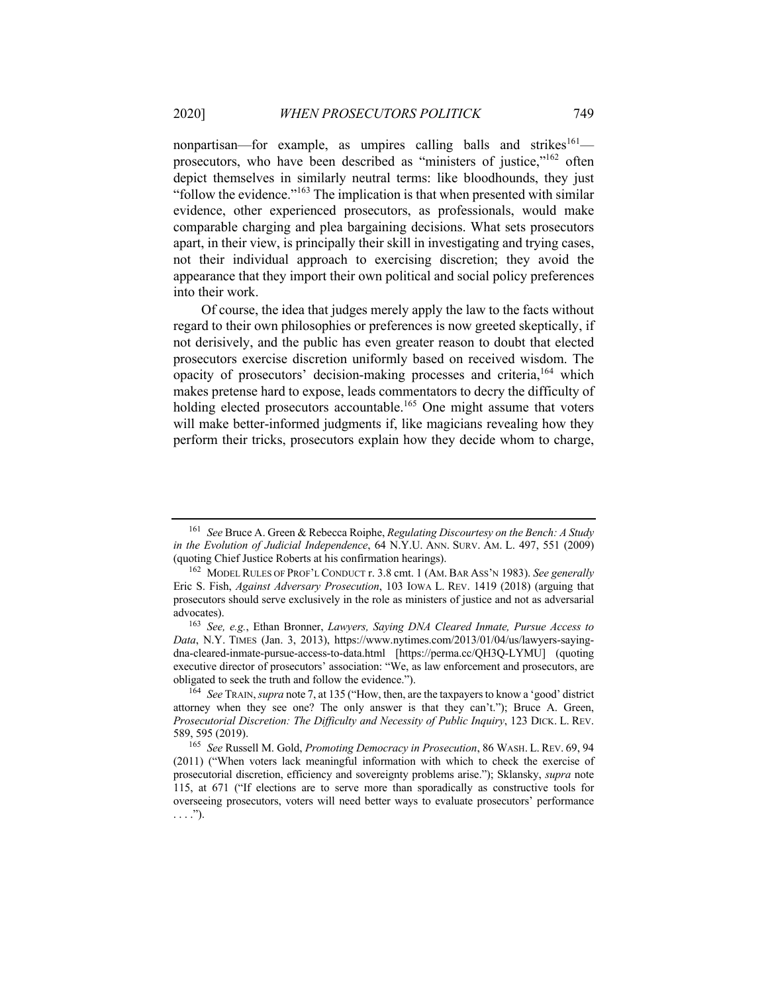nonpartisan—for example, as umpires calling balls and strikes $161$  prosecutors, who have been described as "ministers of justice,"162 often depict themselves in similarly neutral terms: like bloodhounds, they just "follow the evidence."<sup>163</sup> The implication is that when presented with similar evidence, other experienced prosecutors, as professionals, would make comparable charging and plea bargaining decisions. What sets prosecutors apart, in their view, is principally their skill in investigating and trying cases, not their individual approach to exercising discretion; they avoid the appearance that they import their own political and social policy preferences into their work.

Of course, the idea that judges merely apply the law to the facts without regard to their own philosophies or preferences is now greeted skeptically, if not derisively, and the public has even greater reason to doubt that elected prosecutors exercise discretion uniformly based on received wisdom. The opacity of prosecutors' decision-making processes and criteria,164 which makes pretense hard to expose, leads commentators to decry the difficulty of holding elected prosecutors accountable.<sup>165</sup> One might assume that voters will make better-informed judgments if, like magicians revealing how they perform their tricks, prosecutors explain how they decide whom to charge,

<sup>161</sup> *See* Bruce A. Green & Rebecca Roiphe, *Regulating Discourtesy on the Bench: A Study in the Evolution of Judicial Independence*, 64 N.Y.U. ANN. SURV. AM. L. 497, 551 (2009) (quoting Chief Justice Roberts at his confirmation hearings).

<sup>162</sup> MODEL RULES OF PROF'L CONDUCT r. 3.8 cmt. 1 (AM. BAR ASS'N 1983). *See generally* Eric S. Fish, *Against Adversary Prosecution*, 103 IOWA L. REV. 1419 (2018) (arguing that prosecutors should serve exclusively in the role as ministers of justice and not as adversarial advocates).

<sup>163</sup> *See, e.g.*, Ethan Bronner, *Lawyers, Saying DNA Cleared Inmate, Pursue Access to Data*, N.Y. TIMES (Jan. 3, 2013), https://www.nytimes.com/2013/01/04/us/lawyers-sayingdna-cleared-inmate-pursue-access-to-data.html [https://perma.cc/QH3Q-LYMU] (quoting executive director of prosecutors' association: "We, as law enforcement and prosecutors, are obligated to seek the truth and follow the evidence.").

<sup>164</sup> *See* TRAIN, *supra* note 7, at 135 ("How, then, are the taxpayers to know a 'good' district attorney when they see one? The only answer is that they can't."); Bruce A. Green, *Prosecutorial Discretion: The Difficulty and Necessity of Public Inquiry*, 123 DICK. L. REV. 589, 595 (2019).

<sup>165</sup> *See* Russell M. Gold, *Promoting Democracy in Prosecution*, 86 WASH. L. REV. 69, 94 (2011) ("When voters lack meaningful information with which to check the exercise of prosecutorial discretion, efficiency and sovereignty problems arise."); Sklansky, *supra* note 115, at 671 ("If elections are to serve more than sporadically as constructive tools for overseeing prosecutors, voters will need better ways to evaluate prosecutors' performance  $\ldots$ .").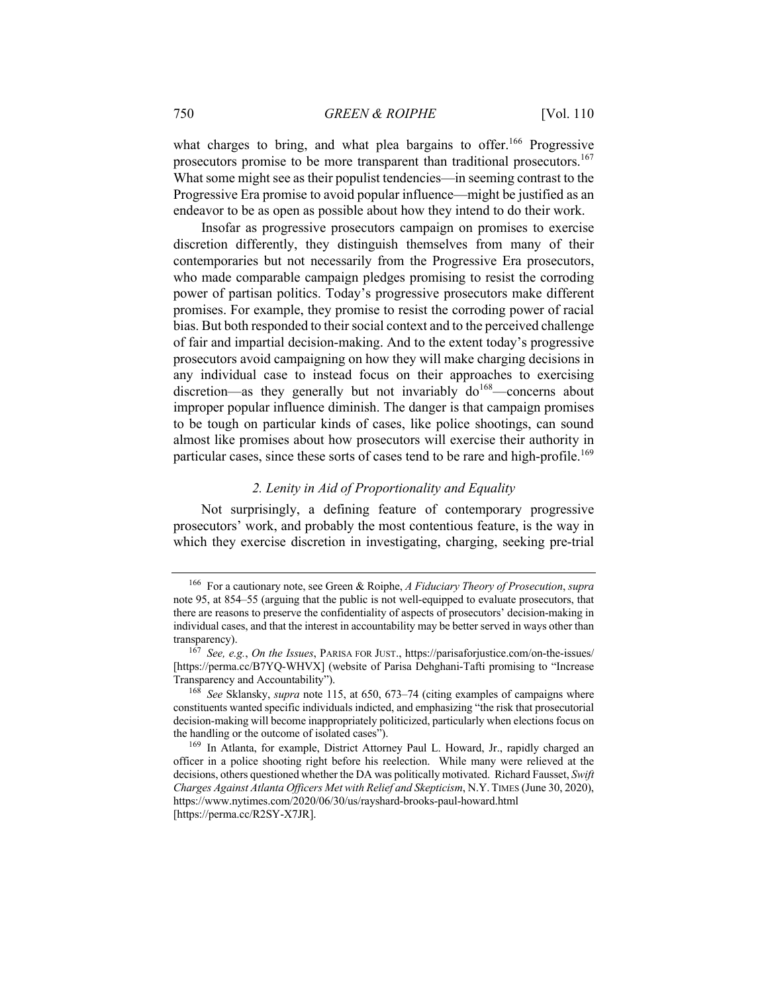what charges to bring, and what plea bargains to offer.<sup>166</sup> Progressive prosecutors promise to be more transparent than traditional prosecutors.<sup>167</sup> What some might see as their populist tendencies—in seeming contrast to the Progressive Era promise to avoid popular influence—might be justified as an endeavor to be as open as possible about how they intend to do their work.

Insofar as progressive prosecutors campaign on promises to exercise discretion differently, they distinguish themselves from many of their contemporaries but not necessarily from the Progressive Era prosecutors, who made comparable campaign pledges promising to resist the corroding power of partisan politics. Today's progressive prosecutors make different promises. For example, they promise to resist the corroding power of racial bias. But both responded to their social context and to the perceived challenge of fair and impartial decision-making. And to the extent today's progressive prosecutors avoid campaigning on how they will make charging decisions in any individual case to instead focus on their approaches to exercising discretion—as they generally but not invariably  $d\sigma^{168}$ —concerns about improper popular influence diminish. The danger is that campaign promises to be tough on particular kinds of cases, like police shootings, can sound almost like promises about how prosecutors will exercise their authority in particular cases, since these sorts of cases tend to be rare and high-profile.<sup>169</sup>

#### *2. Lenity in Aid of Proportionality and Equality*

Not surprisingly, a defining feature of contemporary progressive prosecutors' work, and probably the most contentious feature, is the way in which they exercise discretion in investigating, charging, seeking pre-trial

<sup>166</sup> For a cautionary note, see Green & Roiphe, *A Fiduciary Theory of Prosecution*, *supra* note 95, at 854–55 (arguing that the public is not well-equipped to evaluate prosecutors, that there are reasons to preserve the confidentiality of aspects of prosecutors' decision-making in individual cases, and that the interest in accountability may be better served in ways other than transparency).

<sup>167</sup> *See, e.g.*, *On the Issues*, PARISA FOR JUST., https://parisaforjustice.com/on-the-issues/ [https://perma.cc/B7YQ-WHVX] (website of Parisa Dehghani-Tafti promising to "Increase Transparency and Accountability").

<sup>168</sup> *See* Sklansky, *supra* note 115, at 650, 673–74 (citing examples of campaigns where constituents wanted specific individuals indicted, and emphasizing "the risk that prosecutorial decision-making will become inappropriately politicized, particularly when elections focus on the handling or the outcome of isolated cases").

<sup>169</sup> In Atlanta, for example, District Attorney Paul L. Howard, Jr., rapidly charged an officer in a police shooting right before his reelection. While many were relieved at the decisions, others questioned whether the DA was politically motivated. Richard Fausset, *Swift Charges Against Atlanta Officers Met with Relief and Skepticism*, N.Y. TIMES (June 30, 2020), https://www.nytimes.com/2020/06/30/us/rayshard-brooks-paul-howard.html [https://perma.cc/R2SY-X7JR].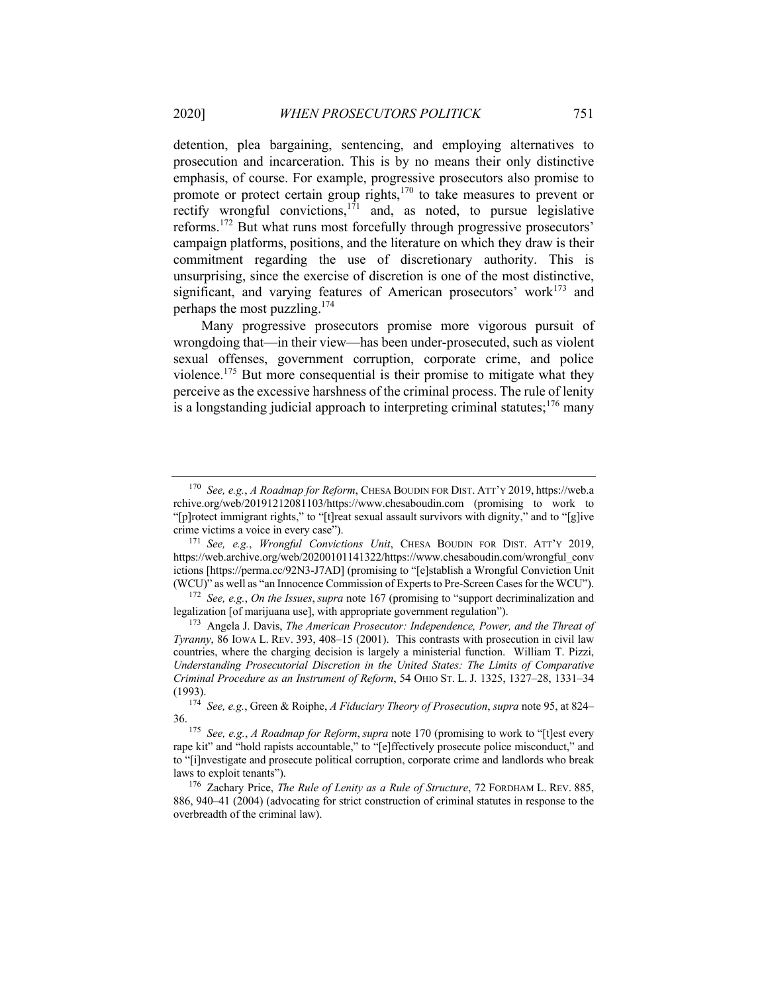detention, plea bargaining, sentencing, and employing alternatives to prosecution and incarceration. This is by no means their only distinctive emphasis, of course. For example, progressive prosecutors also promise to promote or protect certain group rights,<sup>170</sup> to take measures to prevent or rectify wrongful convictions, $1^{71}$  and, as noted, to pursue legislative reforms.<sup>172</sup> But what runs most forcefully through progressive prosecutors' campaign platforms, positions, and the literature on which they draw is their commitment regarding the use of discretionary authority. This is unsurprising, since the exercise of discretion is one of the most distinctive, significant, and varying features of American prosecutors' work $173$  and perhaps the most puzzling. $174$ 

Many progressive prosecutors promise more vigorous pursuit of wrongdoing that—in their view—has been under-prosecuted, such as violent sexual offenses, government corruption, corporate crime, and police violence.<sup>175</sup> But more consequential is their promise to mitigate what they perceive as the excessive harshness of the criminal process. The rule of lenity is a longstanding judicial approach to interpreting criminal statutes;  $176$  many

<sup>170</sup> *See, e.g.*, *A Roadmap for Reform*, CHESA BOUDIN FOR DIST. ATT'Y 2019, https://web.a rchive.org/web/20191212081103/https://www.chesaboudin.com (promising to work to "[p]rotect immigrant rights," to "[t]reat sexual assault survivors with dignity," and to "[g]ive crime victims a voice in every case").

<sup>171</sup> *See, e.g.*, *Wrongful Convictions Unit*, CHESA BOUDIN FOR DIST. ATT'Y 2019, https://web.archive.org/web/20200101141322/https://www.chesaboudin.com/wrongful\_conv ictions [https://perma.cc/92N3-J7AD] (promising to "[e]stablish a Wrongful Conviction Unit (WCU)" as well as "an Innocence Commission of Experts to Pre-Screen Cases for the WCU").

<sup>172</sup> *See, e.g.*, *On the Issues*, *supra* note 167 (promising to "support decriminalization and legalization [of marijuana use], with appropriate government regulation").

<sup>173</sup> Angela J. Davis, *The American Prosecutor: Independence, Power, and the Threat of Tyranny*, 86 IOWA L. REV. 393, 408–15 (2001). This contrasts with prosecution in civil law countries, where the charging decision is largely a ministerial function. William T. Pizzi, *Understanding Prosecutorial Discretion in the United States: The Limits of Comparative Criminal Procedure as an Instrument of Reform*, 54 OHIO ST. L. J. 1325, 1327–28, 1331–34 (1993).

<sup>174</sup> *See, e.g.*, Green & Roiphe, *A Fiduciary Theory of Prosecution*, *supra* note 95, at 824– 36.

<sup>175</sup> *See, e.g.*, *A Roadmap for Reform*, *supra* note 170 (promising to work to "[t]est every rape kit" and "hold rapists accountable," to "[e]ffectively prosecute police misconduct," and to "[i]nvestigate and prosecute political corruption, corporate crime and landlords who break laws to exploit tenants").

<sup>176</sup> Zachary Price, *The Rule of Lenity as a Rule of Structure*, 72 FORDHAM L. REV. 885, 886, 940–41 (2004) (advocating for strict construction of criminal statutes in response to the overbreadth of the criminal law).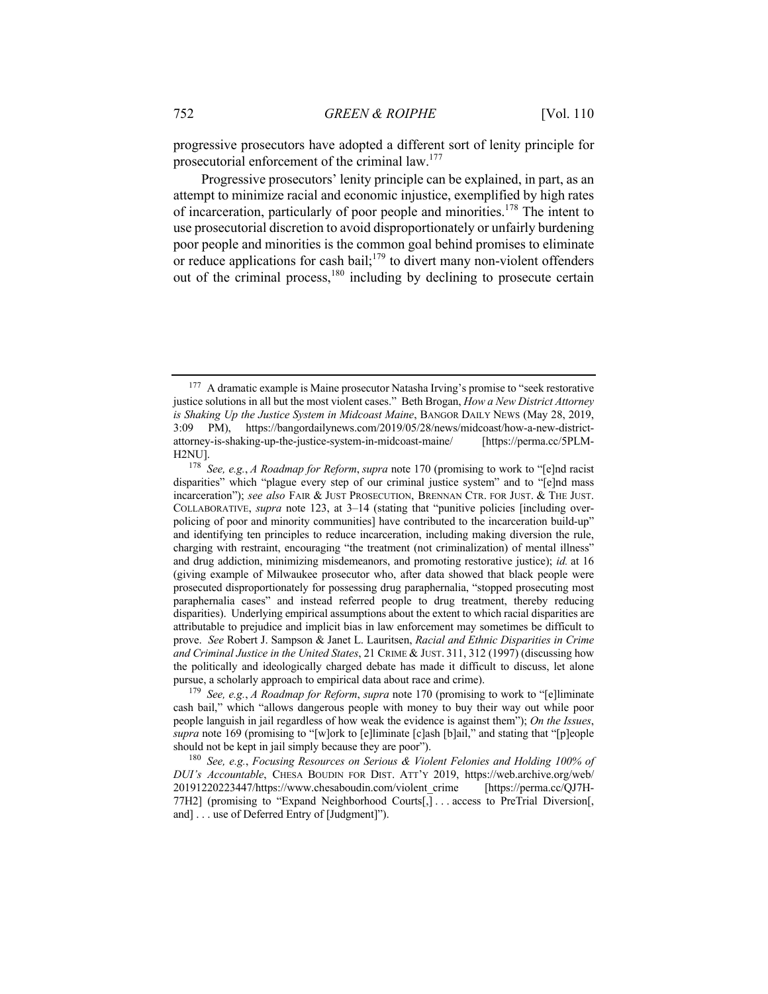progressive prosecutors have adopted a different sort of lenity principle for prosecutorial enforcement of the criminal law.177

Progressive prosecutors' lenity principle can be explained, in part, as an attempt to minimize racial and economic injustice, exemplified by high rates of incarceration, particularly of poor people and minorities.<sup>178</sup> The intent to use prosecutorial discretion to avoid disproportionately or unfairly burdening poor people and minorities is the common goal behind promises to eliminate or reduce applications for cash bail;<sup>179</sup> to divert many non-violent offenders out of the criminal process,<sup>180</sup> including by declining to prosecute certain

<sup>179</sup> *See, e.g.*, *A Roadmap for Reform*, *supra* note 170 (promising to work to "[e]liminate cash bail," which "allows dangerous people with money to buy their way out while poor people languish in jail regardless of how weak the evidence is against them"); *On the Issues*, *supra* note 169 (promising to "[w]ork to [e]liminate [c]ash [b]ail," and stating that "[p]eople should not be kept in jail simply because they are poor").

<sup>180</sup> *See, e.g.*, *Focusing Resources on Serious & Violent Felonies and Holding 100% of DUI's Accountable*, CHESA BOUDIN FOR DIST. ATT'Y 2019, https://web.archive.org/web/ 20191220223447/https://www.chesaboudin.com/violent\_crime [https://perma.cc/QJ7H-77H2] (promising to "Expand Neighborhood Courts[,] . . . access to PreTrial Diversion[, and] . . . use of Deferred Entry of [Judgment]").

<sup>&</sup>lt;sup>177</sup> A dramatic example is Maine prosecutor Natasha Irving's promise to "seek restorative justice solutions in all but the most violent cases." Beth Brogan, *How a New District Attorney is Shaking Up the Justice System in Midcoast Maine*, BANGOR DAILY NEWS (May 28, 2019, 3:09 PM), https://bangordailynews.com/2019/05/28/news/midcoast/how-a-new-districtattorney-is-shaking-up-the-justice-system-in-midcoast-maine/ [https://perma.cc/5PLM-H2NU].

<sup>178</sup> *See, e.g.*, *A Roadmap for Reform*, *supra* note 170 (promising to work to "[e]nd racist disparities" which "plague every step of our criminal justice system" and to "[e]nd mass incarceration"); *see also* FAIR & JUST PROSECUTION, BRENNAN CTR. FOR JUST. & THE JUST. COLLABORATIVE, *supra* note 123, at 3–14 (stating that "punitive policies [including overpolicing of poor and minority communities] have contributed to the incarceration build-up" and identifying ten principles to reduce incarceration, including making diversion the rule, charging with restraint, encouraging "the treatment (not criminalization) of mental illness" and drug addiction, minimizing misdemeanors, and promoting restorative justice); *id.* at 16 (giving example of Milwaukee prosecutor who, after data showed that black people were prosecuted disproportionately for possessing drug paraphernalia, "stopped prosecuting most paraphernalia cases" and instead referred people to drug treatment, thereby reducing disparities). Underlying empirical assumptions about the extent to which racial disparities are attributable to prejudice and implicit bias in law enforcement may sometimes be difficult to prove. *See* Robert J. Sampson & Janet L. Lauritsen, *Racial and Ethnic Disparities in Crime and Criminal Justice in the United States*, 21 CRIME & JUST. 311, 312 (1997) (discussing how the politically and ideologically charged debate has made it difficult to discuss, let alone pursue, a scholarly approach to empirical data about race and crime).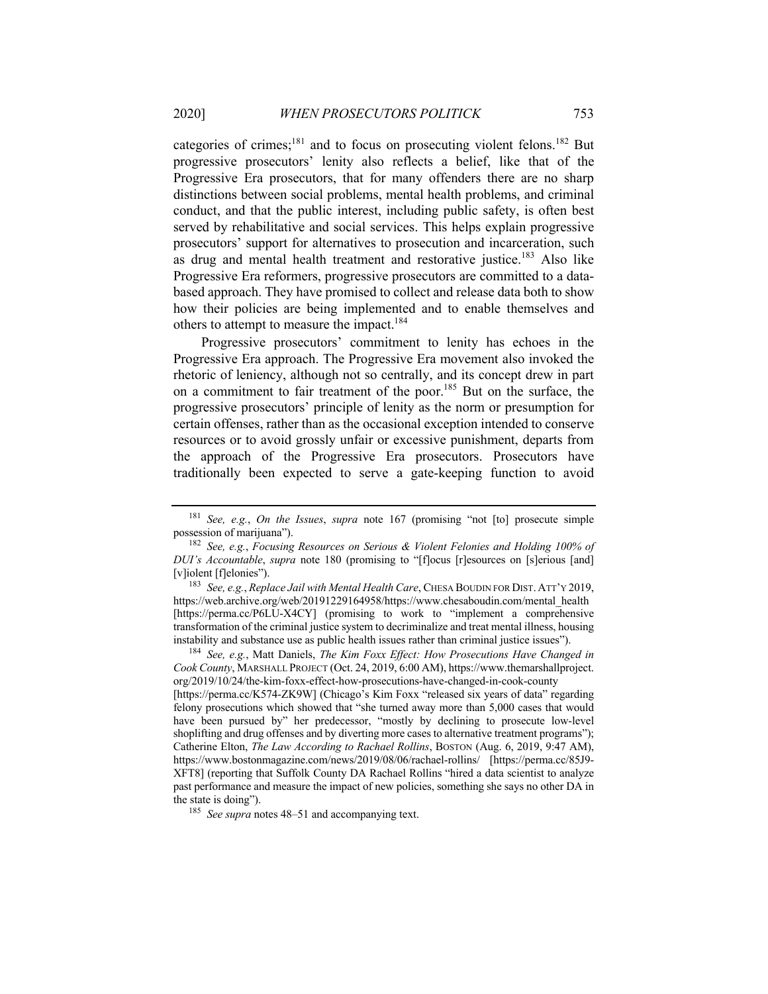categories of crimes;<sup>181</sup> and to focus on prosecuting violent felons.<sup>182</sup> But progressive prosecutors' lenity also reflects a belief, like that of the Progressive Era prosecutors, that for many offenders there are no sharp distinctions between social problems, mental health problems, and criminal conduct, and that the public interest, including public safety, is often best served by rehabilitative and social services. This helps explain progressive prosecutors' support for alternatives to prosecution and incarceration, such as drug and mental health treatment and restorative justice.<sup>183</sup> Also like Progressive Era reformers, progressive prosecutors are committed to a databased approach. They have promised to collect and release data both to show how their policies are being implemented and to enable themselves and others to attempt to measure the impact.<sup>184</sup>

Progressive prosecutors' commitment to lenity has echoes in the Progressive Era approach. The Progressive Era movement also invoked the rhetoric of leniency, although not so centrally, and its concept drew in part on a commitment to fair treatment of the poor.185 But on the surface, the progressive prosecutors' principle of lenity as the norm or presumption for certain offenses, rather than as the occasional exception intended to conserve resources or to avoid grossly unfair or excessive punishment, departs from the approach of the Progressive Era prosecutors. Prosecutors have traditionally been expected to serve a gate-keeping function to avoid

<sup>183</sup> *See, e.g.*, *Replace Jail with Mental Health Care*, CHESA BOUDIN FOR DIST. ATT'Y 2019, https://web.archive.org/web/20191229164958/https://www.chesaboudin.com/mental\_health [https://perma.cc/P6LU-X4CY] (promising to work to "implement a comprehensive transformation of the criminal justice system to decriminalize and treat mental illness, housing instability and substance use as public health issues rather than criminal justice issues").

<sup>184</sup> *See, e.g.*, Matt Daniels, *The Kim Foxx Effect: How Prosecutions Have Changed in Cook County*, MARSHALL PROJECT (Oct. 24, 2019, 6:00 AM), https://www.themarshallproject. org/2019/10/24/the-kim-foxx-effect-how-prosecutions-have-changed-in-cook-county

[https://perma.cc/K574-ZK9W] (Chicago's Kim Foxx "released six years of data" regarding felony prosecutions which showed that "she turned away more than 5,000 cases that would have been pursued by" her predecessor, "mostly by declining to prosecute low-level shoplifting and drug offenses and by diverting more cases to alternative treatment programs"); Catherine Elton, *The Law According to Rachael Rollins*, BOSTON (Aug. 6, 2019, 9:47 AM), https://www.bostonmagazine.com/news/2019/08/06/rachael-rollins/ [https://perma.cc/85J9- XFT8] (reporting that Suffolk County DA Rachael Rollins "hired a data scientist to analyze past performance and measure the impact of new policies, something she says no other DA in the state is doing").

<sup>185</sup> *See supra* notes 48–51 and accompanying text.

<sup>181</sup> *See, e.g.*, *On the Issues*, *supra* note 167 (promising "not [to] prosecute simple possession of marijuana").

<sup>182</sup> *See, e.g.*, *Focusing Resources on Serious & Violent Felonies and Holding 100% of DUI's Accountable*, *supra* note 180 (promising to "[f]ocus [r]esources on [s]erious [and] [v]iolent [f]elonies").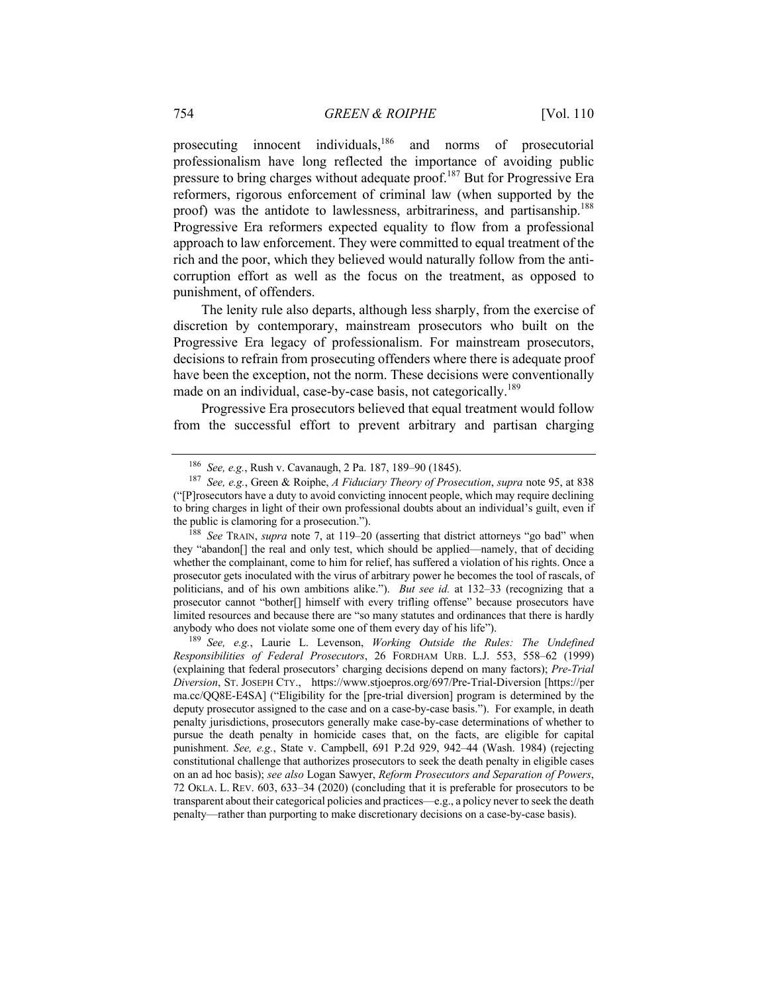prosecuting innocent individuals,<sup>186</sup> and norms of prosecutorial professionalism have long reflected the importance of avoiding public pressure to bring charges without adequate proof.187 But for Progressive Era reformers, rigorous enforcement of criminal law (when supported by the proof) was the antidote to lawlessness, arbitrariness, and partisanship.<sup>188</sup> Progressive Era reformers expected equality to flow from a professional approach to law enforcement. They were committed to equal treatment of the rich and the poor, which they believed would naturally follow from the anticorruption effort as well as the focus on the treatment, as opposed to punishment, of offenders.

The lenity rule also departs, although less sharply, from the exercise of discretion by contemporary, mainstream prosecutors who built on the Progressive Era legacy of professionalism. For mainstream prosecutors, decisions to refrain from prosecuting offenders where there is adequate proof have been the exception, not the norm. These decisions were conventionally made on an individual, case-by-case basis, not categorically.<sup>189</sup>

Progressive Era prosecutors believed that equal treatment would follow from the successful effort to prevent arbitrary and partisan charging

<sup>189</sup> *See, e.g.*, Laurie L. Levenson, *Working Outside the Rules: The Undefined Responsibilities of Federal Prosecutors*, 26 FORDHAM URB. L.J. 553, 558–62 (1999) (explaining that federal prosecutors' charging decisions depend on many factors); *Pre-Trial Diversion*, ST. JOSEPH CTY., https://www.stjoepros.org/697/Pre-Trial-Diversion [https://per ma.cc/QQ8E-E4SA] ("Eligibility for the [pre-trial diversion] program is determined by the deputy prosecutor assigned to the case and on a case-by-case basis."). For example, in death penalty jurisdictions, prosecutors generally make case-by-case determinations of whether to pursue the death penalty in homicide cases that, on the facts, are eligible for capital punishment. *See, e.g.*, State v. Campbell, 691 P.2d 929, 942–44 (Wash. 1984) (rejecting constitutional challenge that authorizes prosecutors to seek the death penalty in eligible cases on an ad hoc basis); *see also* Logan Sawyer, *Reform Prosecutors and Separation of Powers*, 72 OKLA. L. REV. 603, 633–34 (2020) (concluding that it is preferable for prosecutors to be transparent about their categorical policies and practices—e.g., a policy never to seek the death penalty—rather than purporting to make discretionary decisions on a case-by-case basis).

<sup>186</sup> *See, e.g.*, Rush v. Cavanaugh, 2 Pa. 187, 189–90 (1845).

<sup>187</sup> *See, e.g.*, Green & Roiphe, *A Fiduciary Theory of Prosecution*, *supra* note 95, at 838 ("[P]rosecutors have a duty to avoid convicting innocent people, which may require declining to bring charges in light of their own professional doubts about an individual's guilt, even if the public is clamoring for a prosecution.").

<sup>188</sup> *See* TRAIN, *supra* note 7, at 119–20 (asserting that district attorneys "go bad" when they "abandon[] the real and only test, which should be applied—namely, that of deciding whether the complainant, come to him for relief, has suffered a violation of his rights. Once a prosecutor gets inoculated with the virus of arbitrary power he becomes the tool of rascals, of politicians, and of his own ambitions alike."). *But see id.* at 132–33 (recognizing that a prosecutor cannot "bother[] himself with every trifling offense" because prosecutors have limited resources and because there are "so many statutes and ordinances that there is hardly anybody who does not violate some one of them every day of his life").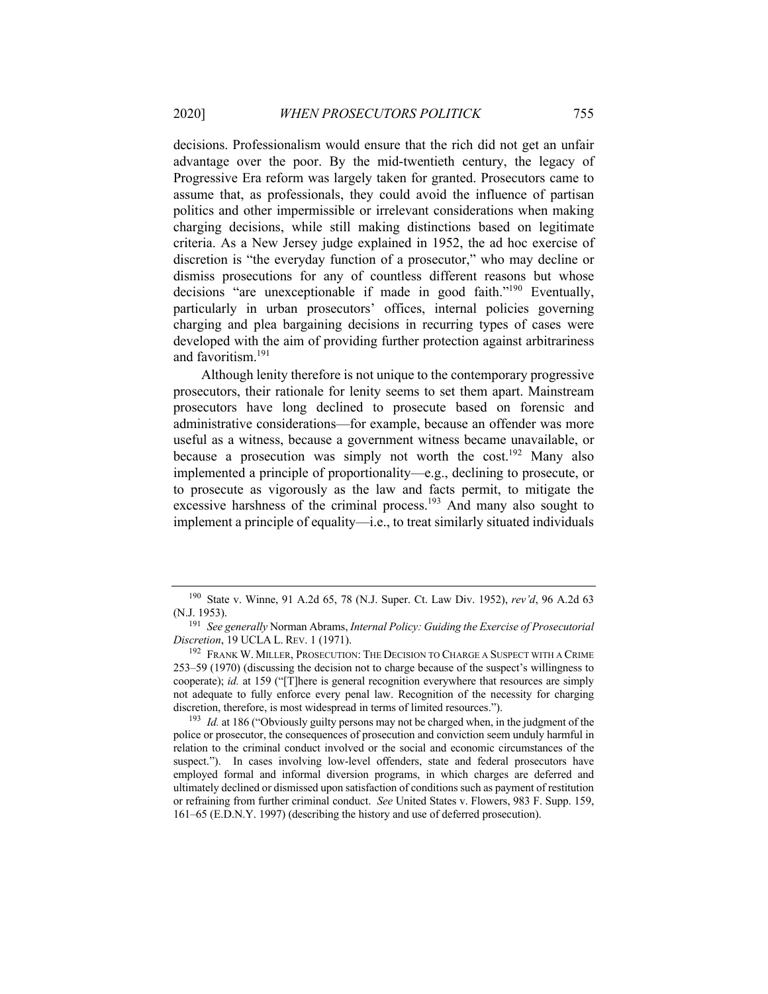decisions. Professionalism would ensure that the rich did not get an unfair advantage over the poor. By the mid-twentieth century, the legacy of Progressive Era reform was largely taken for granted. Prosecutors came to assume that, as professionals, they could avoid the influence of partisan politics and other impermissible or irrelevant considerations when making charging decisions, while still making distinctions based on legitimate criteria. As a New Jersey judge explained in 1952, the ad hoc exercise of discretion is "the everyday function of a prosecutor," who may decline or dismiss prosecutions for any of countless different reasons but whose decisions "are unexceptionable if made in good faith."<sup>190</sup> Eventually, particularly in urban prosecutors' offices, internal policies governing charging and plea bargaining decisions in recurring types of cases were developed with the aim of providing further protection against arbitrariness and favoritism.<sup>191</sup>

Although lenity therefore is not unique to the contemporary progressive prosecutors, their rationale for lenity seems to set them apart. Mainstream prosecutors have long declined to prosecute based on forensic and administrative considerations—for example, because an offender was more useful as a witness, because a government witness became unavailable, or because a prosecution was simply not worth the cost.<sup>192</sup> Many also implemented a principle of proportionality—e.g., declining to prosecute, or to prosecute as vigorously as the law and facts permit, to mitigate the excessive harshness of the criminal process.<sup>193</sup> And many also sought to implement a principle of equality—i.e., to treat similarly situated individuals

<sup>190</sup> State v. Winne, 91 A.2d 65, 78 (N.J. Super. Ct. Law Div. 1952), *rev'd*, 96 A.2d 63 (N.J. 1953).

<sup>191</sup> *See generally* Norman Abrams, *Internal Policy: Guiding the Exercise of Prosecutorial Discretion*, 19 UCLA L. REV. 1 (1971).

<sup>192</sup> FRANK W. MILLER, PROSECUTION: THE DECISION TO CHARGE A SUSPECT WITH A CRIME 253–59 (1970) (discussing the decision not to charge because of the suspect's willingness to cooperate); *id.* at 159 ("[T]here is general recognition everywhere that resources are simply not adequate to fully enforce every penal law. Recognition of the necessity for charging discretion, therefore, is most widespread in terms of limited resources.").

<sup>&</sup>lt;sup>193</sup> *Id.* at 186 ("Obviously guilty persons may not be charged when, in the judgment of the police or prosecutor, the consequences of prosecution and conviction seem unduly harmful in relation to the criminal conduct involved or the social and economic circumstances of the suspect."). In cases involving low-level offenders, state and federal prosecutors have employed formal and informal diversion programs, in which charges are deferred and ultimately declined or dismissed upon satisfaction of conditions such as payment of restitution or refraining from further criminal conduct. *See* United States v. Flowers, 983 F. Supp. 159, 161–65 (E.D.N.Y. 1997) (describing the history and use of deferred prosecution).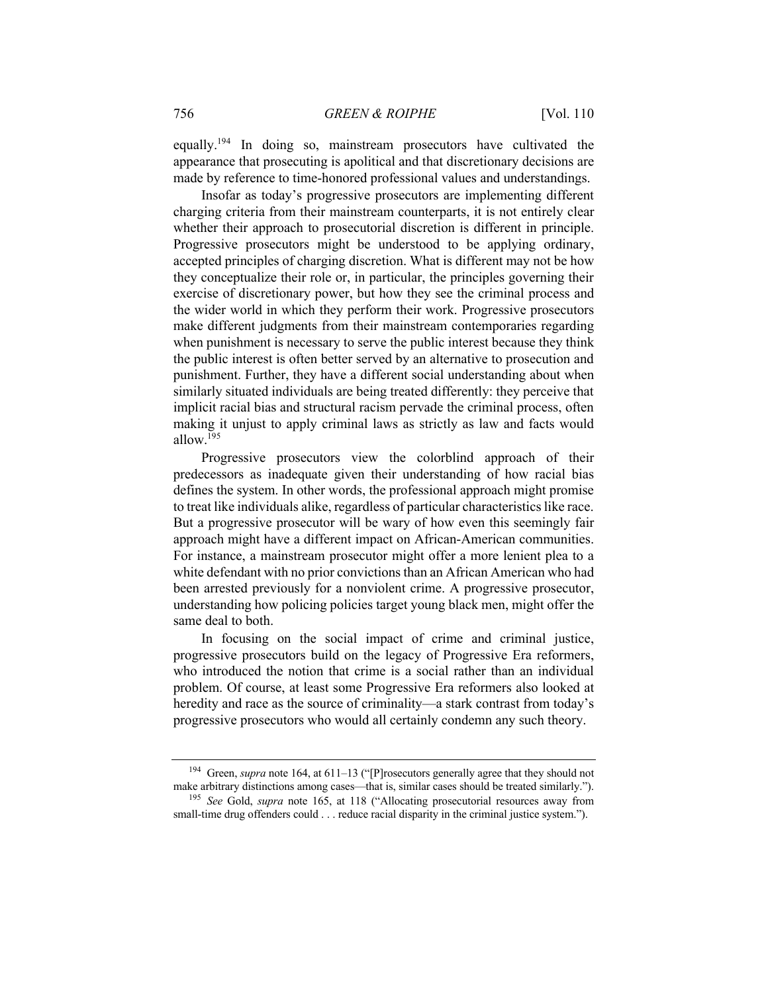equally.<sup>194</sup> In doing so, mainstream prosecutors have cultivated the appearance that prosecuting is apolitical and that discretionary decisions are made by reference to time-honored professional values and understandings.

Insofar as today's progressive prosecutors are implementing different charging criteria from their mainstream counterparts, it is not entirely clear whether their approach to prosecutorial discretion is different in principle. Progressive prosecutors might be understood to be applying ordinary, accepted principles of charging discretion. What is different may not be how they conceptualize their role or, in particular, the principles governing their exercise of discretionary power, but how they see the criminal process and the wider world in which they perform their work. Progressive prosecutors make different judgments from their mainstream contemporaries regarding when punishment is necessary to serve the public interest because they think the public interest is often better served by an alternative to prosecution and punishment. Further, they have a different social understanding about when similarly situated individuals are being treated differently: they perceive that implicit racial bias and structural racism pervade the criminal process, often making it unjust to apply criminal laws as strictly as law and facts would allow $^{195}$ 

Progressive prosecutors view the colorblind approach of their predecessors as inadequate given their understanding of how racial bias defines the system. In other words, the professional approach might promise to treat like individuals alike, regardless of particular characteristics like race. But a progressive prosecutor will be wary of how even this seemingly fair approach might have a different impact on African-American communities. For instance, a mainstream prosecutor might offer a more lenient plea to a white defendant with no prior convictions than an African American who had been arrested previously for a nonviolent crime. A progressive prosecutor, understanding how policing policies target young black men, might offer the same deal to both.

In focusing on the social impact of crime and criminal justice, progressive prosecutors build on the legacy of Progressive Era reformers, who introduced the notion that crime is a social rather than an individual problem. Of course, at least some Progressive Era reformers also looked at heredity and race as the source of criminality—a stark contrast from today's progressive prosecutors who would all certainly condemn any such theory.

<sup>194</sup> Green, *supra* note 164, at 611–13 ("[P]rosecutors generally agree that they should not make arbitrary distinctions among cases—that is, similar cases should be treated similarly.").

<sup>195</sup> *See* Gold, *supra* note 165, at 118 ("Allocating prosecutorial resources away from small-time drug offenders could . . . reduce racial disparity in the criminal justice system.").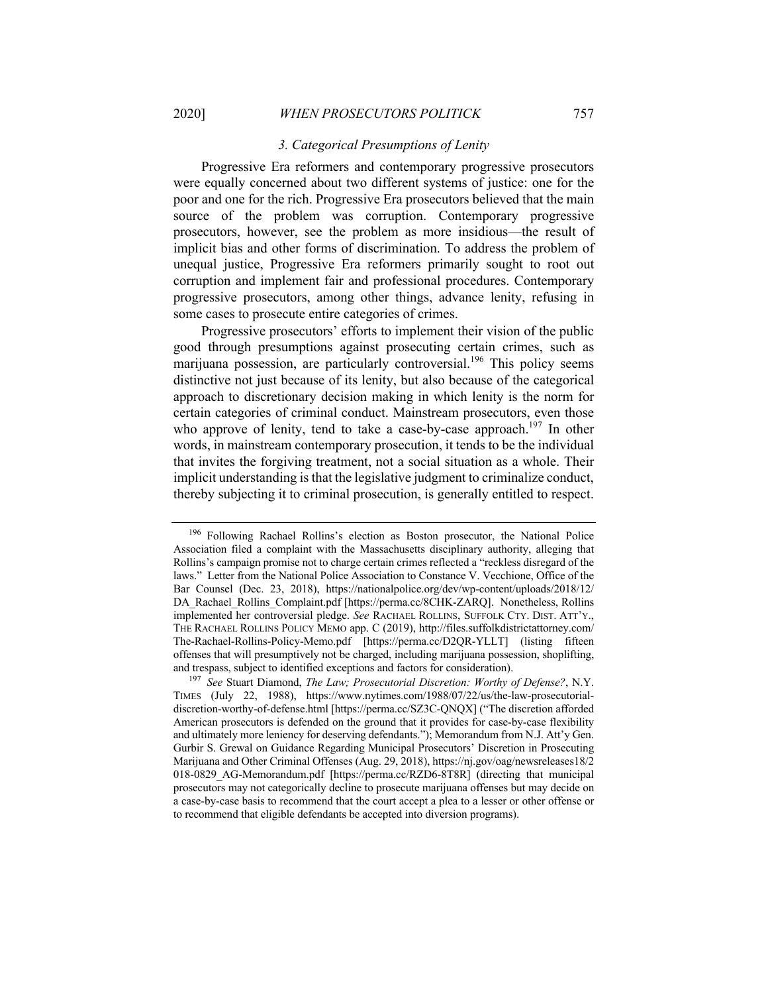#### *3. Categorical Presumptions of Lenity*

Progressive Era reformers and contemporary progressive prosecutors were equally concerned about two different systems of justice: one for the poor and one for the rich. Progressive Era prosecutors believed that the main source of the problem was corruption. Contemporary progressive prosecutors, however, see the problem as more insidious—the result of implicit bias and other forms of discrimination. To address the problem of unequal justice, Progressive Era reformers primarily sought to root out corruption and implement fair and professional procedures. Contemporary progressive prosecutors, among other things, advance lenity, refusing in some cases to prosecute entire categories of crimes.

Progressive prosecutors' efforts to implement their vision of the public good through presumptions against prosecuting certain crimes, such as marijuana possession, are particularly controversial.<sup>196</sup> This policy seems distinctive not just because of its lenity, but also because of the categorical approach to discretionary decision making in which lenity is the norm for certain categories of criminal conduct. Mainstream prosecutors, even those who approve of lenity, tend to take a case-by-case approach.<sup>197</sup> In other words, in mainstream contemporary prosecution, it tends to be the individual that invites the forgiving treatment, not a social situation as a whole. Their implicit understanding is that the legislative judgment to criminalize conduct, thereby subjecting it to criminal prosecution, is generally entitled to respect.

<sup>196</sup> Following Rachael Rollins's election as Boston prosecutor, the National Police Association filed a complaint with the Massachusetts disciplinary authority, alleging that Rollins's campaign promise not to charge certain crimes reflected a "reckless disregard of the laws." Letter from the National Police Association to Constance V. Vecchione, Office of the Bar Counsel (Dec. 23, 2018), https://nationalpolice.org/dev/wp-content/uploads/2018/12/ DA\_Rachael\_Rollins\_Complaint.pdf [https://perma.cc/8CHK-ZARQ]. Nonetheless, Rollins implemented her controversial pledge. *See* RACHAEL ROLLINS, SUFFOLK CTY. DIST. ATT'Y., THE RACHAEL ROLLINS POLICY MEMO app. C (2019), http://files.suffolkdistrictattorney.com/ The-Rachael-Rollins-Policy-Memo.pdf [https://perma.cc/D2QR-YLLT] (listing fifteen offenses that will presumptively not be charged, including marijuana possession, shoplifting, and trespass, subject to identified exceptions and factors for consideration).

<sup>197</sup> *See* Stuart Diamond, *The Law; Prosecutorial Discretion: Worthy of Defense?*, N.Y. TIMES (July 22, 1988), https://www.nytimes.com/1988/07/22/us/the-law-prosecutorialdiscretion-worthy-of-defense.html [https://perma.cc/SZ3C-QNQX] ("The discretion afforded American prosecutors is defended on the ground that it provides for case-by-case flexibility and ultimately more leniency for deserving defendants."); Memorandum from N.J. Att'y Gen. Gurbir S. Grewal on Guidance Regarding Municipal Prosecutors' Discretion in Prosecuting Marijuana and Other Criminal Offenses (Aug. 29, 2018), https://nj.gov/oag/newsreleases18/2 018-0829\_AG-Memorandum.pdf [https://perma.cc/RZD6-8T8R] (directing that municipal prosecutors may not categorically decline to prosecute marijuana offenses but may decide on a case-by-case basis to recommend that the court accept a plea to a lesser or other offense or to recommend that eligible defendants be accepted into diversion programs).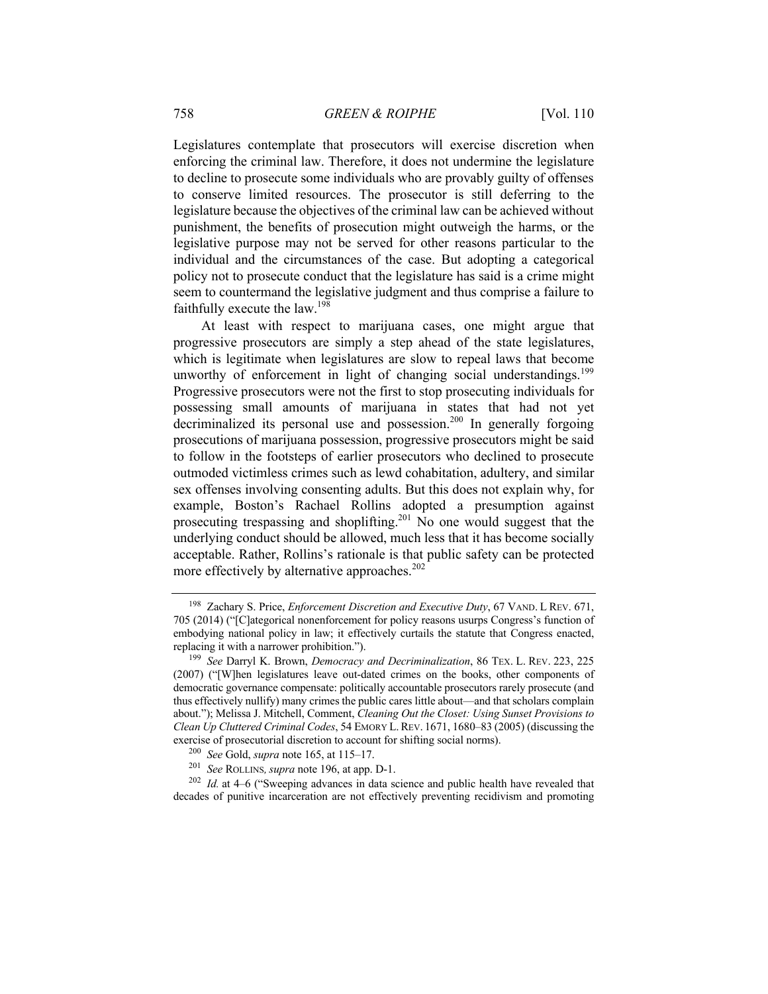Legislatures contemplate that prosecutors will exercise discretion when enforcing the criminal law. Therefore, it does not undermine the legislature to decline to prosecute some individuals who are provably guilty of offenses to conserve limited resources. The prosecutor is still deferring to the legislature because the objectives of the criminal law can be achieved without punishment, the benefits of prosecution might outweigh the harms, or the legislative purpose may not be served for other reasons particular to the individual and the circumstances of the case. But adopting a categorical policy not to prosecute conduct that the legislature has said is a crime might seem to countermand the legislative judgment and thus comprise a failure to faithfully execute the law.<sup>198</sup>

At least with respect to marijuana cases, one might argue that progressive prosecutors are simply a step ahead of the state legislatures, which is legitimate when legislatures are slow to repeal laws that become unworthy of enforcement in light of changing social understandings.<sup>199</sup> Progressive prosecutors were not the first to stop prosecuting individuals for possessing small amounts of marijuana in states that had not yet decriminalized its personal use and possession.<sup>200</sup> In generally forgoing prosecutions of marijuana possession, progressive prosecutors might be said to follow in the footsteps of earlier prosecutors who declined to prosecute outmoded victimless crimes such as lewd cohabitation, adultery, and similar sex offenses involving consenting adults. But this does not explain why, for example, Boston's Rachael Rollins adopted a presumption against prosecuting trespassing and shoplifting.<sup>201</sup> No one would suggest that the underlying conduct should be allowed, much less that it has become socially acceptable. Rather, Rollins's rationale is that public safety can be protected more effectively by alternative approaches. $202$ 

<sup>198</sup> Zachary S. Price, *Enforcement Discretion and Executive Duty*, 67 VAND. L REV. 671, 705 (2014) ("[C]ategorical nonenforcement for policy reasons usurps Congress's function of embodying national policy in law; it effectively curtails the statute that Congress enacted, replacing it with a narrower prohibition.").

<sup>199</sup> *See* Darryl K. Brown, *Democracy and Decriminalization*, 86 TEX. L. REV. 223, 225 (2007) ("[W]hen legislatures leave out-dated crimes on the books, other components of democratic governance compensate: politically accountable prosecutors rarely prosecute (and thus effectively nullify) many crimes the public cares little about—and that scholars complain about."); Melissa J. Mitchell, Comment, *Cleaning Out the Closet: Using Sunset Provisions to Clean Up Cluttered Criminal Codes*, 54 EMORY L.REV. 1671, 1680–83 (2005) (discussing the exercise of prosecutorial discretion to account for shifting social norms).

<sup>200</sup> *See* Gold, *supra* note 165, at 115–17.

<sup>&</sup>lt;sup>201</sup> *See* ROLLINS, *supra* note 196, at app. D-1.

<sup>202</sup> *Id.* at 4–6 ("Sweeping advances in data science and public health have revealed that decades of punitive incarceration are not effectively preventing recidivism and promoting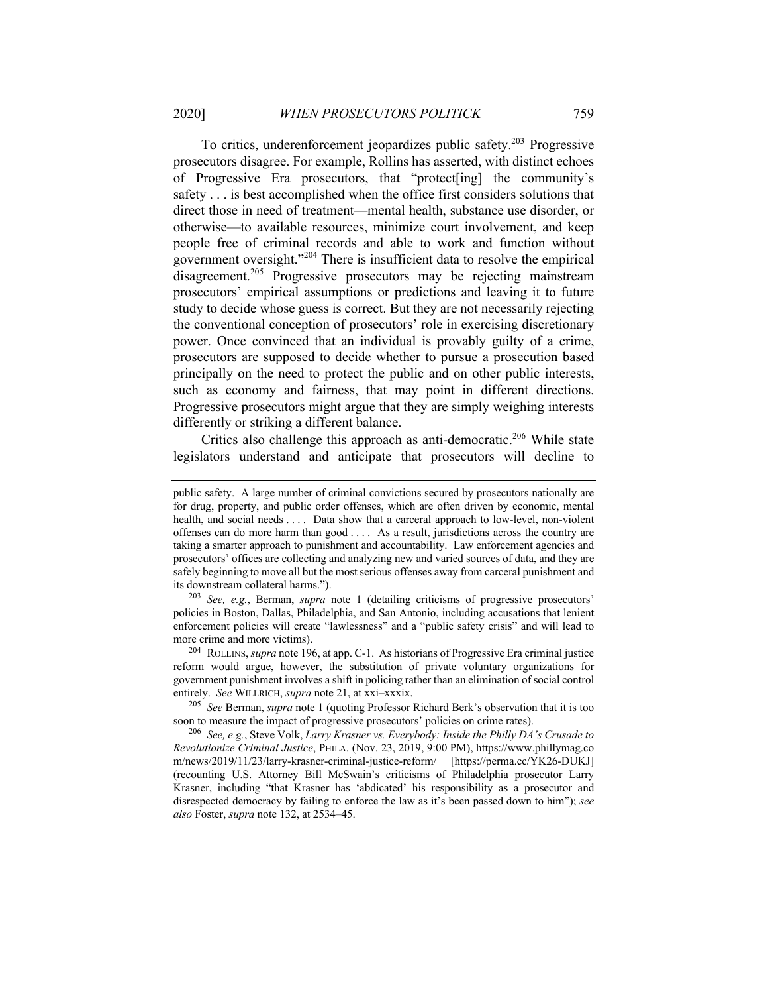To critics, underenforcement jeopardizes public safety.203 Progressive prosecutors disagree. For example, Rollins has asserted, with distinct echoes of Progressive Era prosecutors, that "protect[ing] the community's safety . . . is best accomplished when the office first considers solutions that direct those in need of treatment—mental health, substance use disorder, or otherwise—to available resources, minimize court involvement, and keep people free of criminal records and able to work and function without government oversight."<sup>204</sup> There is insufficient data to resolve the empirical disagreement.<sup>205</sup> Progressive prosecutors may be rejecting mainstream prosecutors' empirical assumptions or predictions and leaving it to future study to decide whose guess is correct. But they are not necessarily rejecting the conventional conception of prosecutors' role in exercising discretionary power. Once convinced that an individual is provably guilty of a crime, prosecutors are supposed to decide whether to pursue a prosecution based principally on the need to protect the public and on other public interests, such as economy and fairness, that may point in different directions. Progressive prosecutors might argue that they are simply weighing interests differently or striking a different balance.

Critics also challenge this approach as anti-democratic.<sup>206</sup> While state legislators understand and anticipate that prosecutors will decline to

<sup>203</sup> *See, e.g.*, Berman, *supra* note 1 (detailing criticisms of progressive prosecutors' policies in Boston, Dallas, Philadelphia, and San Antonio, including accusations that lenient enforcement policies will create "lawlessness" and a "public safety crisis" and will lead to more crime and more victims).

<sup>204</sup> ROLLINS, *supra* note 196, at app. C-1. As historians of Progressive Era criminal justice reform would argue, however, the substitution of private voluntary organizations for government punishment involves a shift in policing rather than an elimination of social control entirely. *See* WILLRICH, *supra* note 21, at xxi–xxxix.

<sup>205</sup> *See* Berman, *supra* note 1 (quoting Professor Richard Berk's observation that it is too soon to measure the impact of progressive prosecutors' policies on crime rates).

<sup>206</sup> *See, e.g.*, Steve Volk, *Larry Krasner vs. Everybody: Inside the Philly DA's Crusade to Revolutionize Criminal Justice*, PHILA. (Nov. 23, 2019, 9:00 PM), https://www.phillymag.co m/news/2019/11/23/larry-krasner-criminal-justice-reform/ [https://perma.cc/YK26-DUKJ] (recounting U.S. Attorney Bill McSwain's criticisms of Philadelphia prosecutor Larry Krasner, including "that Krasner has 'abdicated' his responsibility as a prosecutor and disrespected democracy by failing to enforce the law as it's been passed down to him"); *see also* Foster, *supra* note 132, at 2534–45.

public safety. A large number of criminal convictions secured by prosecutors nationally are for drug, property, and public order offenses, which are often driven by economic, mental health, and social needs . . . . Data show that a carceral approach to low-level, non-violent offenses can do more harm than good . . . . As a result, jurisdictions across the country are taking a smarter approach to punishment and accountability. Law enforcement agencies and prosecutors' offices are collecting and analyzing new and varied sources of data, and they are safely beginning to move all but the most serious offenses away from carceral punishment and its downstream collateral harms.").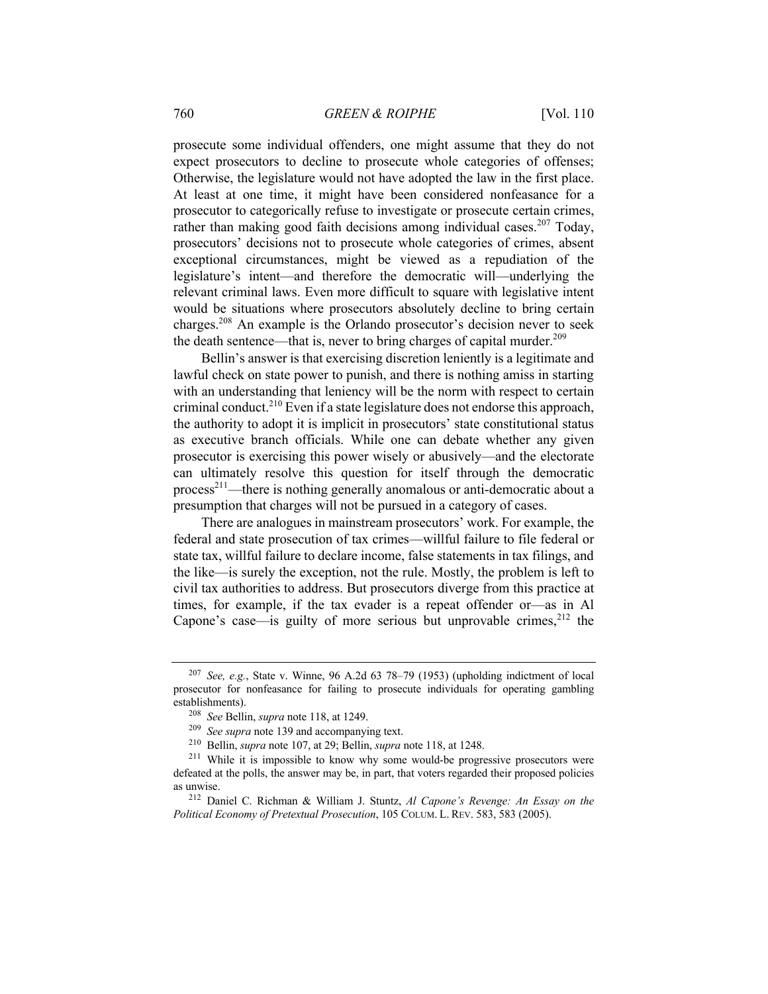prosecute some individual offenders, one might assume that they do not expect prosecutors to decline to prosecute whole categories of offenses; Otherwise, the legislature would not have adopted the law in the first place. At least at one time, it might have been considered nonfeasance for a prosecutor to categorically refuse to investigate or prosecute certain crimes, rather than making good faith decisions among individual cases.<sup>207</sup> Today, prosecutors' decisions not to prosecute whole categories of crimes, absent exceptional circumstances, might be viewed as a repudiation of the legislature's intent—and therefore the democratic will—underlying the relevant criminal laws. Even more difficult to square with legislative intent would be situations where prosecutors absolutely decline to bring certain charges.208 An example is the Orlando prosecutor's decision never to seek the death sentence—that is, never to bring charges of capital murder.<sup>209</sup>

Bellin's answer is that exercising discretion leniently is a legitimate and lawful check on state power to punish, and there is nothing amiss in starting with an understanding that leniency will be the norm with respect to certain criminal conduct.<sup>210</sup> Even if a state legislature does not endorse this approach, the authority to adopt it is implicit in prosecutors' state constitutional status as executive branch officials. While one can debate whether any given prosecutor is exercising this power wisely or abusively—and the electorate can ultimately resolve this question for itself through the democratic process<sup>211</sup>—there is nothing generally anomalous or anti-democratic about a presumption that charges will not be pursued in a category of cases.

There are analogues in mainstream prosecutors' work. For example, the federal and state prosecution of tax crimes—willful failure to file federal or state tax, willful failure to declare income, false statements in tax filings, and the like—is surely the exception, not the rule. Mostly, the problem is left to civil tax authorities to address. But prosecutors diverge from this practice at times, for example, if the tax evader is a repeat offender or—as in Al Capone's case—is guilty of more serious but unprovable crimes, $^{212}$  the

<sup>207</sup> *See, e.g.*, State v. Winne, 96 A.2d 63 78–79 (1953) (upholding indictment of local prosecutor for nonfeasance for failing to prosecute individuals for operating gambling establishments).

<sup>208</sup> *See* Bellin, *supra* note 118, at 1249.

<sup>209</sup> *See supra* note 139 and accompanying text.

<sup>210</sup> Bellin, *supra* note 107, at 29; Bellin, *supra* note 118, at 1248.

<sup>&</sup>lt;sup>211</sup> While it is impossible to know why some would-be progressive prosecutors were defeated at the polls, the answer may be, in part, that voters regarded their proposed policies as unwise.

<sup>212</sup> Daniel C. Richman & William J. Stuntz, *Al Capone's Revenge: An Essay on the Political Economy of Pretextual Prosecution*, 105 COLUM. L. REV. 583, 583 (2005).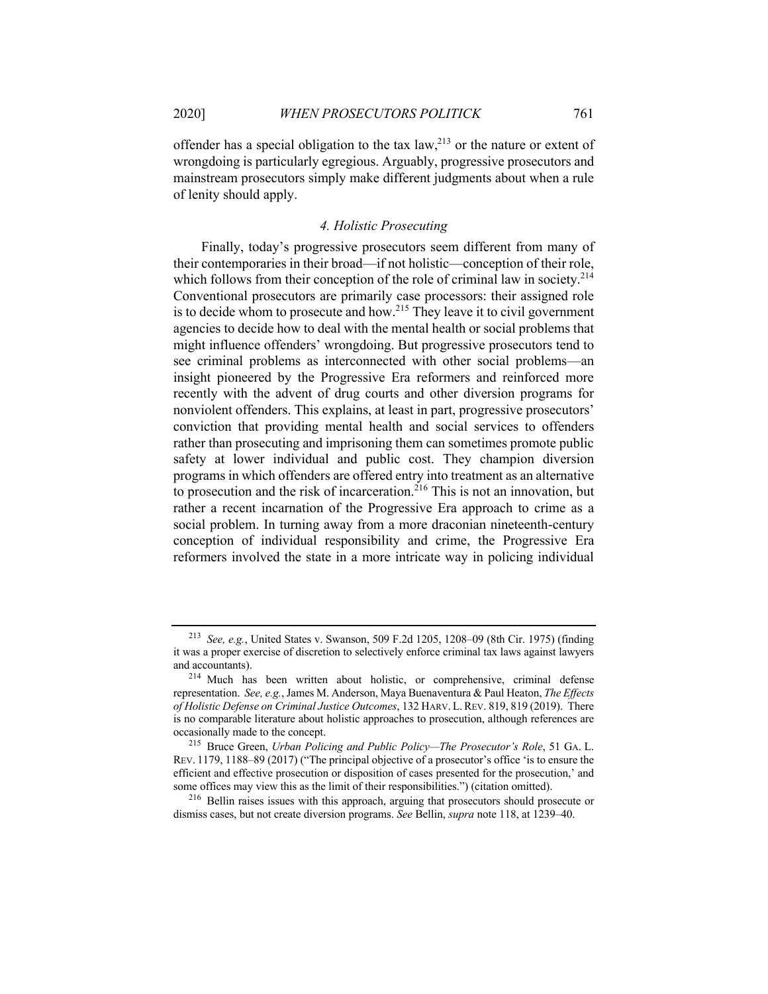offender has a special obligation to the tax  $law<sub>1</sub><sup>213</sup>$  or the nature or extent of wrongdoing is particularly egregious. Arguably, progressive prosecutors and mainstream prosecutors simply make different judgments about when a rule of lenity should apply.

## *4. Holistic Prosecuting*

Finally, today's progressive prosecutors seem different from many of their contemporaries in their broad—if not holistic—conception of their role, which follows from their conception of the role of criminal law in society.<sup>214</sup> Conventional prosecutors are primarily case processors: their assigned role is to decide whom to prosecute and how.<sup>215</sup> They leave it to civil government agencies to decide how to deal with the mental health or social problems that might influence offenders' wrongdoing. But progressive prosecutors tend to see criminal problems as interconnected with other social problems—an insight pioneered by the Progressive Era reformers and reinforced more recently with the advent of drug courts and other diversion programs for nonviolent offenders. This explains, at least in part, progressive prosecutors' conviction that providing mental health and social services to offenders rather than prosecuting and imprisoning them can sometimes promote public safety at lower individual and public cost. They champion diversion programs in which offenders are offered entry into treatment as an alternative to prosecution and the risk of incarceration.<sup>216</sup> This is not an innovation, but rather a recent incarnation of the Progressive Era approach to crime as a social problem. In turning away from a more draconian nineteenth-century conception of individual responsibility and crime, the Progressive Era reformers involved the state in a more intricate way in policing individual

<sup>213</sup> *See, e.g.*, United States v. Swanson, 509 F.2d 1205, 1208–09 (8th Cir. 1975) (finding it was a proper exercise of discretion to selectively enforce criminal tax laws against lawyers and accountants).

<sup>214</sup> Much has been written about holistic, or comprehensive, criminal defense representation. *See, e.g.*, James M. Anderson, Maya Buenaventura & Paul Heaton, *The Effects of Holistic Defense on Criminal Justice Outcomes*, 132 HARV. L.REV. 819, 819 (2019). There is no comparable literature about holistic approaches to prosecution, although references are occasionally made to the concept.

<sup>215</sup> Bruce Green, *Urban Policing and Public Policy—The Prosecutor's Role*, 51 GA. L. REV. 1179, 1188–89 (2017) ("The principal objective of a prosecutor's office 'is to ensure the efficient and effective prosecution or disposition of cases presented for the prosecution,' and some offices may view this as the limit of their responsibilities.") (citation omitted).

<sup>&</sup>lt;sup>216</sup> Bellin raises issues with this approach, arguing that prosecutors should prosecute or dismiss cases, but not create diversion programs. *See* Bellin, *supra* note 118, at 1239–40.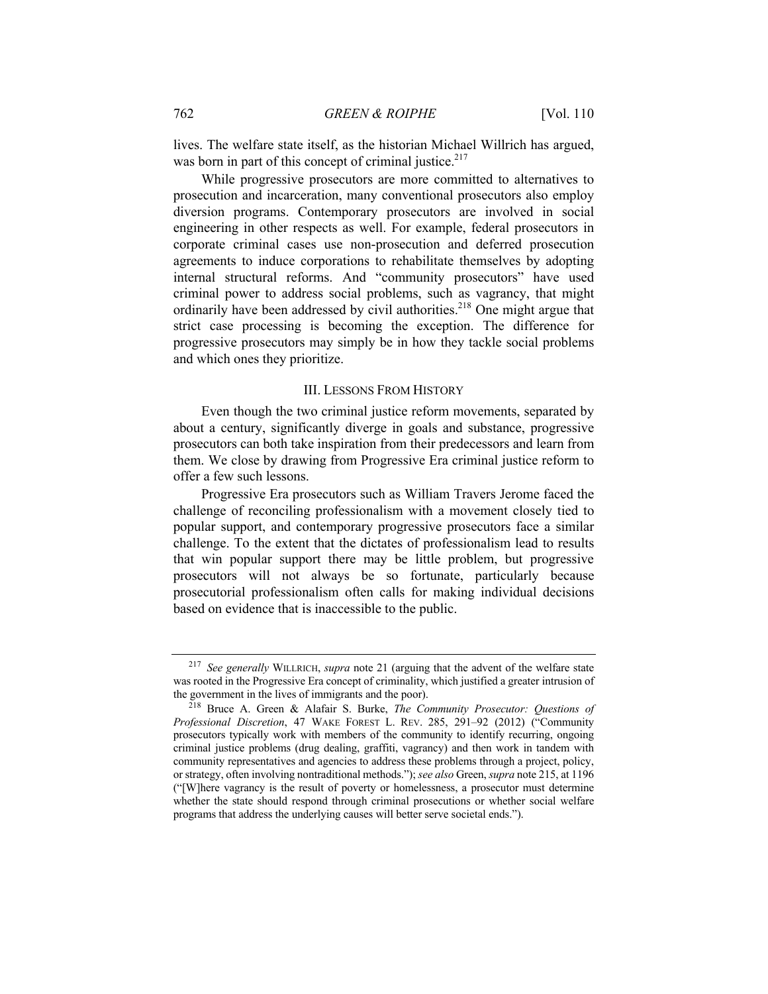lives. The welfare state itself, as the historian Michael Willrich has argued, was born in part of this concept of criminal justice.<sup>217</sup>

While progressive prosecutors are more committed to alternatives to prosecution and incarceration, many conventional prosecutors also employ diversion programs. Contemporary prosecutors are involved in social engineering in other respects as well. For example, federal prosecutors in corporate criminal cases use non-prosecution and deferred prosecution agreements to induce corporations to rehabilitate themselves by adopting internal structural reforms. And "community prosecutors" have used criminal power to address social problems, such as vagrancy, that might ordinarily have been addressed by civil authorities.<sup>218</sup> One might argue that strict case processing is becoming the exception. The difference for progressive prosecutors may simply be in how they tackle social problems and which ones they prioritize.

## III. LESSONS FROM HISTORY

Even though the two criminal justice reform movements, separated by about a century, significantly diverge in goals and substance, progressive prosecutors can both take inspiration from their predecessors and learn from them. We close by drawing from Progressive Era criminal justice reform to offer a few such lessons.

Progressive Era prosecutors such as William Travers Jerome faced the challenge of reconciling professionalism with a movement closely tied to popular support, and contemporary progressive prosecutors face a similar challenge. To the extent that the dictates of professionalism lead to results that win popular support there may be little problem, but progressive prosecutors will not always be so fortunate, particularly because prosecutorial professionalism often calls for making individual decisions based on evidence that is inaccessible to the public.

<sup>217</sup> *See generally* WILLRICH, *supra* note 21 (arguing that the advent of the welfare state was rooted in the Progressive Era concept of criminality, which justified a greater intrusion of the government in the lives of immigrants and the poor).

<sup>218</sup> Bruce A. Green & Alafair S. Burke, *The Community Prosecutor: Questions of Professional Discretion*, 47 WAKE FOREST L. REV. 285, 291–92 (2012) ("Community prosecutors typically work with members of the community to identify recurring, ongoing criminal justice problems (drug dealing, graffiti, vagrancy) and then work in tandem with community representatives and agencies to address these problems through a project, policy, or strategy, often involving nontraditional methods."); *see also* Green, *supra* note 215, at 1196 ("[W]here vagrancy is the result of poverty or homelessness, a prosecutor must determine whether the state should respond through criminal prosecutions or whether social welfare programs that address the underlying causes will better serve societal ends.").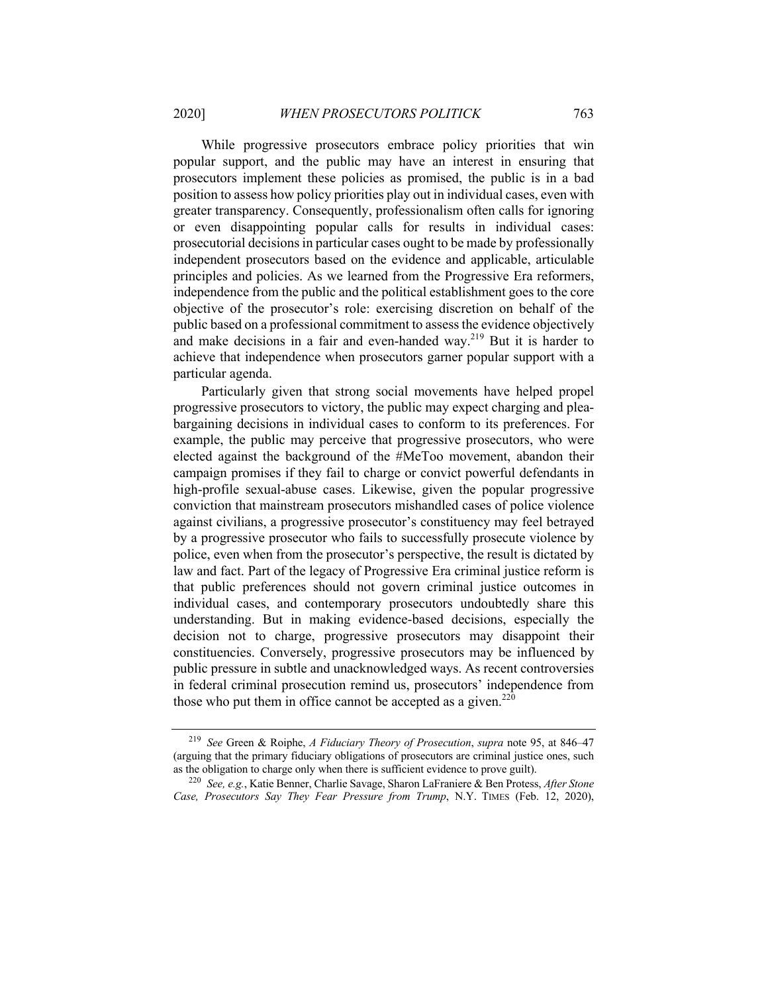While progressive prosecutors embrace policy priorities that win popular support, and the public may have an interest in ensuring that prosecutors implement these policies as promised, the public is in a bad position to assess how policy priorities play out in individual cases, even with greater transparency. Consequently, professionalism often calls for ignoring or even disappointing popular calls for results in individual cases: prosecutorial decisions in particular cases ought to be made by professionally independent prosecutors based on the evidence and applicable, articulable principles and policies. As we learned from the Progressive Era reformers, independence from the public and the political establishment goes to the core objective of the prosecutor's role: exercising discretion on behalf of the public based on a professional commitment to assess the evidence objectively and make decisions in a fair and even-handed way.<sup>219</sup> But it is harder to achieve that independence when prosecutors garner popular support with a particular agenda.

Particularly given that strong social movements have helped propel progressive prosecutors to victory, the public may expect charging and pleabargaining decisions in individual cases to conform to its preferences. For example, the public may perceive that progressive prosecutors, who were elected against the background of the #MeToo movement, abandon their campaign promises if they fail to charge or convict powerful defendants in high-profile sexual-abuse cases. Likewise, given the popular progressive conviction that mainstream prosecutors mishandled cases of police violence against civilians, a progressive prosecutor's constituency may feel betrayed by a progressive prosecutor who fails to successfully prosecute violence by police, even when from the prosecutor's perspective, the result is dictated by law and fact. Part of the legacy of Progressive Era criminal justice reform is that public preferences should not govern criminal justice outcomes in individual cases, and contemporary prosecutors undoubtedly share this understanding. But in making evidence-based decisions, especially the decision not to charge, progressive prosecutors may disappoint their constituencies. Conversely, progressive prosecutors may be influenced by public pressure in subtle and unacknowledged ways. As recent controversies in federal criminal prosecution remind us, prosecutors' independence from those who put them in office cannot be accepted as a given.<sup>220</sup>

<sup>219</sup> *See* Green & Roiphe, *A Fiduciary Theory of Prosecution*, *supra* note 95, at 846–47 (arguing that the primary fiduciary obligations of prosecutors are criminal justice ones, such as the obligation to charge only when there is sufficient evidence to prove guilt).

<sup>220</sup> *See, e.g.*, Katie Benner, Charlie Savage, Sharon LaFraniere & Ben Protess, *After Stone Case, Prosecutors Say They Fear Pressure from Trump*, N.Y. TIMES (Feb. 12, 2020),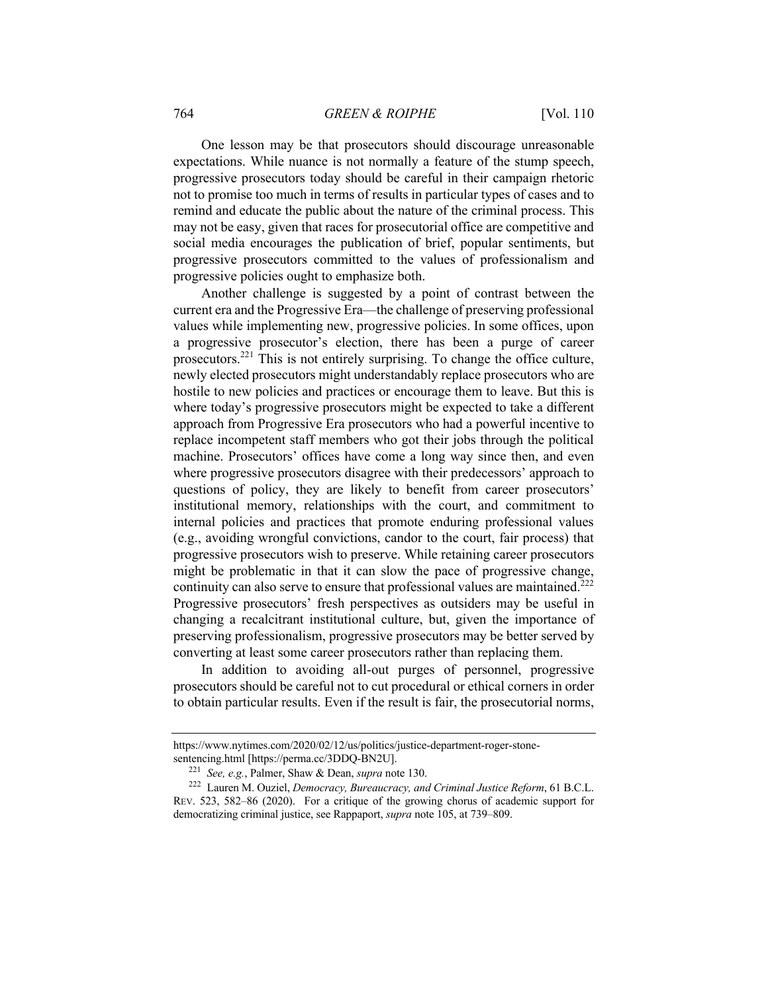One lesson may be that prosecutors should discourage unreasonable expectations. While nuance is not normally a feature of the stump speech, progressive prosecutors today should be careful in their campaign rhetoric not to promise too much in terms of results in particular types of cases and to remind and educate the public about the nature of the criminal process. This may not be easy, given that races for prosecutorial office are competitive and social media encourages the publication of brief, popular sentiments, but progressive prosecutors committed to the values of professionalism and progressive policies ought to emphasize both.

Another challenge is suggested by a point of contrast between the current era and the Progressive Era—the challenge of preserving professional values while implementing new, progressive policies. In some offices, upon a progressive prosecutor's election, there has been a purge of career prosecutors.<sup>221</sup> This is not entirely surprising. To change the office culture, newly elected prosecutors might understandably replace prosecutors who are hostile to new policies and practices or encourage them to leave. But this is where today's progressive prosecutors might be expected to take a different approach from Progressive Era prosecutors who had a powerful incentive to replace incompetent staff members who got their jobs through the political machine. Prosecutors' offices have come a long way since then, and even where progressive prosecutors disagree with their predecessors' approach to questions of policy, they are likely to benefit from career prosecutors' institutional memory, relationships with the court, and commitment to internal policies and practices that promote enduring professional values (e.g., avoiding wrongful convictions, candor to the court, fair process) that progressive prosecutors wish to preserve. While retaining career prosecutors might be problematic in that it can slow the pace of progressive change, continuity can also serve to ensure that professional values are maintained.<sup>222</sup> Progressive prosecutors' fresh perspectives as outsiders may be useful in changing a recalcitrant institutional culture, but, given the importance of preserving professionalism, progressive prosecutors may be better served by converting at least some career prosecutors rather than replacing them.

In addition to avoiding all-out purges of personnel, progressive prosecutors should be careful not to cut procedural or ethical corners in order to obtain particular results. Even if the result is fair, the prosecutorial norms,

https://www.nytimes.com/2020/02/12/us/politics/justice-department-roger-stonesentencing.html [https://perma.cc/3DDQ-BN2U].

<sup>221</sup> *See, e.g.*, Palmer, Shaw & Dean, *supra* note 130.

<sup>222</sup> Lauren M. Ouziel, *Democracy, Bureaucracy, and Criminal Justice Reform*, 61 B.C.L. REV. 523, 582–86 (2020). For a critique of the growing chorus of academic support for democratizing criminal justice, see Rappaport, *supra* note 105, at 739–809.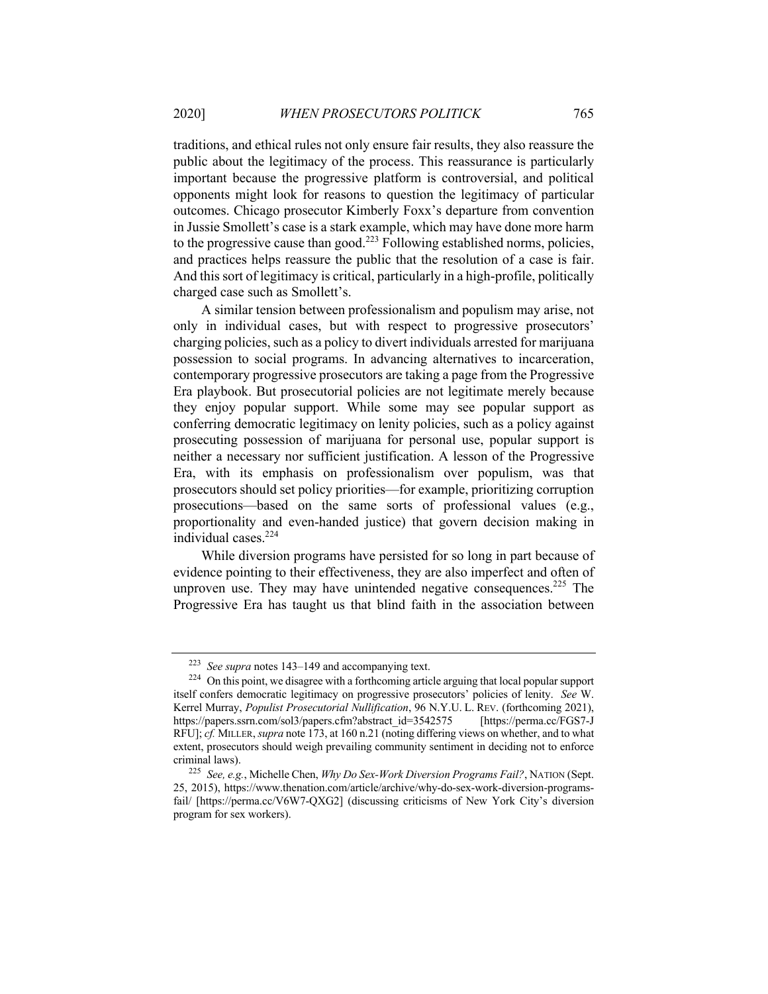traditions, and ethical rules not only ensure fair results, they also reassure the public about the legitimacy of the process. This reassurance is particularly important because the progressive platform is controversial, and political opponents might look for reasons to question the legitimacy of particular outcomes. Chicago prosecutor Kimberly Foxx's departure from convention in Jussie Smollett's case is a stark example, which may have done more harm to the progressive cause than good.<sup>223</sup> Following established norms, policies, and practices helps reassure the public that the resolution of a case is fair. And this sort of legitimacy is critical, particularly in a high-profile, politically charged case such as Smollett's.

A similar tension between professionalism and populism may arise, not only in individual cases, but with respect to progressive prosecutors' charging policies, such as a policy to divert individuals arrested for marijuana possession to social programs. In advancing alternatives to incarceration, contemporary progressive prosecutors are taking a page from the Progressive Era playbook. But prosecutorial policies are not legitimate merely because they enjoy popular support. While some may see popular support as conferring democratic legitimacy on lenity policies, such as a policy against prosecuting possession of marijuana for personal use, popular support is neither a necessary nor sufficient justification. A lesson of the Progressive Era, with its emphasis on professionalism over populism, was that prosecutors should set policy priorities—for example, prioritizing corruption prosecutions—based on the same sorts of professional values (e.g., proportionality and even-handed justice) that govern decision making in individual cases.224

While diversion programs have persisted for so long in part because of evidence pointing to their effectiveness, they are also imperfect and often of unproven use. They may have unintended negative consequences.<sup>225</sup> The Progressive Era has taught us that blind faith in the association between

<sup>223</sup> *See supra* notes 143–149 and accompanying text.

<sup>&</sup>lt;sup>224</sup> On this point, we disagree with a forthcoming article arguing that local popular support itself confers democratic legitimacy on progressive prosecutors' policies of lenity. *See* W. Kerrel Murray, *Populist Prosecutorial Nullification*, 96 N.Y.U. L. REV. (forthcoming 2021), https://papers.ssrn.com/sol3/papers.cfm?abstract\_id=3542575 [https://perma.cc/FGS7-J RFU]; *cf.* MILLER, *supra* note 173, at 160 n.21 (noting differing views on whether, and to what extent, prosecutors should weigh prevailing community sentiment in deciding not to enforce criminal laws).

<sup>225</sup> *See, e.g.*, Michelle Chen, *Why Do Sex-Work Diversion Programs Fail?*, NATION (Sept. 25, 2015), https://www.thenation.com/article/archive/why-do-sex-work-diversion-programsfail/ [https://perma.cc/V6W7-QXG2] (discussing criticisms of New York City's diversion program for sex workers).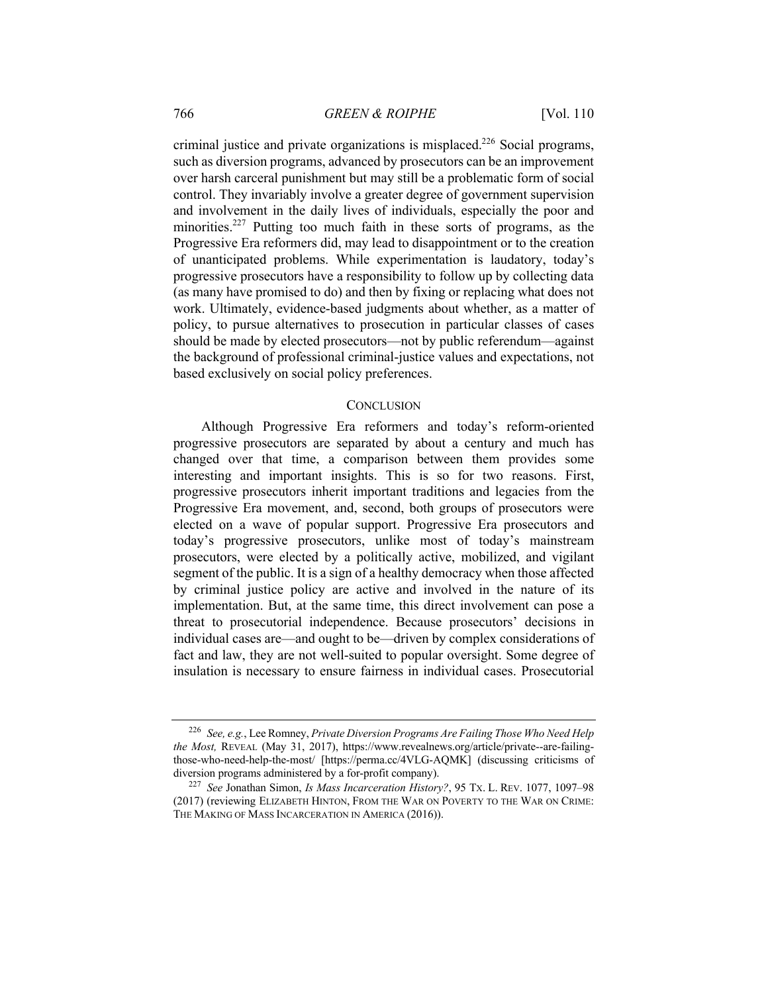criminal justice and private organizations is misplaced.<sup>226</sup> Social programs, such as diversion programs, advanced by prosecutors can be an improvement over harsh carceral punishment but may still be a problematic form of social control. They invariably involve a greater degree of government supervision and involvement in the daily lives of individuals, especially the poor and minorities.<sup>227</sup> Putting too much faith in these sorts of programs, as the Progressive Era reformers did, may lead to disappointment or to the creation of unanticipated problems. While experimentation is laudatory, today's progressive prosecutors have a responsibility to follow up by collecting data (as many have promised to do) and then by fixing or replacing what does not work. Ultimately, evidence-based judgments about whether, as a matter of policy, to pursue alternatives to prosecution in particular classes of cases should be made by elected prosecutors—not by public referendum—against the background of professional criminal-justice values and expectations, not based exclusively on social policy preferences.

#### **CONCLUSION**

Although Progressive Era reformers and today's reform-oriented progressive prosecutors are separated by about a century and much has changed over that time, a comparison between them provides some interesting and important insights. This is so for two reasons. First, progressive prosecutors inherit important traditions and legacies from the Progressive Era movement, and, second, both groups of prosecutors were elected on a wave of popular support. Progressive Era prosecutors and today's progressive prosecutors, unlike most of today's mainstream prosecutors, were elected by a politically active, mobilized, and vigilant segment of the public. It is a sign of a healthy democracy when those affected by criminal justice policy are active and involved in the nature of its implementation. But, at the same time, this direct involvement can pose a threat to prosecutorial independence. Because prosecutors' decisions in individual cases are—and ought to be—driven by complex considerations of fact and law, they are not well-suited to popular oversight. Some degree of insulation is necessary to ensure fairness in individual cases. Prosecutorial

<sup>226</sup> *See, e.g.*, Lee Romney, *Private Diversion Programs Are Failing Those Who Need Help the Most,* REVEAL (May 31, 2017), https://www.revealnews.org/article/private--are-failingthose-who-need-help-the-most/ [https://perma.cc/4VLG-AQMK] (discussing criticisms of diversion programs administered by a for-profit company).

<sup>227</sup> *See* Jonathan Simon, *Is Mass Incarceration History?*, 95 TX. L. REV. 1077, 1097–98 (2017) (reviewing ELIZABETH HINTON, FROM THE WAR ON POVERTY TO THE WAR ON CRIME: THE MAKING OF MASS INCARCERATION IN AMERICA (2016)).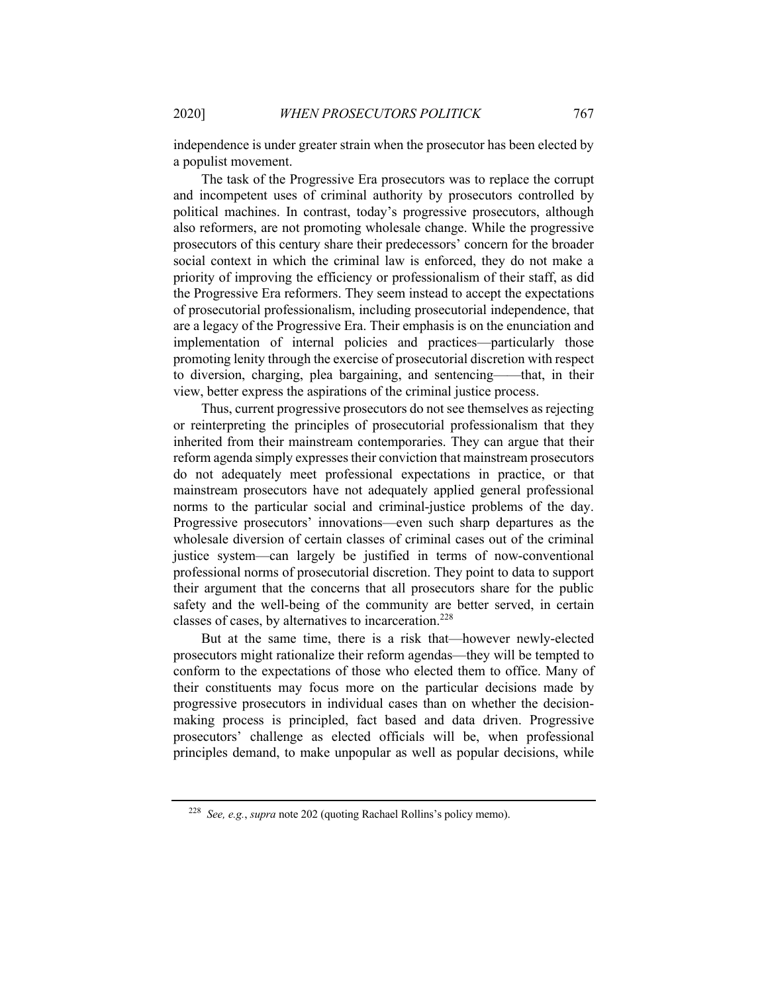independence is under greater strain when the prosecutor has been elected by a populist movement.

The task of the Progressive Era prosecutors was to replace the corrupt and incompetent uses of criminal authority by prosecutors controlled by political machines. In contrast, today's progressive prosecutors, although also reformers, are not promoting wholesale change. While the progressive prosecutors of this century share their predecessors' concern for the broader social context in which the criminal law is enforced, they do not make a priority of improving the efficiency or professionalism of their staff, as did the Progressive Era reformers. They seem instead to accept the expectations of prosecutorial professionalism, including prosecutorial independence, that are a legacy of the Progressive Era. Their emphasis is on the enunciation and implementation of internal policies and practices—particularly those promoting lenity through the exercise of prosecutorial discretion with respect to diversion, charging, plea bargaining, and sentencing——that, in their view, better express the aspirations of the criminal justice process.

Thus, current progressive prosecutors do not see themselves as rejecting or reinterpreting the principles of prosecutorial professionalism that they inherited from their mainstream contemporaries. They can argue that their reform agenda simply expresses their conviction that mainstream prosecutors do not adequately meet professional expectations in practice, or that mainstream prosecutors have not adequately applied general professional norms to the particular social and criminal-justice problems of the day. Progressive prosecutors' innovations—even such sharp departures as the wholesale diversion of certain classes of criminal cases out of the criminal justice system—can largely be justified in terms of now-conventional professional norms of prosecutorial discretion. They point to data to support their argument that the concerns that all prosecutors share for the public safety and the well-being of the community are better served, in certain classes of cases, by alternatives to incarceration.<sup>228</sup>

But at the same time, there is a risk that—however newly-elected prosecutors might rationalize their reform agendas—they will be tempted to conform to the expectations of those who elected them to office. Many of their constituents may focus more on the particular decisions made by progressive prosecutors in individual cases than on whether the decisionmaking process is principled, fact based and data driven. Progressive prosecutors' challenge as elected officials will be, when professional principles demand, to make unpopular as well as popular decisions, while

<sup>228</sup> *See, e.g.*, *supra* note 202 (quoting Rachael Rollins's policy memo).